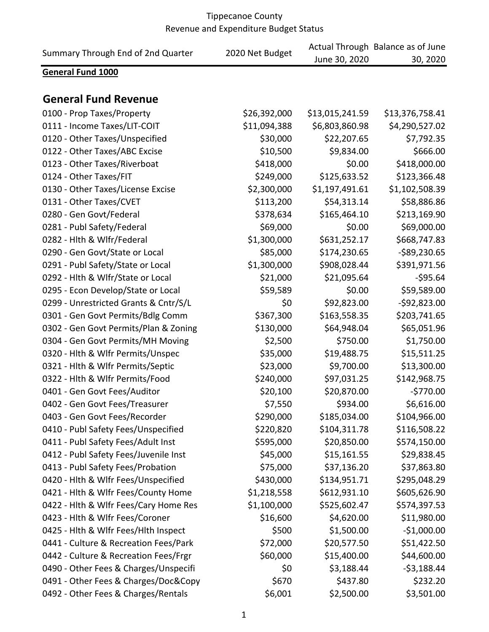| Summary Through End of 2nd Quarter    | 2020 Net Budget |                 | Actual Through Balance as of June |
|---------------------------------------|-----------------|-----------------|-----------------------------------|
|                                       |                 | June 30, 2020   | 30, 2020                          |
| <b>General Fund 1000</b>              |                 |                 |                                   |
|                                       |                 |                 |                                   |
| <b>General Fund Revenue</b>           |                 |                 |                                   |
| 0100 - Prop Taxes/Property            | \$26,392,000    | \$13,015,241.59 | \$13,376,758.41                   |
| 0111 - Income Taxes/LIT-COIT          | \$11,094,388    | \$6,803,860.98  | \$4,290,527.02                    |
| 0120 - Other Taxes/Unspecified        | \$30,000        | \$22,207.65     | \$7,792.35                        |
| 0122 - Other Taxes/ABC Excise         | \$10,500        | \$9,834.00      | \$666.00                          |
| 0123 - Other Taxes/Riverboat          | \$418,000       | \$0.00          | \$418,000.00                      |
| 0124 - Other Taxes/FIT                | \$249,000       | \$125,633.52    | \$123,366.48                      |
| 0130 - Other Taxes/License Excise     | \$2,300,000     | \$1,197,491.61  | \$1,102,508.39                    |
| 0131 - Other Taxes/CVET               | \$113,200       | \$54,313.14     | \$58,886.86                       |
| 0280 - Gen Govt/Federal               | \$378,634       | \$165,464.10    | \$213,169.90                      |
| 0281 - Publ Safety/Federal            | \$69,000        | \$0.00          | \$69,000.00                       |
| 0282 - Hlth & Wlfr/Federal            | \$1,300,000     | \$631,252.17    | \$668,747.83                      |
| 0290 - Gen Govt/State or Local        | \$85,000        | \$174,230.65    | $-$ \$89,230.65                   |
| 0291 - Publ Safety/State or Local     | \$1,300,000     | \$908,028.44    | \$391,971.56                      |
| 0292 - Hlth & Wlfr/State or Local     | \$21,000        | \$21,095.64     | $-595.64$                         |
| 0295 - Econ Develop/State or Local    | \$59,589        | \$0.00          | \$59,589.00                       |
| 0299 - Unrestricted Grants & Cntr/S/L | \$0             | \$92,823.00     | $-592,823.00$                     |
| 0301 - Gen Govt Permits/Bdlg Comm     | \$367,300       | \$163,558.35    | \$203,741.65                      |
| 0302 - Gen Govt Permits/Plan & Zoning | \$130,000       | \$64,948.04     | \$65,051.96                       |
| 0304 - Gen Govt Permits/MH Moving     | \$2,500         | \$750.00        | \$1,750.00                        |
| 0320 - Hlth & Wlfr Permits/Unspec     | \$35,000        | \$19,488.75     | \$15,511.25                       |
| 0321 - Hlth & Wlfr Permits/Septic     | \$23,000        | \$9,700.00      | \$13,300.00                       |
| 0322 - Hlth & Wlfr Permits/Food       | \$240,000       | \$97,031.25     | \$142,968.75                      |
| 0401 - Gen Govt Fees/Auditor          | \$20,100        | \$20,870.00     | $-$770.00$                        |
| 0402 - Gen Govt Fees/Treasurer        | \$7,550         | \$934.00        | \$6,616.00                        |
| 0403 - Gen Govt Fees/Recorder         | \$290,000       | \$185,034.00    | \$104,966.00                      |
| 0410 - Publ Safety Fees/Unspecified   | \$220,820       | \$104,311.78    | \$116,508.22                      |
| 0411 - Publ Safety Fees/Adult Inst    | \$595,000       | \$20,850.00     | \$574,150.00                      |
| 0412 - Publ Safety Fees/Juvenile Inst | \$45,000        | \$15,161.55     | \$29,838.45                       |
| 0413 - Publ Safety Fees/Probation     | \$75,000        | \$37,136.20     | \$37,863.80                       |
| 0420 - Hlth & Wlfr Fees/Unspecified   | \$430,000       | \$134,951.71    | \$295,048.29                      |
| 0421 - Hith & Wifr Fees/County Home   | \$1,218,558     | \$612,931.10    | \$605,626.90                      |
| 0422 - Hith & Wifr Fees/Cary Home Res | \$1,100,000     | \$525,602.47    | \$574,397.53                      |
| 0423 - Hith & Wifr Fees/Coroner       | \$16,600        | \$4,620.00      | \$11,980.00                       |
| 0425 - Hith & Wifr Fees/Hith Inspect  | \$500           | \$1,500.00      | $-$1,000.00$                      |
| 0441 - Culture & Recreation Fees/Park | \$72,000        | \$20,577.50     | \$51,422.50                       |
| 0442 - Culture & Recreation Fees/Frgr | \$60,000        | \$15,400.00     | \$44,600.00                       |
| 0490 - Other Fees & Charges/Unspecifi | \$0             | \$3,188.44      | $-53,188.44$                      |
| 0491 - Other Fees & Charges/Doc&Copy  | \$670           | \$437.80        | \$232.20                          |
| 0492 - Other Fees & Charges/Rentals   | \$6,001         | \$2,500.00      | \$3,501.00                        |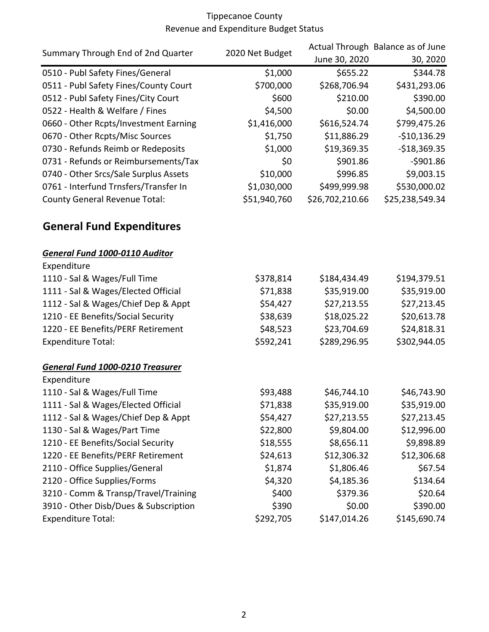| Summary Through End of 2nd Quarter      | 2020 Net Budget |                 | Actual Through Balance as of June |
|-----------------------------------------|-----------------|-----------------|-----------------------------------|
|                                         |                 | June 30, 2020   | 30, 2020                          |
| 0510 - Publ Safety Fines/General        | \$1,000         | \$655.22        | \$344.78                          |
| 0511 - Publ Safety Fines/County Court   | \$700,000       | \$268,706.94    | \$431,293.06                      |
| 0512 - Publ Safety Fines/City Court     | \$600           | \$210.00        | \$390.00                          |
| 0522 - Health & Welfare / Fines         | \$4,500         | \$0.00          | \$4,500.00                        |
| 0660 - Other Rcpts/Investment Earning   | \$1,416,000     | \$616,524.74    | \$799,475.26                      |
| 0670 - Other Rcpts/Misc Sources         | \$1,750         | \$11,886.29     | $-$10,136.29$                     |
| 0730 - Refunds Reimb or Redeposits      | \$1,000         | \$19,369.35     | $-$18,369.35$                     |
| 0731 - Refunds or Reimbursements/Tax    | \$0             | \$901.86        | $-5901.86$                        |
| 0740 - Other Srcs/Sale Surplus Assets   | \$10,000        | \$996.85        | \$9,003.15                        |
| 0761 - Interfund Trnsfers/Transfer In   | \$1,030,000     | \$499,999.98    | \$530,000.02                      |
| <b>County General Revenue Total:</b>    | \$51,940,760    | \$26,702,210.66 | \$25,238,549.34                   |
| <b>General Fund Expenditures</b>        |                 |                 |                                   |
| <b>General Fund 1000-0110 Auditor</b>   |                 |                 |                                   |
| Expenditure                             |                 |                 |                                   |
| 1110 - Sal & Wages/Full Time            | \$378,814       | \$184,434.49    | \$194,379.51                      |
| 1111 - Sal & Wages/Elected Official     | \$71,838        | \$35,919.00     | \$35,919.00                       |
| 1112 - Sal & Wages/Chief Dep & Appt     | \$54,427        | \$27,213.55     | \$27,213.45                       |
| 1210 - EE Benefits/Social Security      | \$38,639        | \$18,025.22     | \$20,613.78                       |
| 1220 - EE Benefits/PERF Retirement      | \$48,523        | \$23,704.69     | \$24,818.31                       |
| <b>Expenditure Total:</b>               | \$592,241       | \$289,296.95    | \$302,944.05                      |
| <b>General Fund 1000-0210 Treasurer</b> |                 |                 |                                   |
| Expenditure                             |                 |                 |                                   |
| 1110 - Sal & Wages/Full Time            | \$93,488        | \$46,744.10     | \$46,743.90                       |
| 1111 - Sal & Wages/Elected Official     | \$71,838        | \$35,919.00     | \$35,919.00                       |
| 1112 - Sal & Wages/Chief Dep & Appt     | \$54,427        | \$27,213.55     | \$27,213.45                       |
| 1130 - Sal & Wages/Part Time            | \$22,800        | \$9,804.00      | \$12,996.00                       |
| 1210 - EE Benefits/Social Security      | \$18,555        | \$8,656.11      | \$9,898.89                        |
| 1220 - EE Benefits/PERF Retirement      | \$24,613        | \$12,306.32     | \$12,306.68                       |
| 2110 - Office Supplies/General          | \$1,874         | \$1,806.46      | \$67.54                           |
| 2120 - Office Supplies/Forms            | \$4,320         | \$4,185.36      | \$134.64                          |
| 3210 - Comm & Transp/Travel/Training    | \$400           | \$379.36        | \$20.64                           |
| 3910 - Other Disb/Dues & Subscription   | \$390           | \$0.00          | \$390.00                          |
| <b>Expenditure Total:</b>               | \$292,705       | \$147,014.26    | \$145,690.74                      |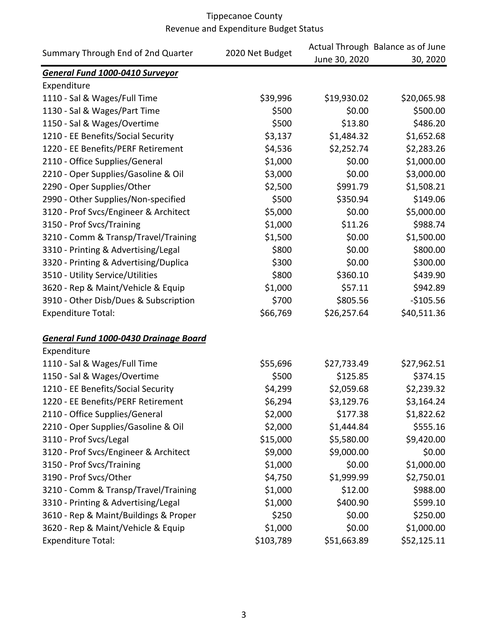| Summary Through End of 2nd Quarter     | 2020 Net Budget |               | Actual Through Balance as of June |
|----------------------------------------|-----------------|---------------|-----------------------------------|
|                                        |                 | June 30, 2020 | 30, 2020                          |
| <b>General Fund 1000-0410 Surveyor</b> |                 |               |                                   |
| Expenditure                            |                 |               |                                   |
| 1110 - Sal & Wages/Full Time           | \$39,996        | \$19,930.02   | \$20,065.98                       |
| 1130 - Sal & Wages/Part Time           | \$500           | \$0.00        | \$500.00                          |
| 1150 - Sal & Wages/Overtime            | \$500           | \$13.80       | \$486.20                          |
| 1210 - EE Benefits/Social Security     | \$3,137         | \$1,484.32    | \$1,652.68                        |
| 1220 - EE Benefits/PERF Retirement     | \$4,536         | \$2,252.74    | \$2,283.26                        |
| 2110 - Office Supplies/General         | \$1,000         | \$0.00        | \$1,000.00                        |
| 2210 - Oper Supplies/Gasoline & Oil    | \$3,000         | \$0.00        | \$3,000.00                        |
| 2290 - Oper Supplies/Other             | \$2,500         | \$991.79      | \$1,508.21                        |
| 2990 - Other Supplies/Non-specified    | \$500           | \$350.94      | \$149.06                          |
| 3120 - Prof Svcs/Engineer & Architect  | \$5,000         | \$0.00        | \$5,000.00                        |
| 3150 - Prof Svcs/Training              | \$1,000         | \$11.26       | \$988.74                          |
| 3210 - Comm & Transp/Travel/Training   | \$1,500         | \$0.00        | \$1,500.00                        |
| 3310 - Printing & Advertising/Legal    | \$800           | \$0.00        | \$800.00                          |
| 3320 - Printing & Advertising/Duplica  | \$300           | \$0.00        | \$300.00                          |
| 3510 - Utility Service/Utilities       | \$800           | \$360.10      | \$439.90                          |
| 3620 - Rep & Maint/Vehicle & Equip     | \$1,000         | \$57.11       | \$942.89                          |
| 3910 - Other Disb/Dues & Subscription  | \$700           | \$805.56      | $-$105.56$                        |
| <b>Expenditure Total:</b>              | \$66,769        | \$26,257.64   | \$40,511.36                       |
| General Fund 1000-0430 Drainage Board  |                 |               |                                   |
| Expenditure                            |                 |               |                                   |
| 1110 - Sal & Wages/Full Time           | \$55,696        | \$27,733.49   | \$27,962.51                       |
| 1150 - Sal & Wages/Overtime            | \$500           | \$125.85      | \$374.15                          |
| 1210 - EE Benefits/Social Security     | \$4,299         | \$2,059.68    | \$2,239.32                        |
| 1220 - EE Benefits/PERF Retirement     | \$6,294         | \$3,129.76    | \$3,164.24                        |
| 2110 - Office Supplies/General         | \$2,000         | \$177.38      | \$1,822.62                        |
| 2210 - Oper Supplies/Gasoline & Oil    | \$2,000         | \$1,444.84    | \$555.16                          |
| 3110 - Prof Svcs/Legal                 | \$15,000        | \$5,580.00    | \$9,420.00                        |
| 3120 - Prof Svcs/Engineer & Architect  | \$9,000         | \$9,000.00    | \$0.00                            |
| 3150 - Prof Svcs/Training              | \$1,000         | \$0.00        | \$1,000.00                        |
| 3190 - Prof Svcs/Other                 | \$4,750         | \$1,999.99    | \$2,750.01                        |
| 3210 - Comm & Transp/Travel/Training   | \$1,000         | \$12.00       | \$988.00                          |
| 3310 - Printing & Advertising/Legal    | \$1,000         | \$400.90      | \$599.10                          |
| 3610 - Rep & Maint/Buildings & Proper  | \$250           | \$0.00        | \$250.00                          |
| 3620 - Rep & Maint/Vehicle & Equip     | \$1,000         | \$0.00        | \$1,000.00                        |
| <b>Expenditure Total:</b>              | \$103,789       | \$51,663.89   | \$52,125.11                       |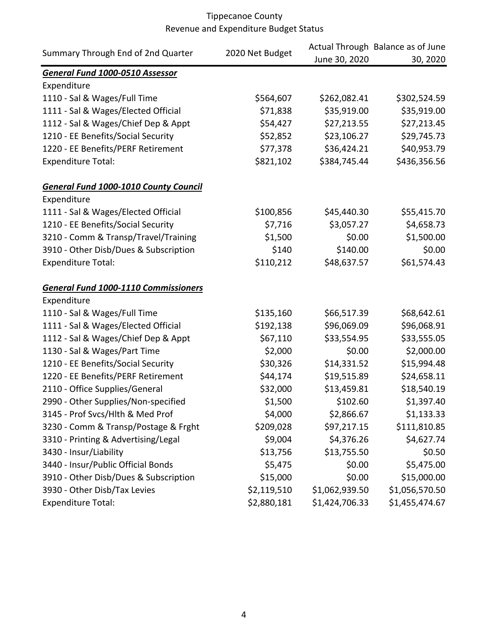| Summary Through End of 2nd Quarter           | 2020 Net Budget | June 30, 2020  | Actual Through Balance as of June<br>30, 2020 |
|----------------------------------------------|-----------------|----------------|-----------------------------------------------|
| <b>General Fund 1000-0510 Assessor</b>       |                 |                |                                               |
| Expenditure                                  |                 |                |                                               |
| 1110 - Sal & Wages/Full Time                 | \$564,607       | \$262,082.41   | \$302,524.59                                  |
| 1111 - Sal & Wages/Elected Official          | \$71,838        | \$35,919.00    | \$35,919.00                                   |
| 1112 - Sal & Wages/Chief Dep & Appt          | \$54,427        | \$27,213.55    | \$27,213.45                                   |
| 1210 - EE Benefits/Social Security           | \$52,852        | \$23,106.27    | \$29,745.73                                   |
| 1220 - EE Benefits/PERF Retirement           | \$77,378        | \$36,424.21    | \$40,953.79                                   |
| <b>Expenditure Total:</b>                    | \$821,102       | \$384,745.44   | \$436,356.56                                  |
| <b>General Fund 1000-1010 County Council</b> |                 |                |                                               |
| Expenditure                                  |                 |                |                                               |
| 1111 - Sal & Wages/Elected Official          | \$100,856       | \$45,440.30    | \$55,415.70                                   |
| 1210 - EE Benefits/Social Security           | \$7,716         | \$3,057.27     | \$4,658.73                                    |
| 3210 - Comm & Transp/Travel/Training         | \$1,500         | \$0.00         | \$1,500.00                                    |
| 3910 - Other Disb/Dues & Subscription        | \$140           | \$140.00       | \$0.00                                        |
| <b>Expenditure Total:</b>                    | \$110,212       | \$48,637.57    | \$61,574.43                                   |
| <b>General Fund 1000-1110 Commissioners</b>  |                 |                |                                               |
| Expenditure                                  |                 |                |                                               |
| 1110 - Sal & Wages/Full Time                 | \$135,160       | \$66,517.39    | \$68,642.61                                   |
| 1111 - Sal & Wages/Elected Official          | \$192,138       | \$96,069.09    | \$96,068.91                                   |
| 1112 - Sal & Wages/Chief Dep & Appt          | \$67,110        | \$33,554.95    | \$33,555.05                                   |
| 1130 - Sal & Wages/Part Time                 | \$2,000         | \$0.00         | \$2,000.00                                    |
| 1210 - EE Benefits/Social Security           | \$30,326        | \$14,331.52    | \$15,994.48                                   |
| 1220 - EE Benefits/PERF Retirement           | \$44,174        | \$19,515.89    | \$24,658.11                                   |
| 2110 - Office Supplies/General               | \$32,000        | \$13,459.81    | \$18,540.19                                   |
| 2990 - Other Supplies/Non-specified          | \$1,500         | \$102.60       | \$1,397.40                                    |
| 3145 - Prof Svcs/Hlth & Med Prof             | \$4,000         | \$2,866.67     | \$1,133.33                                    |
| 3230 - Comm & Transp/Postage & Frght         | \$209,028       | \$97,217.15    | \$111,810.85                                  |
| 3310 - Printing & Advertising/Legal          | \$9,004         | \$4,376.26     | \$4,627.74                                    |
| 3430 - Insur/Liability                       | \$13,756        | \$13,755.50    | \$0.50                                        |
| 3440 - Insur/Public Official Bonds           | \$5,475         | \$0.00         | \$5,475.00                                    |
| 3910 - Other Disb/Dues & Subscription        | \$15,000        | \$0.00         | \$15,000.00                                   |
| 3930 - Other Disb/Tax Levies                 | \$2,119,510     | \$1,062,939.50 | \$1,056,570.50                                |
| <b>Expenditure Total:</b>                    | \$2,880,181     | \$1,424,706.33 | \$1,455,474.67                                |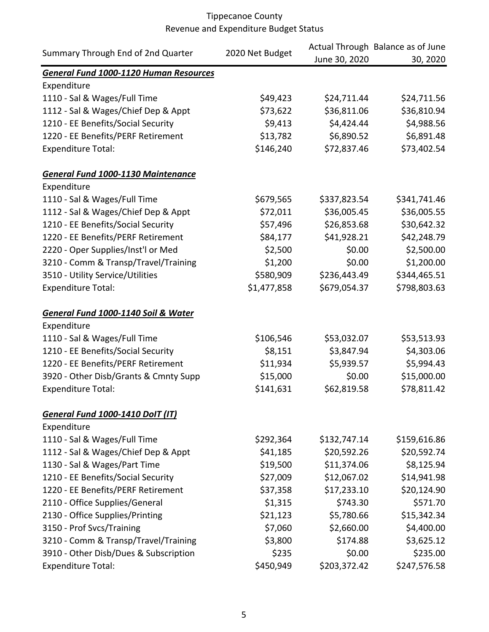| Summary Through End of 2nd Quarter            | 2020 Net Budget |               | Actual Through Balance as of June |
|-----------------------------------------------|-----------------|---------------|-----------------------------------|
|                                               |                 | June 30, 2020 | 30, 2020                          |
| <b>General Fund 1000-1120 Human Resources</b> |                 |               |                                   |
| Expenditure                                   |                 |               |                                   |
| 1110 - Sal & Wages/Full Time                  | \$49,423        | \$24,711.44   | \$24,711.56                       |
| 1112 - Sal & Wages/Chief Dep & Appt           | \$73,622        | \$36,811.06   | \$36,810.94                       |
| 1210 - EE Benefits/Social Security            | \$9,413         | \$4,424.44    | \$4,988.56                        |
| 1220 - EE Benefits/PERF Retirement            | \$13,782        | \$6,890.52    | \$6,891.48                        |
| <b>Expenditure Total:</b>                     | \$146,240       | \$72,837.46   | \$73,402.54                       |
| <b>General Fund 1000-1130 Maintenance</b>     |                 |               |                                   |
| Expenditure                                   |                 |               |                                   |
| 1110 - Sal & Wages/Full Time                  | \$679,565       | \$337,823.54  | \$341,741.46                      |
| 1112 - Sal & Wages/Chief Dep & Appt           | \$72,011        | \$36,005.45   | \$36,005.55                       |
| 1210 - EE Benefits/Social Security            | \$57,496        | \$26,853.68   | \$30,642.32                       |
| 1220 - EE Benefits/PERF Retirement            | \$84,177        | \$41,928.21   | \$42,248.79                       |
| 2220 - Oper Supplies/Inst'l or Med            | \$2,500         | \$0.00        | \$2,500.00                        |
| 3210 - Comm & Transp/Travel/Training          | \$1,200         | \$0.00        | \$1,200.00                        |
| 3510 - Utility Service/Utilities              | \$580,909       | \$236,443.49  | \$344,465.51                      |
| <b>Expenditure Total:</b>                     | \$1,477,858     | \$679,054.37  | \$798,803.63                      |
| General Fund 1000-1140 Soil & Water           |                 |               |                                   |
| Expenditure                                   |                 |               |                                   |
| 1110 - Sal & Wages/Full Time                  | \$106,546       | \$53,032.07   | \$53,513.93                       |
| 1210 - EE Benefits/Social Security            | \$8,151         | \$3,847.94    | \$4,303.06                        |
| 1220 - EE Benefits/PERF Retirement            | \$11,934        | \$5,939.57    | \$5,994.43                        |
| 3920 - Other Disb/Grants & Cmnty Supp         | \$15,000        | \$0.00        | \$15,000.00                       |
| <b>Expenditure Total:</b>                     | \$141,631       | \$62,819.58   | \$78,811.42                       |
| General Fund 1000-1410 DoIT (IT)              |                 |               |                                   |
| Expenditure                                   |                 |               |                                   |
| 1110 - Sal & Wages/Full Time                  | \$292,364       | \$132,747.14  | \$159,616.86                      |
| 1112 - Sal & Wages/Chief Dep & Appt           | \$41,185        | \$20,592.26   | \$20,592.74                       |
| 1130 - Sal & Wages/Part Time                  | \$19,500        | \$11,374.06   | \$8,125.94                        |
| 1210 - EE Benefits/Social Security            | \$27,009        | \$12,067.02   | \$14,941.98                       |
| 1220 - EE Benefits/PERF Retirement            | \$37,358        | \$17,233.10   | \$20,124.90                       |
| 2110 - Office Supplies/General                | \$1,315         | \$743.30      | \$571.70                          |
| 2130 - Office Supplies/Printing               | \$21,123        | \$5,780.66    | \$15,342.34                       |
| 3150 - Prof Svcs/Training                     | \$7,060         | \$2,660.00    | \$4,400.00                        |
| 3210 - Comm & Transp/Travel/Training          | \$3,800         | \$174.88      | \$3,625.12                        |
| 3910 - Other Disb/Dues & Subscription         | \$235           | \$0.00        | \$235.00                          |
| <b>Expenditure Total:</b>                     | \$450,949       | \$203,372.42  | \$247,576.58                      |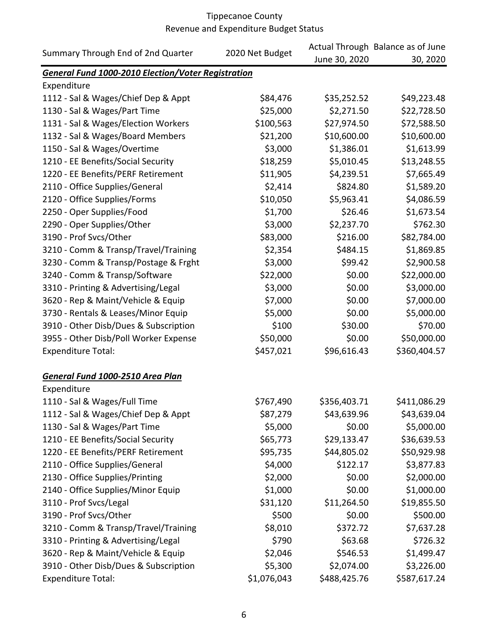| Summary Through End of 2nd Quarter                        | 2020 Net Budget |               | Actual Through Balance as of June |
|-----------------------------------------------------------|-----------------|---------------|-----------------------------------|
|                                                           |                 | June 30, 2020 | 30, 2020                          |
| <b>General Fund 1000-2010 Election/Voter Registration</b> |                 |               |                                   |
| Expenditure                                               |                 |               |                                   |
| 1112 - Sal & Wages/Chief Dep & Appt                       | \$84,476        | \$35,252.52   | \$49,223.48                       |
| 1130 - Sal & Wages/Part Time                              | \$25,000        | \$2,271.50    | \$22,728.50                       |
| 1131 - Sal & Wages/Election Workers                       | \$100,563       | \$27,974.50   | \$72,588.50                       |
| 1132 - Sal & Wages/Board Members                          | \$21,200        | \$10,600.00   | \$10,600.00                       |
| 1150 - Sal & Wages/Overtime                               | \$3,000         | \$1,386.01    | \$1,613.99                        |
| 1210 - EE Benefits/Social Security                        | \$18,259        | \$5,010.45    | \$13,248.55                       |
| 1220 - EE Benefits/PERF Retirement                        | \$11,905        | \$4,239.51    | \$7,665.49                        |
| 2110 - Office Supplies/General                            | \$2,414         | \$824.80      | \$1,589.20                        |
| 2120 - Office Supplies/Forms                              | \$10,050        | \$5,963.41    | \$4,086.59                        |
| 2250 - Oper Supplies/Food                                 | \$1,700         | \$26.46       | \$1,673.54                        |
| 2290 - Oper Supplies/Other                                | \$3,000         | \$2,237.70    | \$762.30                          |
| 3190 - Prof Svcs/Other                                    | \$83,000        | \$216.00      | \$82,784.00                       |
| 3210 - Comm & Transp/Travel/Training                      | \$2,354         | \$484.15      | \$1,869.85                        |
| 3230 - Comm & Transp/Postage & Frght                      | \$3,000         | \$99.42       | \$2,900.58                        |
| 3240 - Comm & Transp/Software                             | \$22,000        | \$0.00        | \$22,000.00                       |
| 3310 - Printing & Advertising/Legal                       | \$3,000         | \$0.00        | \$3,000.00                        |
| 3620 - Rep & Maint/Vehicle & Equip                        | \$7,000         | \$0.00        | \$7,000.00                        |
| 3730 - Rentals & Leases/Minor Equip                       | \$5,000         | \$0.00        | \$5,000.00                        |
| 3910 - Other Disb/Dues & Subscription                     | \$100           | \$30.00       | \$70.00                           |
| 3955 - Other Disb/Poll Worker Expense                     | \$50,000        | \$0.00        | \$50,000.00                       |
| <b>Expenditure Total:</b>                                 | \$457,021       | \$96,616.43   | \$360,404.57                      |
| General Fund 1000-2510 Area Plan                          |                 |               |                                   |
| Expenditure                                               |                 |               |                                   |
| 1110 - Sal & Wages/Full Time                              | \$767,490       | \$356,403.71  | \$411,086.29                      |
| 1112 - Sal & Wages/Chief Dep & Appt                       | \$87,279        | \$43,639.96   | \$43,639.04                       |
| 1130 - Sal & Wages/Part Time                              | \$5,000         | \$0.00        | \$5,000.00                        |
| 1210 - EE Benefits/Social Security                        | \$65,773        | \$29,133.47   | \$36,639.53                       |
| 1220 - EE Benefits/PERF Retirement                        | \$95,735        | \$44,805.02   | \$50,929.98                       |
| 2110 - Office Supplies/General                            | \$4,000         | \$122.17      | \$3,877.83                        |
| 2130 - Office Supplies/Printing                           | \$2,000         | \$0.00        | \$2,000.00                        |
| 2140 - Office Supplies/Minor Equip                        | \$1,000         | \$0.00        | \$1,000.00                        |
| 3110 - Prof Svcs/Legal                                    | \$31,120        | \$11,264.50   | \$19,855.50                       |
| 3190 - Prof Svcs/Other                                    | \$500           | \$0.00        | \$500.00                          |
| 3210 - Comm & Transp/Travel/Training                      | \$8,010         | \$372.72      | \$7,637.28                        |
| 3310 - Printing & Advertising/Legal                       | \$790           | \$63.68       | \$726.32                          |
| 3620 - Rep & Maint/Vehicle & Equip                        | \$2,046         | \$546.53      | \$1,499.47                        |
| 3910 - Other Disb/Dues & Subscription                     | \$5,300         | \$2,074.00    | \$3,226.00                        |
| <b>Expenditure Total:</b>                                 | \$1,076,043     | \$488,425.76  | \$587,617.24                      |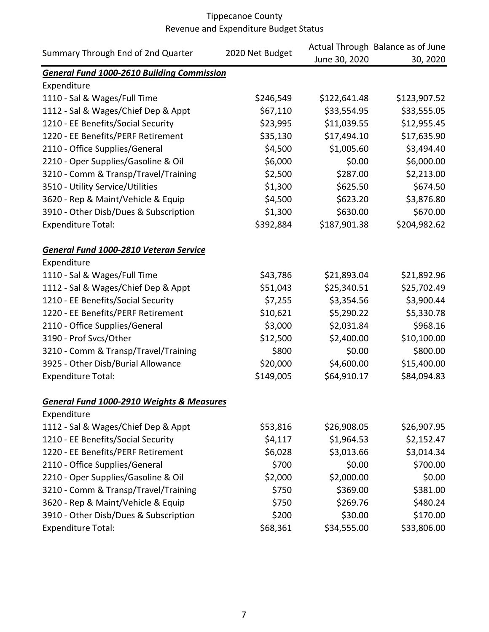| Summary Through End of 2nd Quarter                               | 2020 Net Budget |               | Actual Through Balance as of June |
|------------------------------------------------------------------|-----------------|---------------|-----------------------------------|
|                                                                  |                 | June 30, 2020 | 30, 2020                          |
| <b>General Fund 1000-2610 Building Commission</b><br>Expenditure |                 |               |                                   |
| 1110 - Sal & Wages/Full Time                                     | \$246,549       | \$122,641.48  | \$123,907.52                      |
| 1112 - Sal & Wages/Chief Dep & Appt                              | \$67,110        | \$33,554.95   | \$33,555.05                       |
| 1210 - EE Benefits/Social Security                               | \$23,995        | \$11,039.55   | \$12,955.45                       |
| 1220 - EE Benefits/PERF Retirement                               | \$35,130        | \$17,494.10   | \$17,635.90                       |
| 2110 - Office Supplies/General                                   | \$4,500         | \$1,005.60    | \$3,494.40                        |
| 2210 - Oper Supplies/Gasoline & Oil                              | \$6,000         | \$0.00        | \$6,000.00                        |
| 3210 - Comm & Transp/Travel/Training                             | \$2,500         | \$287.00      | \$2,213.00                        |
| 3510 - Utility Service/Utilities                                 | \$1,300         | \$625.50      | \$674.50                          |
| 3620 - Rep & Maint/Vehicle & Equip                               | \$4,500         | \$623.20      | \$3,876.80                        |
| 3910 - Other Disb/Dues & Subscription                            | \$1,300         | \$630.00      | \$670.00                          |
| <b>Expenditure Total:</b>                                        | \$392,884       | \$187,901.38  | \$204,982.62                      |
|                                                                  |                 |               |                                   |
| General Fund 1000-2810 Veteran Service                           |                 |               |                                   |
| Expenditure                                                      |                 |               |                                   |
| 1110 - Sal & Wages/Full Time                                     | \$43,786        | \$21,893.04   | \$21,892.96                       |
| 1112 - Sal & Wages/Chief Dep & Appt                              | \$51,043        | \$25,340.51   | \$25,702.49                       |
| 1210 - EE Benefits/Social Security                               | \$7,255         | \$3,354.56    | \$3,900.44                        |
| 1220 - EE Benefits/PERF Retirement                               | \$10,621        | \$5,290.22    | \$5,330.78                        |
| 2110 - Office Supplies/General                                   | \$3,000         | \$2,031.84    | \$968.16                          |
| 3190 - Prof Svcs/Other                                           | \$12,500        | \$2,400.00    | \$10,100.00                       |
| 3210 - Comm & Transp/Travel/Training                             | \$800           | \$0.00        | \$800.00                          |
| 3925 - Other Disb/Burial Allowance                               | \$20,000        | \$4,600.00    | \$15,400.00                       |
| <b>Expenditure Total:</b>                                        | \$149,005       | \$64,910.17   | \$84,094.83                       |
| <b>General Fund 1000-2910 Weights &amp; Measures</b>             |                 |               |                                   |
| Expenditure                                                      |                 |               |                                   |
| 1112 - Sal & Wages/Chief Dep & Appt                              | \$53,816        | \$26,908.05   | \$26,907.95                       |
| 1210 - EE Benefits/Social Security                               | \$4,117         | \$1,964.53    | \$2,152.47                        |
| 1220 - EE Benefits/PERF Retirement                               | \$6,028         | \$3,013.66    | \$3,014.34                        |
| 2110 - Office Supplies/General                                   | \$700           | \$0.00        | \$700.00                          |
| 2210 - Oper Supplies/Gasoline & Oil                              | \$2,000         | \$2,000.00    | \$0.00                            |
| 3210 - Comm & Transp/Travel/Training                             | \$750           | \$369.00      | \$381.00                          |
| 3620 - Rep & Maint/Vehicle & Equip                               | \$750           | \$269.76      | \$480.24                          |
| 3910 - Other Disb/Dues & Subscription                            | \$200           | \$30.00       | \$170.00                          |
| <b>Expenditure Total:</b>                                        | \$68,361        | \$34,555.00   | \$33,806.00                       |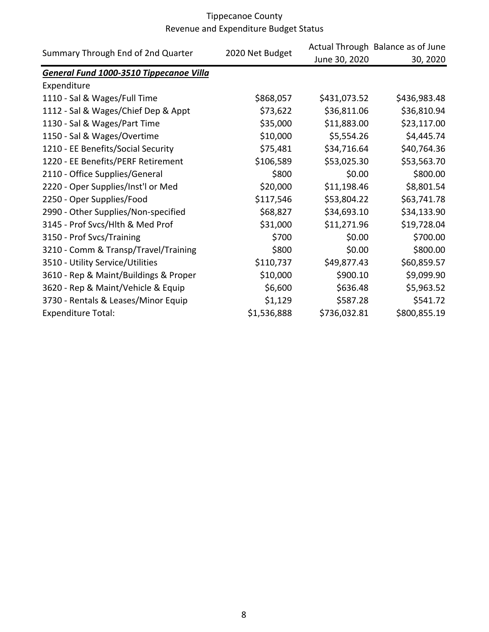|                                         |                 |               | Actual Through Balance as of June |
|-----------------------------------------|-----------------|---------------|-----------------------------------|
| Summary Through End of 2nd Quarter      | 2020 Net Budget | June 30, 2020 | 30, 2020                          |
| General Fund 1000-3510 Tippecanoe Villa |                 |               |                                   |
| Expenditure                             |                 |               |                                   |
| 1110 - Sal & Wages/Full Time            | \$868,057       | \$431,073.52  | \$436,983.48                      |
| 1112 - Sal & Wages/Chief Dep & Appt     | \$73,622        | \$36,811.06   | \$36,810.94                       |
| 1130 - Sal & Wages/Part Time            | \$35,000        | \$11,883.00   | \$23,117.00                       |
| 1150 - Sal & Wages/Overtime             | \$10,000        | \$5,554.26    | \$4,445.74                        |
| 1210 - EE Benefits/Social Security      | \$75,481        | \$34,716.64   | \$40,764.36                       |
| 1220 - EE Benefits/PERF Retirement      | \$106,589       | \$53,025.30   | \$53,563.70                       |
| 2110 - Office Supplies/General          | \$800           | \$0.00        | \$800.00                          |
| 2220 - Oper Supplies/Inst'l or Med      | \$20,000        | \$11,198.46   | \$8,801.54                        |
| 2250 - Oper Supplies/Food               | \$117,546       | \$53,804.22   | \$63,741.78                       |
| 2990 - Other Supplies/Non-specified     | \$68,827        | \$34,693.10   | \$34,133.90                       |
| 3145 - Prof Svcs/Hlth & Med Prof        | \$31,000        | \$11,271.96   | \$19,728.04                       |
| 3150 - Prof Svcs/Training               | \$700           | \$0.00        | \$700.00                          |
| 3210 - Comm & Transp/Travel/Training    | \$800           | \$0.00        | \$800.00                          |
| 3510 - Utility Service/Utilities        | \$110,737       | \$49,877.43   | \$60,859.57                       |
| 3610 - Rep & Maint/Buildings & Proper   | \$10,000        | \$900.10      | \$9,099.90                        |
| 3620 - Rep & Maint/Vehicle & Equip      | \$6,600         | \$636.48      | \$5,963.52                        |
| 3730 - Rentals & Leases/Minor Equip     | \$1,129         | \$587.28      | \$541.72                          |
| <b>Expenditure Total:</b>               | \$1,536,888     | \$736,032.81  | \$800,855.19                      |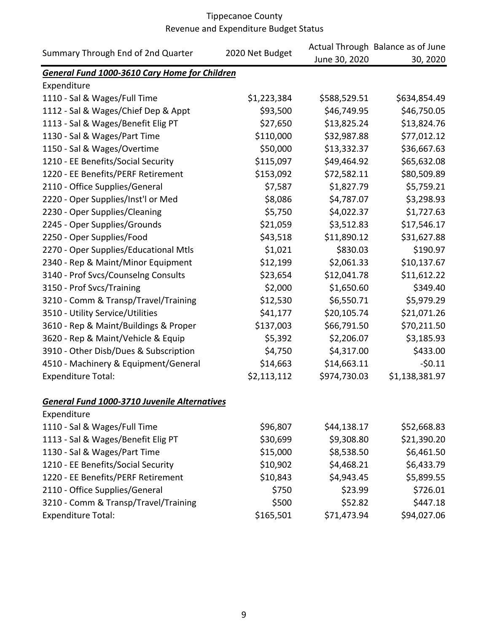| Summary Through End of 2nd Quarter                   | 2020 Net Budget |               | Actual Through Balance as of June |
|------------------------------------------------------|-----------------|---------------|-----------------------------------|
|                                                      |                 | June 30, 2020 | 30, 2020                          |
| <b>General Fund 1000-3610 Cary Home for Children</b> |                 |               |                                   |
| Expenditure                                          |                 |               |                                   |
| 1110 - Sal & Wages/Full Time                         | \$1,223,384     | \$588,529.51  | \$634,854.49                      |
| 1112 - Sal & Wages/Chief Dep & Appt                  | \$93,500        | \$46,749.95   | \$46,750.05                       |
| 1113 - Sal & Wages/Benefit Elig PT                   | \$27,650        | \$13,825.24   | \$13,824.76                       |
| 1130 - Sal & Wages/Part Time                         | \$110,000       | \$32,987.88   | \$77,012.12                       |
| 1150 - Sal & Wages/Overtime                          | \$50,000        | \$13,332.37   | \$36,667.63                       |
| 1210 - EE Benefits/Social Security                   | \$115,097       | \$49,464.92   | \$65,632.08                       |
| 1220 - EE Benefits/PERF Retirement                   | \$153,092       | \$72,582.11   | \$80,509.89                       |
| 2110 - Office Supplies/General                       | \$7,587         | \$1,827.79    | \$5,759.21                        |
| 2220 - Oper Supplies/Inst'l or Med                   | \$8,086         | \$4,787.07    | \$3,298.93                        |
| 2230 - Oper Supplies/Cleaning                        | \$5,750         | \$4,022.37    | \$1,727.63                        |
| 2245 - Oper Supplies/Grounds                         | \$21,059        | \$3,512.83    | \$17,546.17                       |
| 2250 - Oper Supplies/Food                            | \$43,518        | \$11,890.12   | \$31,627.88                       |
| 2270 - Oper Supplies/Educational Mtls                | \$1,021         | \$830.03      | \$190.97                          |
| 2340 - Rep & Maint/Minor Equipment                   | \$12,199        | \$2,061.33    | \$10,137.67                       |
| 3140 - Prof Svcs/Counselng Consults                  | \$23,654        | \$12,041.78   | \$11,612.22                       |
| 3150 - Prof Svcs/Training                            | \$2,000         | \$1,650.60    | \$349.40                          |
| 3210 - Comm & Transp/Travel/Training                 | \$12,530        | \$6,550.71    | \$5,979.29                        |
| 3510 - Utility Service/Utilities                     | \$41,177        | \$20,105.74   | \$21,071.26                       |
| 3610 - Rep & Maint/Buildings & Proper                | \$137,003       | \$66,791.50   | \$70,211.50                       |
| 3620 - Rep & Maint/Vehicle & Equip                   | \$5,392         | \$2,206.07    | \$3,185.93                        |
| 3910 - Other Disb/Dues & Subscription                | \$4,750         | \$4,317.00    | \$433.00                          |
| 4510 - Machinery & Equipment/General                 | \$14,663        | \$14,663.11   | $-50.11$                          |
| <b>Expenditure Total:</b>                            | \$2,113,112     | \$974,730.03  | \$1,138,381.97                    |
| <b>General Fund 1000-3710 Juvenile Alternatives</b>  |                 |               |                                   |
| Expenditure                                          |                 |               |                                   |
| 1110 - Sal & Wages/Full Time                         | \$96,807        | \$44,138.17   | \$52,668.83                       |
| 1113 - Sal & Wages/Benefit Elig PT                   | \$30,699        | \$9,308.80    | \$21,390.20                       |
| 1130 - Sal & Wages/Part Time                         | \$15,000        | \$8,538.50    | \$6,461.50                        |
| 1210 - EE Benefits/Social Security                   | \$10,902        | \$4,468.21    | \$6,433.79                        |
| 1220 - EE Benefits/PERF Retirement                   | \$10,843        | \$4,943.45    | \$5,899.55                        |
| 2110 - Office Supplies/General                       | \$750           | \$23.99       | \$726.01                          |
| 3210 - Comm & Transp/Travel/Training                 | \$500           | \$52.82       | \$447.18                          |
| <b>Expenditure Total:</b>                            | \$165,501       | \$71,473.94   | \$94,027.06                       |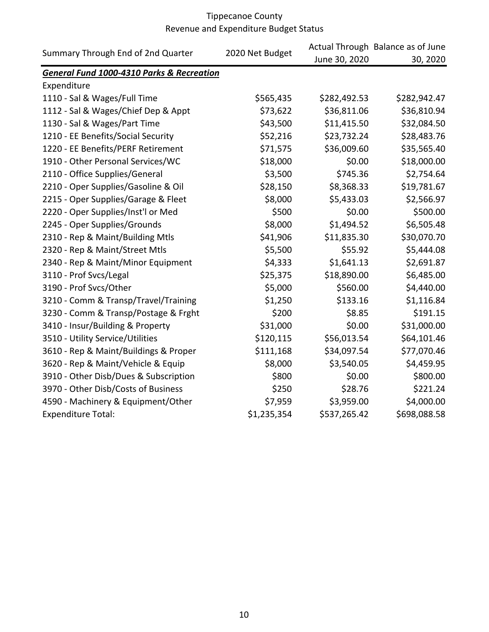| Summary Through End of 2nd Quarter                   | 2020 Net Budget |               | Actual Through Balance as of June |
|------------------------------------------------------|-----------------|---------------|-----------------------------------|
|                                                      |                 | June 30, 2020 | 30, 2020                          |
| <b>General Fund 1000-4310 Parks &amp; Recreation</b> |                 |               |                                   |
| Expenditure                                          |                 |               |                                   |
| 1110 - Sal & Wages/Full Time                         | \$565,435       | \$282,492.53  | \$282,942.47                      |
| 1112 - Sal & Wages/Chief Dep & Appt                  | \$73,622        | \$36,811.06   | \$36,810.94                       |
| 1130 - Sal & Wages/Part Time                         | \$43,500        | \$11,415.50   | \$32,084.50                       |
| 1210 - EE Benefits/Social Security                   | \$52,216        | \$23,732.24   | \$28,483.76                       |
| 1220 - EE Benefits/PERF Retirement                   | \$71,575        | \$36,009.60   | \$35,565.40                       |
| 1910 - Other Personal Services/WC                    | \$18,000        | \$0.00        | \$18,000.00                       |
| 2110 - Office Supplies/General                       | \$3,500         | \$745.36      | \$2,754.64                        |
| 2210 - Oper Supplies/Gasoline & Oil                  | \$28,150        | \$8,368.33    | \$19,781.67                       |
| 2215 - Oper Supplies/Garage & Fleet                  | \$8,000         | \$5,433.03    | \$2,566.97                        |
| 2220 - Oper Supplies/Inst'l or Med                   | \$500           | \$0.00        | \$500.00                          |
| 2245 - Oper Supplies/Grounds                         | \$8,000         | \$1,494.52    | \$6,505.48                        |
| 2310 - Rep & Maint/Building Mtls                     | \$41,906        | \$11,835.30   | \$30,070.70                       |
| 2320 - Rep & Maint/Street Mtls                       | \$5,500         | \$55.92       | \$5,444.08                        |
| 2340 - Rep & Maint/Minor Equipment                   | \$4,333         | \$1,641.13    | \$2,691.87                        |
| 3110 - Prof Svcs/Legal                               | \$25,375        | \$18,890.00   | \$6,485.00                        |
| 3190 - Prof Svcs/Other                               | \$5,000         | \$560.00      | \$4,440.00                        |
| 3210 - Comm & Transp/Travel/Training                 | \$1,250         | \$133.16      | \$1,116.84                        |
| 3230 - Comm & Transp/Postage & Frght                 | \$200           | \$8.85        | \$191.15                          |
| 3410 - Insur/Building & Property                     | \$31,000        | \$0.00        | \$31,000.00                       |
| 3510 - Utility Service/Utilities                     | \$120,115       | \$56,013.54   | \$64,101.46                       |
| 3610 - Rep & Maint/Buildings & Proper                | \$111,168       | \$34,097.54   | \$77,070.46                       |
| 3620 - Rep & Maint/Vehicle & Equip                   | \$8,000         | \$3,540.05    | \$4,459.95                        |
| 3910 - Other Disb/Dues & Subscription                | \$800           | \$0.00        | \$800.00                          |
| 3970 - Other Disb/Costs of Business                  | \$250           | \$28.76       | \$221.24                          |
| 4590 - Machinery & Equipment/Other                   | \$7,959         | \$3,959.00    | \$4,000.00                        |
| <b>Expenditure Total:</b>                            | \$1,235,354     | \$537,265.42  | \$698,088.58                      |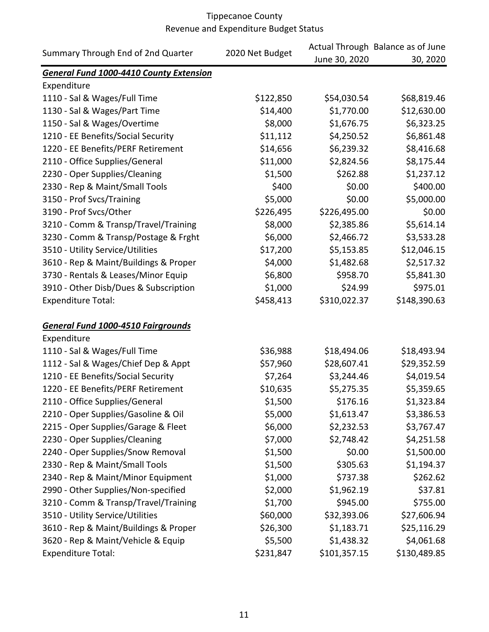| Summary Through End of 2nd Quarter             | 2020 Net Budget |               | Actual Through Balance as of June |
|------------------------------------------------|-----------------|---------------|-----------------------------------|
|                                                |                 | June 30, 2020 | 30, 2020                          |
| <b>General Fund 1000-4410 County Extension</b> |                 |               |                                   |
| Expenditure                                    |                 |               |                                   |
| 1110 - Sal & Wages/Full Time                   | \$122,850       | \$54,030.54   | \$68,819.46                       |
| 1130 - Sal & Wages/Part Time                   | \$14,400        | \$1,770.00    | \$12,630.00                       |
| 1150 - Sal & Wages/Overtime                    | \$8,000         | \$1,676.75    | \$6,323.25                        |
| 1210 - EE Benefits/Social Security             | \$11,112        | \$4,250.52    | \$6,861.48                        |
| 1220 - EE Benefits/PERF Retirement             | \$14,656        | \$6,239.32    | \$8,416.68                        |
| 2110 - Office Supplies/General                 | \$11,000        | \$2,824.56    | \$8,175.44                        |
| 2230 - Oper Supplies/Cleaning                  | \$1,500         | \$262.88      | \$1,237.12                        |
| 2330 - Rep & Maint/Small Tools                 | \$400           | \$0.00        | \$400.00                          |
| 3150 - Prof Svcs/Training                      | \$5,000         | \$0.00        | \$5,000.00                        |
| 3190 - Prof Svcs/Other                         | \$226,495       | \$226,495.00  | \$0.00                            |
| 3210 - Comm & Transp/Travel/Training           | \$8,000         | \$2,385.86    | \$5,614.14                        |
| 3230 - Comm & Transp/Postage & Frght           | \$6,000         | \$2,466.72    | \$3,533.28                        |
| 3510 - Utility Service/Utilities               | \$17,200        | \$5,153.85    | \$12,046.15                       |
| 3610 - Rep & Maint/Buildings & Proper          | \$4,000         | \$1,482.68    | \$2,517.32                        |
| 3730 - Rentals & Leases/Minor Equip            | \$6,800         | \$958.70      | \$5,841.30                        |
| 3910 - Other Disb/Dues & Subscription          | \$1,000         | \$24.99       | \$975.01                          |
| <b>Expenditure Total:</b>                      | \$458,413       | \$310,022.37  | \$148,390.63                      |
| General Fund 1000-4510 Fairgrounds             |                 |               |                                   |
| Expenditure                                    |                 |               |                                   |
| 1110 - Sal & Wages/Full Time                   | \$36,988        | \$18,494.06   | \$18,493.94                       |
| 1112 - Sal & Wages/Chief Dep & Appt            | \$57,960        | \$28,607.41   | \$29,352.59                       |
| 1210 - EE Benefits/Social Security             | \$7,264         | \$3,244.46    | \$4,019.54                        |
| 1220 - EE Benefits/PERF Retirement             | \$10,635        | \$5,275.35    | \$5,359.65                        |
| 2110 - Office Supplies/General                 | \$1,500         | \$176.16      | \$1,323.84                        |
| 2210 - Oper Supplies/Gasoline & Oil            | \$5,000         | \$1,613.47    | \$3,386.53                        |
| 2215 - Oper Supplies/Garage & Fleet            | \$6,000         | \$2,232.53    | \$3,767.47                        |
| 2230 - Oper Supplies/Cleaning                  | \$7,000         | \$2,748.42    | \$4,251.58                        |
| 2240 - Oper Supplies/Snow Removal              | \$1,500         | \$0.00        | \$1,500.00                        |
| 2330 - Rep & Maint/Small Tools                 | \$1,500         | \$305.63      | \$1,194.37                        |
| 2340 - Rep & Maint/Minor Equipment             | \$1,000         | \$737.38      | \$262.62                          |
| 2990 - Other Supplies/Non-specified            | \$2,000         | \$1,962.19    | \$37.81                           |
| 3210 - Comm & Transp/Travel/Training           | \$1,700         | \$945.00      | \$755.00                          |
| 3510 - Utility Service/Utilities               | \$60,000        | \$32,393.06   | \$27,606.94                       |
| 3610 - Rep & Maint/Buildings & Proper          | \$26,300        | \$1,183.71    | \$25,116.29                       |
| 3620 - Rep & Maint/Vehicle & Equip             | \$5,500         | \$1,438.32    | \$4,061.68                        |
| <b>Expenditure Total:</b>                      | \$231,847       | \$101,357.15  | \$130,489.85                      |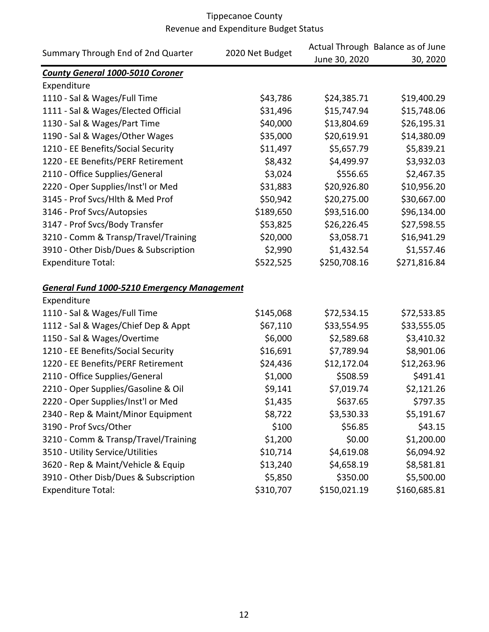| Summary Through End of 2nd Quarter                 | 2020 Net Budget |               | Actual Through Balance as of June |
|----------------------------------------------------|-----------------|---------------|-----------------------------------|
|                                                    |                 | June 30, 2020 | 30, 2020                          |
| <b>County General 1000-5010 Coroner</b>            |                 |               |                                   |
| Expenditure                                        |                 |               |                                   |
| 1110 - Sal & Wages/Full Time                       | \$43,786        | \$24,385.71   | \$19,400.29                       |
| 1111 - Sal & Wages/Elected Official                | \$31,496        | \$15,747.94   | \$15,748.06                       |
| 1130 - Sal & Wages/Part Time                       | \$40,000        | \$13,804.69   | \$26,195.31                       |
| 1190 - Sal & Wages/Other Wages                     | \$35,000        | \$20,619.91   | \$14,380.09                       |
| 1210 - EE Benefits/Social Security                 | \$11,497        | \$5,657.79    | \$5,839.21                        |
| 1220 - EE Benefits/PERF Retirement                 | \$8,432         | \$4,499.97    | \$3,932.03                        |
| 2110 - Office Supplies/General                     | \$3,024         | \$556.65      | \$2,467.35                        |
| 2220 - Oper Supplies/Inst'l or Med                 | \$31,883        | \$20,926.80   | \$10,956.20                       |
| 3145 - Prof Svcs/Hlth & Med Prof                   | \$50,942        | \$20,275.00   | \$30,667.00                       |
| 3146 - Prof Svcs/Autopsies                         | \$189,650       | \$93,516.00   | \$96,134.00                       |
| 3147 - Prof Svcs/Body Transfer                     | \$53,825        | \$26,226.45   | \$27,598.55                       |
| 3210 - Comm & Transp/Travel/Training               | \$20,000        | \$3,058.71    | \$16,941.29                       |
| 3910 - Other Disb/Dues & Subscription              | \$2,990         | \$1,432.54    | \$1,557.46                        |
| <b>Expenditure Total:</b>                          | \$522,525       | \$250,708.16  | \$271,816.84                      |
| <b>General Fund 1000-5210 Emergency Management</b> |                 |               |                                   |
| Expenditure                                        |                 |               |                                   |
| 1110 - Sal & Wages/Full Time                       | \$145,068       | \$72,534.15   | \$72,533.85                       |
| 1112 - Sal & Wages/Chief Dep & Appt                | \$67,110        | \$33,554.95   | \$33,555.05                       |
| 1150 - Sal & Wages/Overtime                        | \$6,000         | \$2,589.68    | \$3,410.32                        |
| 1210 - EE Benefits/Social Security                 | \$16,691        | \$7,789.94    | \$8,901.06                        |
| 1220 - EE Benefits/PERF Retirement                 | \$24,436        | \$12,172.04   | \$12,263.96                       |
| 2110 - Office Supplies/General                     | \$1,000         | \$508.59      | \$491.41                          |
| 2210 - Oper Supplies/Gasoline & Oil                | \$9,141         | \$7,019.74    | \$2,121.26                        |
| 2220 - Oper Supplies/Inst'l or Med                 | \$1,435         | \$637.65      | \$797.35                          |
| 2340 - Rep & Maint/Minor Equipment                 | \$8,722         | \$3,530.33    | \$5,191.67                        |
| 3190 - Prof Svcs/Other                             | \$100           | \$56.85       | \$43.15                           |
| 3210 - Comm & Transp/Travel/Training               | \$1,200         | \$0.00        | \$1,200.00                        |
| 3510 - Utility Service/Utilities                   | \$10,714        | \$4,619.08    | \$6,094.92                        |
| 3620 - Rep & Maint/Vehicle & Equip                 | \$13,240        | \$4,658.19    | \$8,581.81                        |
| 3910 - Other Disb/Dues & Subscription              | \$5,850         | \$350.00      | \$5,500.00                        |
| <b>Expenditure Total:</b>                          | \$310,707       | \$150,021.19  | \$160,685.81                      |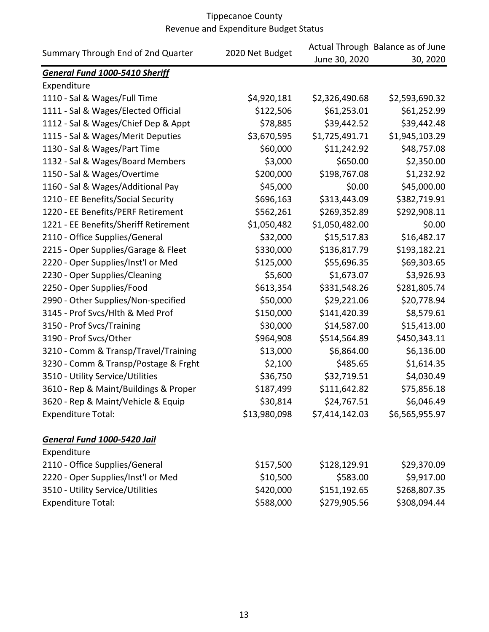| Summary Through End of 2nd Quarter    | 2020 Net Budget |                | Actual Through Balance as of June |
|---------------------------------------|-----------------|----------------|-----------------------------------|
|                                       |                 | June 30, 2020  | 30, 2020                          |
| <b>General Fund 1000-5410 Sheriff</b> |                 |                |                                   |
| Expenditure                           |                 |                |                                   |
| 1110 - Sal & Wages/Full Time          | \$4,920,181     | \$2,326,490.68 | \$2,593,690.32                    |
| 1111 - Sal & Wages/Elected Official   | \$122,506       | \$61,253.01    | \$61,252.99                       |
| 1112 - Sal & Wages/Chief Dep & Appt   | \$78,885        | \$39,442.52    | \$39,442.48                       |
| 1115 - Sal & Wages/Merit Deputies     | \$3,670,595     | \$1,725,491.71 | \$1,945,103.29                    |
| 1130 - Sal & Wages/Part Time          | \$60,000        | \$11,242.92    | \$48,757.08                       |
| 1132 - Sal & Wages/Board Members      | \$3,000         | \$650.00       | \$2,350.00                        |
| 1150 - Sal & Wages/Overtime           | \$200,000       | \$198,767.08   | \$1,232.92                        |
| 1160 - Sal & Wages/Additional Pay     | \$45,000        | \$0.00         | \$45,000.00                       |
| 1210 - EE Benefits/Social Security    | \$696,163       | \$313,443.09   | \$382,719.91                      |
| 1220 - EE Benefits/PERF Retirement    | \$562,261       | \$269,352.89   | \$292,908.11                      |
| 1221 - EE Benefits/Sheriff Retirement | \$1,050,482     | \$1,050,482.00 | \$0.00                            |
| 2110 - Office Supplies/General        | \$32,000        | \$15,517.83    | \$16,482.17                       |
| 2215 - Oper Supplies/Garage & Fleet   | \$330,000       | \$136,817.79   | \$193,182.21                      |
| 2220 - Oper Supplies/Inst'l or Med    | \$125,000       | \$55,696.35    | \$69,303.65                       |
| 2230 - Oper Supplies/Cleaning         | \$5,600         | \$1,673.07     | \$3,926.93                        |
| 2250 - Oper Supplies/Food             | \$613,354       | \$331,548.26   | \$281,805.74                      |
| 2990 - Other Supplies/Non-specified   | \$50,000        | \$29,221.06    | \$20,778.94                       |
| 3145 - Prof Svcs/Hlth & Med Prof      | \$150,000       | \$141,420.39   | \$8,579.61                        |
| 3150 - Prof Svcs/Training             | \$30,000        | \$14,587.00    | \$15,413.00                       |
| 3190 - Prof Svcs/Other                | \$964,908       | \$514,564.89   | \$450,343.11                      |
| 3210 - Comm & Transp/Travel/Training  | \$13,000        | \$6,864.00     | \$6,136.00                        |
| 3230 - Comm & Transp/Postage & Frght  | \$2,100         | \$485.65       | \$1,614.35                        |
| 3510 - Utility Service/Utilities      | \$36,750        | \$32,719.51    | \$4,030.49                        |
| 3610 - Rep & Maint/Buildings & Proper | \$187,499       | \$111,642.82   | \$75,856.18                       |
| 3620 - Rep & Maint/Vehicle & Equip    | \$30,814        | \$24,767.51    | \$6,046.49                        |
| <b>Expenditure Total:</b>             | \$13,980,098    | \$7,414,142.03 | \$6,565,955.97                    |
| General Fund 1000-5420 Jail           |                 |                |                                   |
| Expenditure                           |                 |                |                                   |
| 2110 - Office Supplies/General        | \$157,500       | \$128,129.91   | \$29,370.09                       |
| 2220 - Oper Supplies/Inst'l or Med    | \$10,500        | \$583.00       | \$9,917.00                        |
| 3510 - Utility Service/Utilities      | \$420,000       | \$151,192.65   | \$268,807.35                      |
| <b>Expenditure Total:</b>             | \$588,000       | \$279,905.56   | \$308,094.44                      |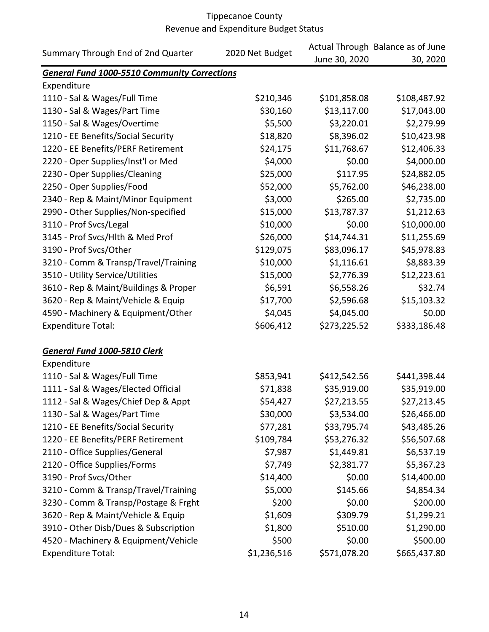| Summary Through End of 2nd Quarter                  | 2020 Net Budget |               | Actual Through Balance as of June |
|-----------------------------------------------------|-----------------|---------------|-----------------------------------|
|                                                     |                 | June 30, 2020 | 30, 2020                          |
| <b>General Fund 1000-5510 Community Corrections</b> |                 |               |                                   |
| Expenditure                                         |                 |               |                                   |
| 1110 - Sal & Wages/Full Time                        | \$210,346       | \$101,858.08  | \$108,487.92                      |
| 1130 - Sal & Wages/Part Time                        | \$30,160        | \$13,117.00   | \$17,043.00                       |
| 1150 - Sal & Wages/Overtime                         | \$5,500         | \$3,220.01    | \$2,279.99                        |
| 1210 - EE Benefits/Social Security                  | \$18,820        | \$8,396.02    | \$10,423.98                       |
| 1220 - EE Benefits/PERF Retirement                  | \$24,175        | \$11,768.67   | \$12,406.33                       |
| 2220 - Oper Supplies/Inst'l or Med                  | \$4,000         | \$0.00        | \$4,000.00                        |
| 2230 - Oper Supplies/Cleaning                       | \$25,000        | \$117.95      | \$24,882.05                       |
| 2250 - Oper Supplies/Food                           | \$52,000        | \$5,762.00    | \$46,238.00                       |
| 2340 - Rep & Maint/Minor Equipment                  | \$3,000         | \$265.00      | \$2,735.00                        |
| 2990 - Other Supplies/Non-specified                 | \$15,000        | \$13,787.37   | \$1,212.63                        |
| 3110 - Prof Svcs/Legal                              | \$10,000        | \$0.00        | \$10,000.00                       |
| 3145 - Prof Svcs/Hlth & Med Prof                    | \$26,000        | \$14,744.31   | \$11,255.69                       |
| 3190 - Prof Svcs/Other                              | \$129,075       | \$83,096.17   | \$45,978.83                       |
| 3210 - Comm & Transp/Travel/Training                | \$10,000        | \$1,116.61    | \$8,883.39                        |
| 3510 - Utility Service/Utilities                    | \$15,000        | \$2,776.39    | \$12,223.61                       |
| 3610 - Rep & Maint/Buildings & Proper               | \$6,591         | \$6,558.26    | \$32.74                           |
| 3620 - Rep & Maint/Vehicle & Equip                  | \$17,700        | \$2,596.68    | \$15,103.32                       |
| 4590 - Machinery & Equipment/Other                  | \$4,045         | \$4,045.00    | \$0.00                            |
| <b>Expenditure Total:</b>                           | \$606,412       | \$273,225.52  | \$333,186.48                      |
| General Fund 1000-5810 Clerk                        |                 |               |                                   |
| Expenditure                                         |                 |               |                                   |
| 1110 - Sal & Wages/Full Time                        | \$853,941       | \$412,542.56  | \$441,398.44                      |
| 1111 - Sal & Wages/Elected Official                 | \$71,838        | \$35,919.00   | \$35,919.00                       |
| 1112 - Sal & Wages/Chief Dep & Appt                 | \$54,427        | \$27,213.55   | \$27,213.45                       |
| 1130 - Sal & Wages/Part Time                        | \$30,000        | \$3,534.00    | \$26,466.00                       |
| 1210 - EE Benefits/Social Security                  | \$77,281        | \$33,795.74   | \$43,485.26                       |
| 1220 - EE Benefits/PERF Retirement                  | \$109,784       | \$53,276.32   | \$56,507.68                       |
| 2110 - Office Supplies/General                      | \$7,987         | \$1,449.81    | \$6,537.19                        |
| 2120 - Office Supplies/Forms                        | \$7,749         | \$2,381.77    | \$5,367.23                        |
| 3190 - Prof Svcs/Other                              | \$14,400        | \$0.00        | \$14,400.00                       |
| 3210 - Comm & Transp/Travel/Training                | \$5,000         | \$145.66      | \$4,854.34                        |
| 3230 - Comm & Transp/Postage & Frght                | \$200           | \$0.00        | \$200.00                          |
| 3620 - Rep & Maint/Vehicle & Equip                  | \$1,609         | \$309.79      | \$1,299.21                        |
| 3910 - Other Disb/Dues & Subscription               | \$1,800         | \$510.00      | \$1,290.00                        |
| 4520 - Machinery & Equipment/Vehicle                | \$500           | \$0.00        | \$500.00                          |
| <b>Expenditure Total:</b>                           | \$1,236,516     | \$571,078.20  | \$665,437.80                      |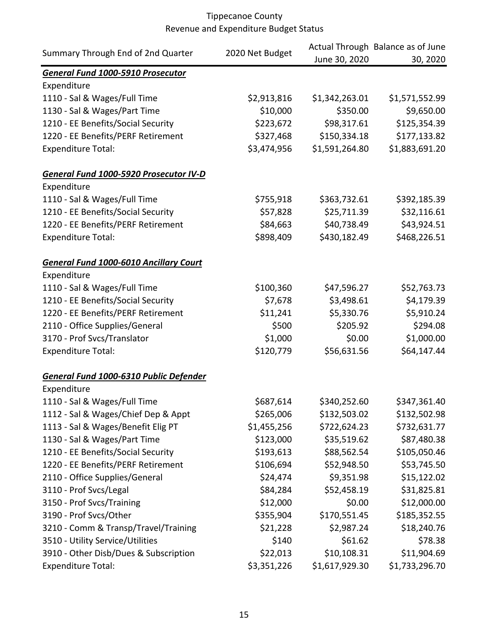| Summary Through End of 2nd Quarter            | 2020 Net Budget |                | Actual Through Balance as of June |
|-----------------------------------------------|-----------------|----------------|-----------------------------------|
|                                               |                 | June 30, 2020  | 30, 2020                          |
| General Fund 1000-5910 Prosecutor             |                 |                |                                   |
| Expenditure                                   |                 |                |                                   |
| 1110 - Sal & Wages/Full Time                  | \$2,913,816     | \$1,342,263.01 | \$1,571,552.99                    |
| 1130 - Sal & Wages/Part Time                  | \$10,000        | \$350.00       | \$9,650.00                        |
| 1210 - EE Benefits/Social Security            | \$223,672       | \$98,317.61    | \$125,354.39                      |
| 1220 - EE Benefits/PERF Retirement            | \$327,468       | \$150,334.18   | \$177,133.82                      |
| <b>Expenditure Total:</b>                     | \$3,474,956     | \$1,591,264.80 | \$1,883,691.20                    |
| General Fund 1000-5920 Prosecutor IV-D        |                 |                |                                   |
| Expenditure                                   |                 |                |                                   |
| 1110 - Sal & Wages/Full Time                  | \$755,918       | \$363,732.61   | \$392,185.39                      |
| 1210 - EE Benefits/Social Security            | \$57,828        | \$25,711.39    | \$32,116.61                       |
| 1220 - EE Benefits/PERF Retirement            | \$84,663        | \$40,738.49    | \$43,924.51                       |
| <b>Expenditure Total:</b>                     | \$898,409       | \$430,182.49   | \$468,226.51                      |
| <b>General Fund 1000-6010 Ancillary Court</b> |                 |                |                                   |
| Expenditure                                   |                 |                |                                   |
| 1110 - Sal & Wages/Full Time                  | \$100,360       | \$47,596.27    | \$52,763.73                       |
| 1210 - EE Benefits/Social Security            | \$7,678         | \$3,498.61     | \$4,179.39                        |
| 1220 - EE Benefits/PERF Retirement            | \$11,241        | \$5,330.76     | \$5,910.24                        |
| 2110 - Office Supplies/General                | \$500           | \$205.92       | \$294.08                          |
| 3170 - Prof Svcs/Translator                   | \$1,000         | \$0.00         | \$1,000.00                        |
| <b>Expenditure Total:</b>                     | \$120,779       | \$56,631.56    | \$64,147.44                       |
| General Fund 1000-6310 Public Defender        |                 |                |                                   |
| Expenditure                                   |                 |                |                                   |
| 1110 - Sal & Wages/Full Time                  | \$687,614       | \$340,252.60   | \$347,361.40                      |
| 1112 - Sal & Wages/Chief Dep & Appt           | \$265,006       | \$132,503.02   | \$132,502.98                      |
| 1113 - Sal & Wages/Benefit Elig PT            | \$1,455,256     | \$722,624.23   | \$732,631.77                      |
| 1130 - Sal & Wages/Part Time                  | \$123,000       | \$35,519.62    | \$87,480.38                       |
| 1210 - EE Benefits/Social Security            | \$193,613       | \$88,562.54    | \$105,050.46                      |
| 1220 - EE Benefits/PERF Retirement            | \$106,694       | \$52,948.50    | \$53,745.50                       |
| 2110 - Office Supplies/General                | \$24,474        | \$9,351.98     | \$15,122.02                       |
| 3110 - Prof Svcs/Legal                        | \$84,284        | \$52,458.19    | \$31,825.81                       |
| 3150 - Prof Svcs/Training                     | \$12,000        | \$0.00         | \$12,000.00                       |
| 3190 - Prof Svcs/Other                        | \$355,904       | \$170,551.45   | \$185,352.55                      |
| 3210 - Comm & Transp/Travel/Training          | \$21,228        | \$2,987.24     | \$18,240.76                       |
| 3510 - Utility Service/Utilities              | \$140           | \$61.62        | \$78.38                           |
| 3910 - Other Disb/Dues & Subscription         | \$22,013        | \$10,108.31    | \$11,904.69                       |
| <b>Expenditure Total:</b>                     | \$3,351,226     | \$1,617,929.30 | \$1,733,296.70                    |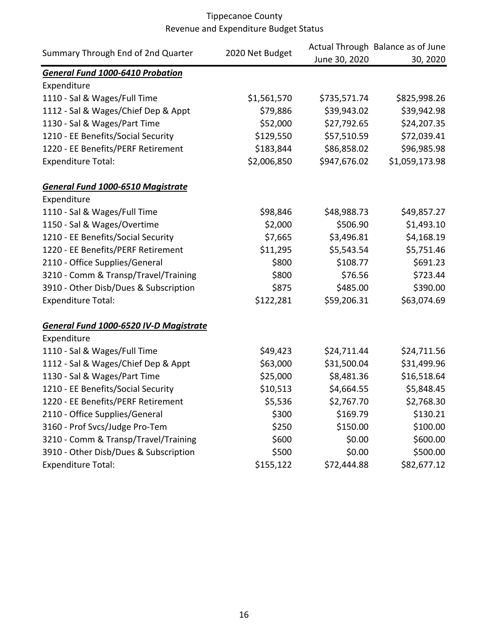| Summary Through End of 2nd Quarter       | 2020 Net Budget | June 30, 2020 | Actual Through Balance as of June<br>30, 2020 |
|------------------------------------------|-----------------|---------------|-----------------------------------------------|
| <b>General Fund 1000-6410 Probation</b>  |                 |               |                                               |
| Expenditure                              |                 |               |                                               |
| 1110 - Sal & Wages/Full Time             | \$1,561,570     | \$735,571.74  | \$825,998.26                                  |
| 1112 - Sal & Wages/Chief Dep & Appt      | \$79,886        | \$39,943.02   | \$39,942.98                                   |
| 1130 - Sal & Wages/Part Time             | \$52,000        | \$27,792.65   | \$24,207.35                                   |
| 1210 - EE Benefits/Social Security       | \$129,550       | \$57,510.59   | \$72,039.41                                   |
| 1220 - EE Benefits/PERF Retirement       | \$183,844       | \$86,858.02   | \$96,985.98                                   |
| <b>Expenditure Total:</b>                | \$2,006,850     | \$947,676.02  | \$1,059,173.98                                |
| <b>General Fund 1000-6510 Magistrate</b> |                 |               |                                               |
| Expenditure                              |                 |               |                                               |
| 1110 - Sal & Wages/Full Time             | \$98,846        | \$48,988.73   | \$49,857.27                                   |
| 1150 - Sal & Wages/Overtime              | \$2,000         | \$506.90      | \$1,493.10                                    |
| 1210 - EE Benefits/Social Security       | \$7,665         | \$3,496.81    | \$4,168.19                                    |
| 1220 - EE Benefits/PERF Retirement       | \$11,295        | \$5,543.54    | \$5,751.46                                    |
| 2110 - Office Supplies/General           | \$800           | \$108.77      | \$691.23                                      |
| 3210 - Comm & Transp/Travel/Training     | \$800           | \$76.56       | \$723.44                                      |
| 3910 - Other Disb/Dues & Subscription    | \$875           | \$485.00      | \$390.00                                      |
| <b>Expenditure Total:</b>                | \$122,281       | \$59,206.31   | \$63,074.69                                   |
| General Fund 1000-6520 IV-D Magistrate   |                 |               |                                               |
| Expenditure                              |                 |               |                                               |
| 1110 - Sal & Wages/Full Time             | \$49,423        | \$24,711.44   | \$24,711.56                                   |
| 1112 - Sal & Wages/Chief Dep & Appt      | \$63,000        | \$31,500.04   | \$31,499.96                                   |
| 1130 - Sal & Wages/Part Time             | \$25,000        | \$8,481.36    | \$16,518.64                                   |
| 1210 - EE Benefits/Social Security       | \$10,513        | \$4,664.55    | \$5,848.45                                    |
| 1220 - EE Benefits/PERF Retirement       | \$5,536         | \$2,767.70    | \$2,768.30                                    |
| 2110 - Office Supplies/General           | \$300           | \$169.79      | \$130.21                                      |
| 3160 - Prof Svcs/Judge Pro-Tem           | \$250           | \$150.00      | \$100.00                                      |
| 3210 - Comm & Transp/Travel/Training     | \$600           | \$0.00        | \$600.00                                      |
| 3910 - Other Disb/Dues & Subscription    | \$500           | \$0.00        | \$500.00                                      |
| <b>Expenditure Total:</b>                | \$155,122       | \$72,444.88   | \$82,677.12                                   |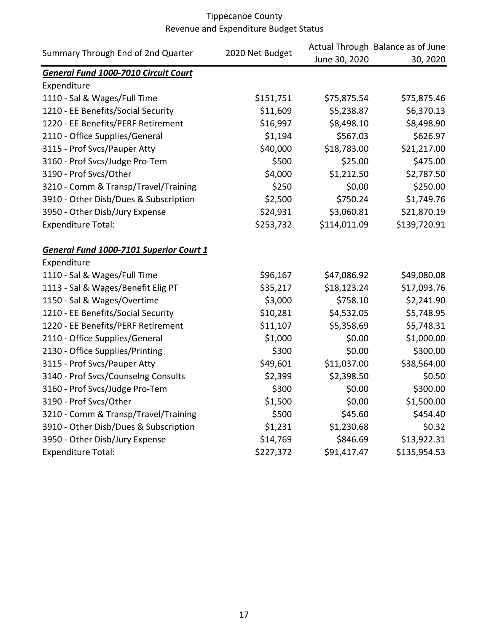| Summary Through End of 2nd Quarter      | 2020 Net Budget |               | Actual Through Balance as of June |
|-----------------------------------------|-----------------|---------------|-----------------------------------|
|                                         |                 | June 30, 2020 | 30, 2020                          |
| General Fund 1000-7010 Circuit Court    |                 |               |                                   |
| Expenditure                             |                 |               |                                   |
| 1110 - Sal & Wages/Full Time            | \$151,751       | \$75,875.54   | \$75,875.46                       |
| 1210 - EE Benefits/Social Security      | \$11,609        | \$5,238.87    | \$6,370.13                        |
| 1220 - EE Benefits/PERF Retirement      | \$16,997        | \$8,498.10    | \$8,498.90                        |
| 2110 - Office Supplies/General          | \$1,194         | \$567.03      | \$626.97                          |
| 3115 - Prof Svcs/Pauper Atty            | \$40,000        | \$18,783.00   | \$21,217.00                       |
| 3160 - Prof Svcs/Judge Pro-Tem          | \$500           | \$25.00       | \$475.00                          |
| 3190 - Prof Svcs/Other                  | \$4,000         | \$1,212.50    | \$2,787.50                        |
| 3210 - Comm & Transp/Travel/Training    | \$250           | \$0.00        | \$250.00                          |
| 3910 - Other Disb/Dues & Subscription   | \$2,500         | \$750.24      | \$1,749.76                        |
| 3950 - Other Disb/Jury Expense          | \$24,931        | \$3,060.81    | \$21,870.19                       |
| <b>Expenditure Total:</b>               | \$253,732       | \$114,011.09  | \$139,720.91                      |
| General Fund 1000-7101 Superior Court 1 |                 |               |                                   |
| Expenditure                             |                 |               |                                   |
| 1110 - Sal & Wages/Full Time            | \$96,167        | \$47,086.92   | \$49,080.08                       |
| 1113 - Sal & Wages/Benefit Elig PT      | \$35,217        | \$18,123.24   | \$17,093.76                       |
| 1150 - Sal & Wages/Overtime             | \$3,000         | \$758.10      | \$2,241.90                        |
| 1210 - EE Benefits/Social Security      | \$10,281        | \$4,532.05    | \$5,748.95                        |
| 1220 - EE Benefits/PERF Retirement      | \$11,107        | \$5,358.69    | \$5,748.31                        |
| 2110 - Office Supplies/General          | \$1,000         | \$0.00        | \$1,000.00                        |
| 2130 - Office Supplies/Printing         | \$300           | \$0.00        | \$300.00                          |
| 3115 - Prof Svcs/Pauper Atty            | \$49,601        | \$11,037.00   | \$38,564.00                       |
| 3140 - Prof Svcs/Counselng Consults     | \$2,399         | \$2,398.50    | \$0.50                            |
| 3160 - Prof Svcs/Judge Pro-Tem          | \$300           | \$0.00        | \$300.00                          |
| 3190 - Prof Svcs/Other                  | \$1,500         | \$0.00        | \$1,500.00                        |
| 3210 - Comm & Transp/Travel/Training    | \$500           | \$45.60       | \$454.40                          |
| 3910 - Other Disb/Dues & Subscription   | \$1,231         | \$1,230.68    | \$0.32                            |
| 3950 - Other Disb/Jury Expense          | \$14,769        | \$846.69      | \$13,922.31                       |
| <b>Expenditure Total:</b>               | \$227,372       | \$91,417.47   | \$135,954.53                      |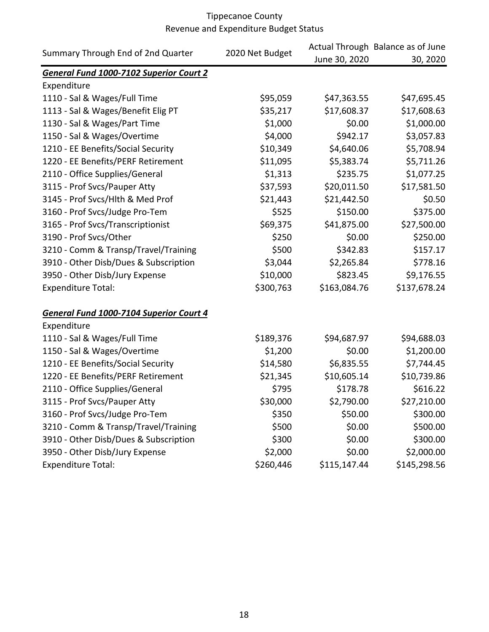| Summary Through End of 2nd Quarter      | 2020 Net Budget |               | Actual Through Balance as of June |
|-----------------------------------------|-----------------|---------------|-----------------------------------|
|                                         |                 | June 30, 2020 | 30, 2020                          |
| General Fund 1000-7102 Superior Court 2 |                 |               |                                   |
| Expenditure                             |                 |               |                                   |
| 1110 - Sal & Wages/Full Time            | \$95,059        | \$47,363.55   | \$47,695.45                       |
| 1113 - Sal & Wages/Benefit Elig PT      | \$35,217        | \$17,608.37   | \$17,608.63                       |
| 1130 - Sal & Wages/Part Time            | \$1,000         | \$0.00        | \$1,000.00                        |
| 1150 - Sal & Wages/Overtime             | \$4,000         | \$942.17      | \$3,057.83                        |
| 1210 - EE Benefits/Social Security      | \$10,349        | \$4,640.06    | \$5,708.94                        |
| 1220 - EE Benefits/PERF Retirement      | \$11,095        | \$5,383.74    | \$5,711.26                        |
| 2110 - Office Supplies/General          | \$1,313         | \$235.75      | \$1,077.25                        |
| 3115 - Prof Svcs/Pauper Atty            | \$37,593        | \$20,011.50   | \$17,581.50                       |
| 3145 - Prof Svcs/Hlth & Med Prof        | \$21,443        | \$21,442.50   | \$0.50                            |
| 3160 - Prof Svcs/Judge Pro-Tem          | \$525           | \$150.00      | \$375.00                          |
| 3165 - Prof Svcs/Transcriptionist       | \$69,375        | \$41,875.00   | \$27,500.00                       |
| 3190 - Prof Svcs/Other                  | \$250           | \$0.00        | \$250.00                          |
| 3210 - Comm & Transp/Travel/Training    | \$500           | \$342.83      | \$157.17                          |
| 3910 - Other Disb/Dues & Subscription   | \$3,044         | \$2,265.84    | \$778.16                          |
| 3950 - Other Disb/Jury Expense          | \$10,000        | \$823.45      | \$9,176.55                        |
| <b>Expenditure Total:</b>               | \$300,763       | \$163,084.76  | \$137,678.24                      |
| General Fund 1000-7104 Superior Court 4 |                 |               |                                   |
| Expenditure                             |                 |               |                                   |
| 1110 - Sal & Wages/Full Time            | \$189,376       | \$94,687.97   | \$94,688.03                       |
| 1150 - Sal & Wages/Overtime             | \$1,200         | \$0.00        | \$1,200.00                        |
| 1210 - EE Benefits/Social Security      | \$14,580        | \$6,835.55    | \$7,744.45                        |
| 1220 - EE Benefits/PERF Retirement      | \$21,345        | \$10,605.14   | \$10,739.86                       |
| 2110 - Office Supplies/General          | \$795           | \$178.78      | \$616.22                          |
| 3115 - Prof Svcs/Pauper Atty            | \$30,000        | \$2,790.00    | \$27,210.00                       |
| 3160 - Prof Svcs/Judge Pro-Tem          | \$350           | \$50.00       | \$300.00                          |
| 3210 - Comm & Transp/Travel/Training    | \$500           | \$0.00        | \$500.00                          |
| 3910 - Other Disb/Dues & Subscription   | \$300           | \$0.00        | \$300.00                          |
| 3950 - Other Disb/Jury Expense          | \$2,000         | \$0.00        | \$2,000.00                        |
| <b>Expenditure Total:</b>               | \$260,446       | \$115,147.44  | \$145,298.56                      |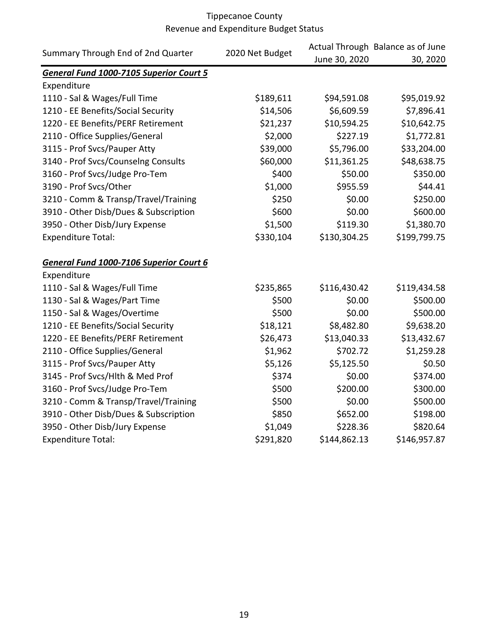| Summary Through End of 2nd Quarter      | 2020 Net Budget |               | Actual Through Balance as of June |
|-----------------------------------------|-----------------|---------------|-----------------------------------|
|                                         |                 | June 30, 2020 | 30, 2020                          |
| General Fund 1000-7105 Superior Court 5 |                 |               |                                   |
| Expenditure                             |                 |               |                                   |
| 1110 - Sal & Wages/Full Time            | \$189,611       | \$94,591.08   | \$95,019.92                       |
| 1210 - EE Benefits/Social Security      | \$14,506        | \$6,609.59    | \$7,896.41                        |
| 1220 - EE Benefits/PERF Retirement      | \$21,237        | \$10,594.25   | \$10,642.75                       |
| 2110 - Office Supplies/General          | \$2,000         | \$227.19      | \$1,772.81                        |
| 3115 - Prof Svcs/Pauper Atty            | \$39,000        | \$5,796.00    | \$33,204.00                       |
| 3140 - Prof Svcs/Counselng Consults     | \$60,000        | \$11,361.25   | \$48,638.75                       |
| 3160 - Prof Svcs/Judge Pro-Tem          | \$400           | \$50.00       | \$350.00                          |
| 3190 - Prof Svcs/Other                  | \$1,000         | \$955.59      | \$44.41                           |
| 3210 - Comm & Transp/Travel/Training    | \$250           | \$0.00        | \$250.00                          |
| 3910 - Other Disb/Dues & Subscription   | \$600           | \$0.00        | \$600.00                          |
| 3950 - Other Disb/Jury Expense          | \$1,500         | \$119.30      | \$1,380.70                        |
| <b>Expenditure Total:</b>               | \$330,104       | \$130,304.25  | \$199,799.75                      |
| General Fund 1000-7106 Superior Court 6 |                 |               |                                   |
| Expenditure                             |                 |               |                                   |
| 1110 - Sal & Wages/Full Time            | \$235,865       | \$116,430.42  | \$119,434.58                      |
| 1130 - Sal & Wages/Part Time            | \$500           | \$0.00        | \$500.00                          |
| 1150 - Sal & Wages/Overtime             | \$500           | \$0.00        | \$500.00                          |
| 1210 - EE Benefits/Social Security      | \$18,121        | \$8,482.80    | \$9,638.20                        |
| 1220 - EE Benefits/PERF Retirement      | \$26,473        | \$13,040.33   | \$13,432.67                       |
| 2110 - Office Supplies/General          | \$1,962         | \$702.72      | \$1,259.28                        |
| 3115 - Prof Svcs/Pauper Atty            | \$5,126         | \$5,125.50    | \$0.50                            |
| 3145 - Prof Svcs/Hlth & Med Prof        | \$374           | \$0.00        | \$374.00                          |
| 3160 - Prof Svcs/Judge Pro-Tem          | \$500           | \$200.00      | \$300.00                          |
| 3210 - Comm & Transp/Travel/Training    | \$500           | \$0.00        | \$500.00                          |
| 3910 - Other Disb/Dues & Subscription   | \$850           | \$652.00      | \$198.00                          |
| 3950 - Other Disb/Jury Expense          | \$1,049         | \$228.36      | \$820.64                          |
| <b>Expenditure Total:</b>               | \$291,820       | \$144,862.13  | \$146,957.87                      |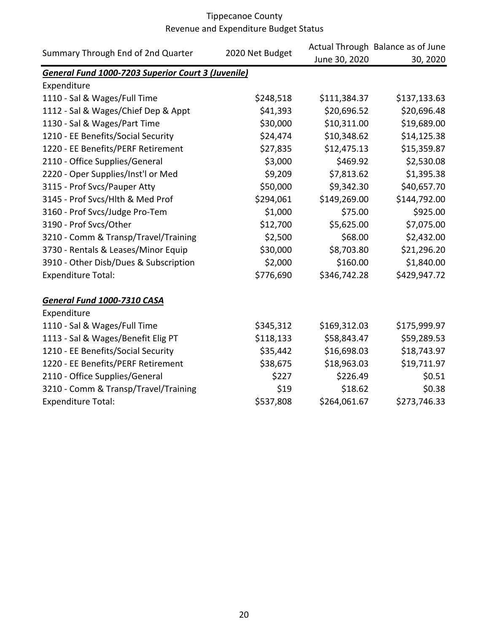| Summary Through End of 2nd Quarter                 | 2020 Net Budget |               | Actual Through Balance as of June |
|----------------------------------------------------|-----------------|---------------|-----------------------------------|
|                                                    |                 | June 30, 2020 | 30, 2020                          |
| General Fund 1000-7203 Superior Court 3 (Juvenile) |                 |               |                                   |
| Expenditure                                        |                 |               |                                   |
| 1110 - Sal & Wages/Full Time                       | \$248,518       | \$111,384.37  | \$137,133.63                      |
| 1112 - Sal & Wages/Chief Dep & Appt                | \$41,393        | \$20,696.52   | \$20,696.48                       |
| 1130 - Sal & Wages/Part Time                       | \$30,000        | \$10,311.00   | \$19,689.00                       |
| 1210 - EE Benefits/Social Security                 | \$24,474        | \$10,348.62   | \$14,125.38                       |
| 1220 - EE Benefits/PERF Retirement                 | \$27,835        | \$12,475.13   | \$15,359.87                       |
| 2110 - Office Supplies/General                     | \$3,000         | \$469.92      | \$2,530.08                        |
| 2220 - Oper Supplies/Inst'l or Med                 | \$9,209         | \$7,813.62    | \$1,395.38                        |
| 3115 - Prof Svcs/Pauper Atty                       | \$50,000        | \$9,342.30    | \$40,657.70                       |
| 3145 - Prof Svcs/Hlth & Med Prof                   | \$294,061       | \$149,269.00  | \$144,792.00                      |
| 3160 - Prof Svcs/Judge Pro-Tem                     | \$1,000         | \$75.00       | \$925.00                          |
| 3190 - Prof Svcs/Other                             | \$12,700        | \$5,625.00    | \$7,075.00                        |
| 3210 - Comm & Transp/Travel/Training               | \$2,500         | \$68.00       | \$2,432.00                        |
| 3730 - Rentals & Leases/Minor Equip                | \$30,000        | \$8,703.80    | \$21,296.20                       |
| 3910 - Other Disb/Dues & Subscription              | \$2,000         | \$160.00      | \$1,840.00                        |
| <b>Expenditure Total:</b>                          | \$776,690       | \$346,742.28  | \$429,947.72                      |
| General Fund 1000-7310 CASA                        |                 |               |                                   |
| Expenditure                                        |                 |               |                                   |
| 1110 - Sal & Wages/Full Time                       | \$345,312       | \$169,312.03  | \$175,999.97                      |
| 1113 - Sal & Wages/Benefit Elig PT                 | \$118,133       | \$58,843.47   | \$59,289.53                       |
| 1210 - EE Benefits/Social Security                 | \$35,442        | \$16,698.03   | \$18,743.97                       |
| 1220 - EE Benefits/PERF Retirement                 | \$38,675        | \$18,963.03   | \$19,711.97                       |
| 2110 - Office Supplies/General                     | \$227           | \$226.49      | \$0.51                            |
| 3210 - Comm & Transp/Travel/Training               | \$19            | \$18.62       | \$0.38                            |
| <b>Expenditure Total:</b>                          | \$537,808       | \$264,061.67  | \$273,746.33                      |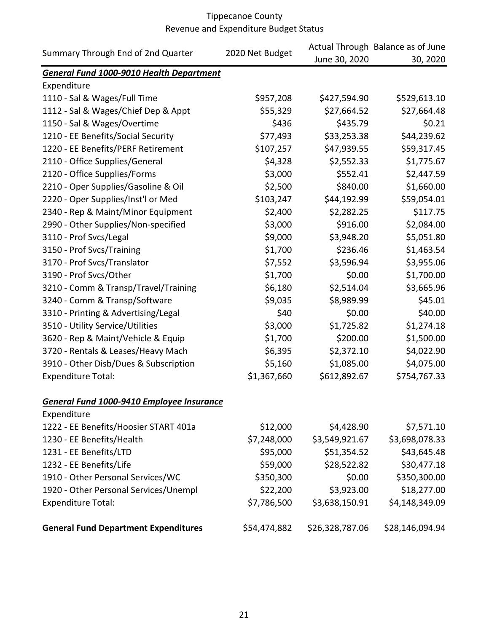| Summary Through End of 2nd Quarter          | 2020 Net Budget |                 | Actual Through Balance as of June |
|---------------------------------------------|-----------------|-----------------|-----------------------------------|
|                                             |                 | June 30, 2020   | 30, 2020                          |
| General Fund 1000-9010 Health Department    |                 |                 |                                   |
| Expenditure                                 |                 |                 |                                   |
| 1110 - Sal & Wages/Full Time                | \$957,208       | \$427,594.90    | \$529,613.10                      |
| 1112 - Sal & Wages/Chief Dep & Appt         | \$55,329        | \$27,664.52     | \$27,664.48                       |
| 1150 - Sal & Wages/Overtime                 | \$436           | \$435.79        | \$0.21                            |
| 1210 - EE Benefits/Social Security          | \$77,493        | \$33,253.38     | \$44,239.62                       |
| 1220 - EE Benefits/PERF Retirement          | \$107,257       | \$47,939.55     | \$59,317.45                       |
| 2110 - Office Supplies/General              | \$4,328         | \$2,552.33      | \$1,775.67                        |
| 2120 - Office Supplies/Forms                | \$3,000         | \$552.41        | \$2,447.59                        |
| 2210 - Oper Supplies/Gasoline & Oil         | \$2,500         | \$840.00        | \$1,660.00                        |
| 2220 - Oper Supplies/Inst'l or Med          | \$103,247       | \$44,192.99     | \$59,054.01                       |
| 2340 - Rep & Maint/Minor Equipment          | \$2,400         | \$2,282.25      | \$117.75                          |
| 2990 - Other Supplies/Non-specified         | \$3,000         | \$916.00        | \$2,084.00                        |
| 3110 - Prof Svcs/Legal                      | \$9,000         | \$3,948.20      | \$5,051.80                        |
| 3150 - Prof Svcs/Training                   | \$1,700         | \$236.46        | \$1,463.54                        |
| 3170 - Prof Svcs/Translator                 | \$7,552         | \$3,596.94      | \$3,955.06                        |
| 3190 - Prof Svcs/Other                      | \$1,700         | \$0.00          | \$1,700.00                        |
| 3210 - Comm & Transp/Travel/Training        | \$6,180         | \$2,514.04      | \$3,665.96                        |
| 3240 - Comm & Transp/Software               | \$9,035         | \$8,989.99      | \$45.01                           |
| 3310 - Printing & Advertising/Legal         | \$40            | \$0.00          | \$40.00                           |
| 3510 - Utility Service/Utilities            | \$3,000         | \$1,725.82      | \$1,274.18                        |
| 3620 - Rep & Maint/Vehicle & Equip          | \$1,700         | \$200.00        | \$1,500.00                        |
| 3720 - Rentals & Leases/Heavy Mach          | \$6,395         | \$2,372.10      | \$4,022.90                        |
| 3910 - Other Disb/Dues & Subscription       | \$5,160         | \$1,085.00      | \$4,075.00                        |
| <b>Expenditure Total:</b>                   | \$1,367,660     | \$612,892.67    | \$754,767.33                      |
| General Fund 1000-9410 Employee Insurance   |                 |                 |                                   |
| Expenditure                                 |                 |                 |                                   |
| 1222 - EE Benefits/Hoosier START 401a       | \$12,000        | \$4,428.90      | \$7,571.10                        |
| 1230 - EE Benefits/Health                   | \$7,248,000     | \$3,549,921.67  | \$3,698,078.33                    |
| 1231 - EE Benefits/LTD                      | \$95,000        | \$51,354.52     | \$43,645.48                       |
| 1232 - EE Benefits/Life                     | \$59,000        | \$28,522.82     | \$30,477.18                       |
| 1910 - Other Personal Services/WC           | \$350,300       | \$0.00          | \$350,300.00                      |
| 1920 - Other Personal Services/Unempl       | \$22,200        | \$3,923.00      | \$18,277.00                       |
| <b>Expenditure Total:</b>                   | \$7,786,500     | \$3,638,150.91  | \$4,148,349.09                    |
| <b>General Fund Department Expenditures</b> | \$54,474,882    | \$26,328,787.06 | \$28,146,094.94                   |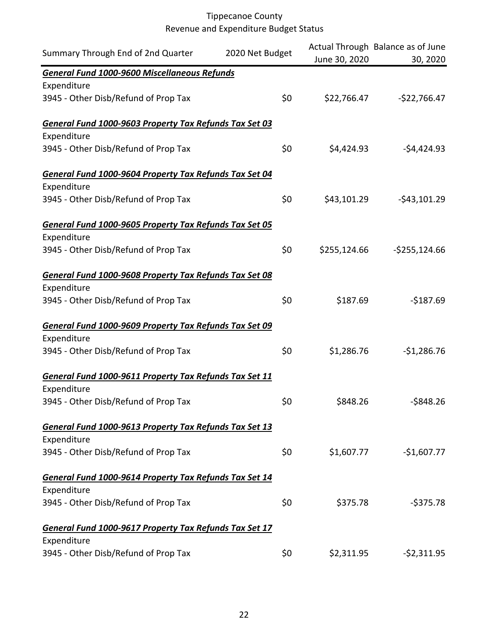| Summary Through End of 2nd Quarter                     | 2020 Net Budget | June 30, 2020 | Actual Through Balance as of June<br>30, 2020 |
|--------------------------------------------------------|-----------------|---------------|-----------------------------------------------|
| <b>General Fund 1000-9600 Miscellaneous Refunds</b>    |                 |               |                                               |
| Expenditure                                            |                 |               |                                               |
| 3945 - Other Disb/Refund of Prop Tax                   | \$0             | \$22,766.47   | $-$ \$22,766.47                               |
| General Fund 1000-9603 Property Tax Refunds Tax Set 03 |                 |               |                                               |
| Expenditure                                            |                 |               |                                               |
| 3945 - Other Disb/Refund of Prop Tax                   | \$0             | \$4,424.93    | $-$4,424.93$                                  |
| General Fund 1000-9604 Property Tax Refunds Tax Set 04 |                 |               |                                               |
| Expenditure                                            |                 |               |                                               |
| 3945 - Other Disb/Refund of Prop Tax                   | \$0             | \$43,101.29   | $-$ \$43,101.29                               |
| General Fund 1000-9605 Property Tax Refunds Tax Set 05 |                 |               |                                               |
| Expenditure                                            |                 |               |                                               |
| 3945 - Other Disb/Refund of Prop Tax                   | \$0             | \$255,124.66  | $-5255,124.66$                                |
| General Fund 1000-9608 Property Tax Refunds Tax Set 08 |                 |               |                                               |
| Expenditure                                            |                 |               |                                               |
| 3945 - Other Disb/Refund of Prop Tax                   | \$0             | \$187.69      | $-$187.69$                                    |
| General Fund 1000-9609 Property Tax Refunds Tax Set 09 |                 |               |                                               |
| Expenditure                                            |                 |               |                                               |
| 3945 - Other Disb/Refund of Prop Tax                   | \$0             | \$1,286.76    | $-$1,286.76$                                  |
| General Fund 1000-9611 Property Tax Refunds Tax Set 11 |                 |               |                                               |
| Expenditure                                            |                 |               |                                               |
| 3945 - Other Disb/Refund of Prop Tax                   | \$0             | \$848.26      | $-$ \$848.26                                  |
| General Fund 1000-9613 Property Tax Refunds Tax Set 13 |                 |               |                                               |
| Expenditure                                            |                 |               |                                               |
| 3945 - Other Disb/Refund of Prop Tax                   | \$0             | \$1,607.77    | $-$1,607.77$                                  |
| General Fund 1000-9614 Property Tax Refunds Tax Set 14 |                 |               |                                               |
| Expenditure                                            |                 |               |                                               |
| 3945 - Other Disb/Refund of Prop Tax                   | \$0             | \$375.78      | $-$ \$375.78                                  |
| General Fund 1000-9617 Property Tax Refunds Tax Set 17 |                 |               |                                               |
| Expenditure                                            |                 |               |                                               |
| 3945 - Other Disb/Refund of Prop Tax                   | \$0             | \$2,311.95    | $-52,311.95$                                  |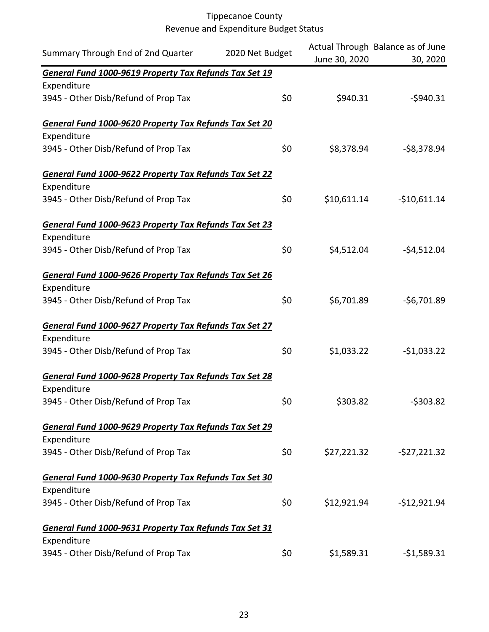| Summary Through End of 2nd Quarter                            | 2020 Net Budget |                    | Actual Through Balance as of June |
|---------------------------------------------------------------|-----------------|--------------------|-----------------------------------|
|                                                               |                 | June 30, 2020      | 30, 2020                          |
| General Fund 1000-9619 Property Tax Refunds Tax Set 19        |                 |                    |                                   |
| Expenditure<br>3945 - Other Disb/Refund of Prop Tax           | \$0             | \$940.31           | $-$940.31$                        |
|                                                               |                 |                    |                                   |
| General Fund 1000-9620 Property Tax Refunds Tax Set 20        |                 |                    |                                   |
| Expenditure                                                   |                 |                    |                                   |
| 3945 - Other Disb/Refund of Prop Tax                          | \$0             | \$8,378.94         | $-58,378.94$                      |
| General Fund 1000-9622 Property Tax Refunds Tax Set 22        |                 |                    |                                   |
| Expenditure                                                   |                 |                    |                                   |
| 3945 - Other Disb/Refund of Prop Tax                          | \$0             | \$10,611.14        | $-$10,611.14$                     |
| General Fund 1000-9623 Property Tax Refunds Tax Set 23        |                 |                    |                                   |
| Expenditure                                                   |                 |                    |                                   |
| 3945 - Other Disb/Refund of Prop Tax                          | \$0             | \$4,512.04         | $-54,512.04$                      |
| General Fund 1000-9626 Property Tax Refunds Tax Set 26        |                 |                    |                                   |
| Expenditure                                                   |                 |                    |                                   |
| 3945 - Other Disb/Refund of Prop Tax                          | \$0             | \$6,701.89         | $-56,701.89$                      |
| <b>General Fund 1000-9627 Property Tax Refunds Tax Set 27</b> |                 |                    |                                   |
| Expenditure                                                   |                 |                    |                                   |
| 3945 - Other Disb/Refund of Prop Tax                          | \$0             | \$1,033.22         | $-$1,033.22$                      |
| General Fund 1000-9628 Property Tax Refunds Tax Set 28        |                 |                    |                                   |
| Expenditure                                                   |                 |                    |                                   |
| 3945 - Other Disb/Refund of Prop Tax                          | \$0             | \$303.82           | $-5303.82$                        |
| General Fund 1000-9629 Property Tax Refunds Tax Set 29        |                 |                    |                                   |
| Expenditure                                                   |                 |                    |                                   |
| 3945 - Other Disb/Refund of Prop Tax                          |                 | \$0<br>\$27,221.32 | $-527,221.32$                     |
| General Fund 1000-9630 Property Tax Refunds Tax Set 30        |                 |                    |                                   |
| Expenditure                                                   |                 |                    |                                   |
| 3945 - Other Disb/Refund of Prop Tax                          |                 | \$0<br>\$12,921.94 | $-$12,921.94$                     |
| General Fund 1000-9631 Property Tax Refunds Tax Set 31        |                 |                    |                                   |
| Expenditure                                                   |                 |                    |                                   |
| 3945 - Other Disb/Refund of Prop Tax                          |                 | \$1,589.31<br>\$0  | $-51,589.31$                      |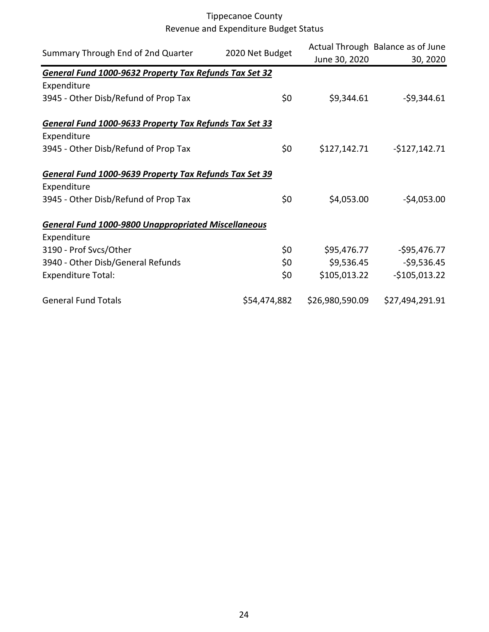| Summary Through End of 2nd Quarter                         | 2020 Net Budget |                 | Actual Through Balance as of June |
|------------------------------------------------------------|-----------------|-----------------|-----------------------------------|
|                                                            |                 | June 30, 2020   | 30, 2020                          |
| General Fund 1000-9632 Property Tax Refunds Tax Set 32     |                 |                 |                                   |
| Expenditure                                                |                 |                 |                                   |
| 3945 - Other Disb/Refund of Prop Tax                       | \$0             | \$9,344.61      | $-59,344.61$                      |
| General Fund 1000-9633 Property Tax Refunds Tax Set 33     |                 |                 |                                   |
| Expenditure                                                |                 |                 |                                   |
| 3945 - Other Disb/Refund of Prop Tax                       | \$0             | \$127,142.71    | $-$127,142.71$                    |
| General Fund 1000-9639 Property Tax Refunds Tax Set 39     |                 |                 |                                   |
| Expenditure                                                |                 |                 |                                   |
| 3945 - Other Disb/Refund of Prop Tax                       | \$0             | \$4,053.00      | $-$4,053.00$                      |
| <b>General Fund 1000-9800 Unappropriated Miscellaneous</b> |                 |                 |                                   |
| Expenditure                                                |                 |                 |                                   |
| 3190 - Prof Svcs/Other                                     | \$0             | \$95,476.77     | $-$ \$95,476.77                   |
| 3940 - Other Disb/General Refunds                          | \$0             | \$9,536.45      | $-59,536.45$                      |
| <b>Expenditure Total:</b>                                  | \$0             | \$105,013.22    | $-$105,013.22$                    |
| <b>General Fund Totals</b>                                 | \$54,474,882    | \$26,980,590.09 | \$27,494,291.91                   |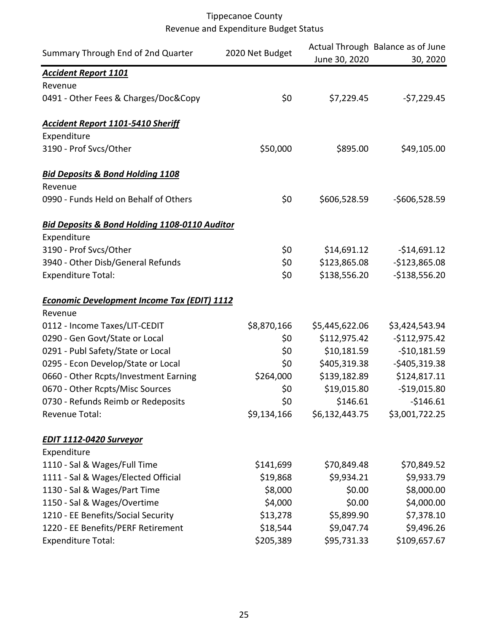| Summary Through End of 2nd Quarter                       | 2020 Net Budget | June 30, 2020  | Actual Through Balance as of June<br>30, 2020 |
|----------------------------------------------------------|-----------------|----------------|-----------------------------------------------|
| <b>Accident Report 1101</b>                              |                 |                |                                               |
| Revenue                                                  |                 |                |                                               |
| 0491 - Other Fees & Charges/Doc&Copy                     | \$0             | \$7,229.45     | $-57,229.45$                                  |
| <b>Accident Report 1101-5410 Sheriff</b>                 |                 |                |                                               |
| Expenditure                                              |                 |                |                                               |
| 3190 - Prof Svcs/Other                                   | \$50,000        | \$895.00       | \$49,105.00                                   |
| <b>Bid Deposits &amp; Bond Holding 1108</b>              |                 |                |                                               |
| Revenue                                                  |                 |                |                                               |
| 0990 - Funds Held on Behalf of Others                    | \$0             | \$606,528.59   | $-5606,528.59$                                |
| <b>Bid Deposits &amp; Bond Holding 1108-0110 Auditor</b> |                 |                |                                               |
| Expenditure                                              |                 |                |                                               |
| 3190 - Prof Svcs/Other                                   | \$0             | \$14,691.12    | $-$14,691.12$                                 |
| 3940 - Other Disb/General Refunds                        | \$0             | \$123,865.08   | $-$123,865.08$                                |
| <b>Expenditure Total:</b>                                | \$0             | \$138,556.20   | $-$138,556.20$                                |
| <b>Economic Development Income Tax (EDIT) 1112</b>       |                 |                |                                               |
| Revenue                                                  |                 |                |                                               |
| 0112 - Income Taxes/LIT-CEDIT                            | \$8,870,166     | \$5,445,622.06 | \$3,424,543.94                                |
| 0290 - Gen Govt/State or Local                           | \$0             | \$112,975.42   | $-$112,975.42$                                |
| 0291 - Publ Safety/State or Local                        | \$0             | \$10,181.59    | $-$10,181.59$                                 |
| 0295 - Econ Develop/State or Local                       | \$0             | \$405,319.38   | $-$ \$405,319.38                              |
| 0660 - Other Rcpts/Investment Earning                    | \$264,000       | \$139,182.89   | \$124,817.11                                  |
| 0670 - Other Rcpts/Misc Sources                          | \$0             | \$19,015.80    | $-$19,015.80$                                 |
| 0730 - Refunds Reimb or Redeposits                       | \$0             | \$146.61       | $-$146.61$                                    |
| Revenue Total:                                           | \$9,134,166     | \$6,132,443.75 | \$3,001,722.25                                |
| EDIT 1112-0420 Surveyor                                  |                 |                |                                               |
| Expenditure                                              |                 |                |                                               |
| 1110 - Sal & Wages/Full Time                             | \$141,699       | \$70,849.48    | \$70,849.52                                   |
| 1111 - Sal & Wages/Elected Official                      | \$19,868        | \$9,934.21     | \$9,933.79                                    |
| 1130 - Sal & Wages/Part Time                             | \$8,000         | \$0.00         | \$8,000.00                                    |
| 1150 - Sal & Wages/Overtime                              | \$4,000         | \$0.00         | \$4,000.00                                    |
| 1210 - EE Benefits/Social Security                       | \$13,278        | \$5,899.90     | \$7,378.10                                    |
| 1220 - EE Benefits/PERF Retirement                       | \$18,544        | \$9,047.74     | \$9,496.26                                    |
| <b>Expenditure Total:</b>                                | \$205,389       | \$95,731.33    | \$109,657.67                                  |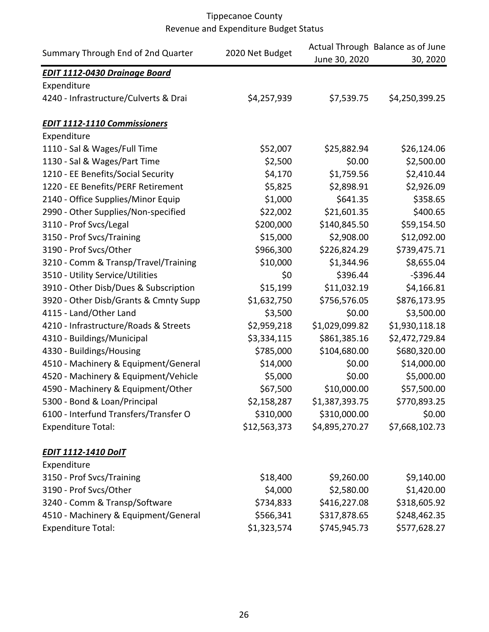| Summary Through End of 2nd Quarter    | 2020 Net Budget | June 30, 2020  | Actual Through Balance as of June<br>30, 2020 |
|---------------------------------------|-----------------|----------------|-----------------------------------------------|
| <b>EDIT 1112-0430 Drainage Board</b>  |                 |                |                                               |
| Expenditure                           |                 |                |                                               |
| 4240 - Infrastructure/Culverts & Drai | \$4,257,939     | \$7,539.75     | \$4,250,399.25                                |
|                                       |                 |                |                                               |
| <b>EDIT 1112-1110 Commissioners</b>   |                 |                |                                               |
| Expenditure                           |                 |                |                                               |
| 1110 - Sal & Wages/Full Time          | \$52,007        | \$25,882.94    | \$26,124.06                                   |
| 1130 - Sal & Wages/Part Time          | \$2,500         | \$0.00         | \$2,500.00                                    |
| 1210 - EE Benefits/Social Security    | \$4,170         | \$1,759.56     | \$2,410.44                                    |
| 1220 - EE Benefits/PERF Retirement    | \$5,825         | \$2,898.91     | \$2,926.09                                    |
| 2140 - Office Supplies/Minor Equip    | \$1,000         | \$641.35       | \$358.65                                      |
| 2990 - Other Supplies/Non-specified   | \$22,002        | \$21,601.35    | \$400.65                                      |
| 3110 - Prof Svcs/Legal                | \$200,000       | \$140,845.50   | \$59,154.50                                   |
| 3150 - Prof Svcs/Training             | \$15,000        | \$2,908.00     | \$12,092.00                                   |
| 3190 - Prof Svcs/Other                | \$966,300       | \$226,824.29   | \$739,475.71                                  |
| 3210 - Comm & Transp/Travel/Training  | \$10,000        | \$1,344.96     | \$8,655.04                                    |
| 3510 - Utility Service/Utilities      | \$0             | \$396.44       | $-5396.44$                                    |
| 3910 - Other Disb/Dues & Subscription | \$15,199        | \$11,032.19    | \$4,166.81                                    |
| 3920 - Other Disb/Grants & Cmnty Supp | \$1,632,750     | \$756,576.05   | \$876,173.95                                  |
| 4115 - Land/Other Land                | \$3,500         | \$0.00         | \$3,500.00                                    |
| 4210 - Infrastructure/Roads & Streets | \$2,959,218     | \$1,029,099.82 | \$1,930,118.18                                |
| 4310 - Buildings/Municipal            | \$3,334,115     | \$861,385.16   | \$2,472,729.84                                |
| 4330 - Buildings/Housing              | \$785,000       | \$104,680.00   | \$680,320.00                                  |
| 4510 - Machinery & Equipment/General  | \$14,000        | \$0.00         | \$14,000.00                                   |
| 4520 - Machinery & Equipment/Vehicle  | \$5,000         | \$0.00         | \$5,000.00                                    |
| 4590 - Machinery & Equipment/Other    | \$67,500        | \$10,000.00    | \$57,500.00                                   |
| 5300 - Bond & Loan/Principal          | \$2,158,287     | \$1,387,393.75 | \$770,893.25                                  |
| 6100 - Interfund Transfers/Transfer O | \$310,000       | \$310,000.00   | \$0.00                                        |
| <b>Expenditure Total:</b>             | \$12,563,373    | \$4,895,270.27 | \$7,668,102.73                                |
| <b>EDIT 1112-1410 DoIT</b>            |                 |                |                                               |
| Expenditure                           |                 |                |                                               |
| 3150 - Prof Svcs/Training             | \$18,400        | \$9,260.00     | \$9,140.00                                    |
| 3190 - Prof Svcs/Other                | \$4,000         | \$2,580.00     | \$1,420.00                                    |
| 3240 - Comm & Transp/Software         | \$734,833       | \$416,227.08   | \$318,605.92                                  |
| 4510 - Machinery & Equipment/General  | \$566,341       | \$317,878.65   | \$248,462.35                                  |
| <b>Expenditure Total:</b>             | \$1,323,574     | \$745,945.73   | \$577,628.27                                  |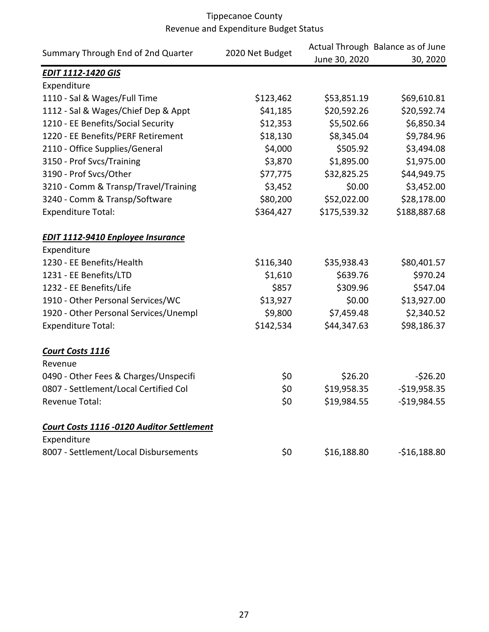| Summary Through End of 2nd Quarter        | 2020 Net Budget |               | Actual Through Balance as of June |
|-------------------------------------------|-----------------|---------------|-----------------------------------|
|                                           |                 | June 30, 2020 | 30, 2020                          |
| <b>EDIT 1112-1420 GIS</b>                 |                 |               |                                   |
| Expenditure                               |                 |               |                                   |
| 1110 - Sal & Wages/Full Time              | \$123,462       | \$53,851.19   | \$69,610.81                       |
| 1112 - Sal & Wages/Chief Dep & Appt       | \$41,185        | \$20,592.26   | \$20,592.74                       |
| 1210 - EE Benefits/Social Security        | \$12,353        | \$5,502.66    | \$6,850.34                        |
| 1220 - EE Benefits/PERF Retirement        | \$18,130        | \$8,345.04    | \$9,784.96                        |
| 2110 - Office Supplies/General            | \$4,000         | \$505.92      | \$3,494.08                        |
| 3150 - Prof Svcs/Training                 | \$3,870         | \$1,895.00    | \$1,975.00                        |
| 3190 - Prof Svcs/Other                    | \$77,775        | \$32,825.25   | \$44,949.75                       |
| 3210 - Comm & Transp/Travel/Training      | \$3,452         | \$0.00        | \$3,452.00                        |
| 3240 - Comm & Transp/Software             | \$80,200        | \$52,022.00   | \$28,178.00                       |
| <b>Expenditure Total:</b>                 | \$364,427       | \$175,539.32  | \$188,887.68                      |
| <b>EDIT 1112-9410 Enployee Insurance</b>  |                 |               |                                   |
| Expenditure                               |                 |               |                                   |
| 1230 - EE Benefits/Health                 | \$116,340       | \$35,938.43   | \$80,401.57                       |
| 1231 - EE Benefits/LTD                    | \$1,610         | \$639.76      | \$970.24                          |
| 1232 - EE Benefits/Life                   | \$857           | \$309.96      | \$547.04                          |
| 1910 - Other Personal Services/WC         | \$13,927        | \$0.00        | \$13,927.00                       |
| 1920 - Other Personal Services/Unempl     | \$9,800         | \$7,459.48    | \$2,340.52                        |
| <b>Expenditure Total:</b>                 | \$142,534       | \$44,347.63   | \$98,186.37                       |
| Court Costs 1116                          |                 |               |                                   |
| Revenue                                   |                 |               |                                   |
| 0490 - Other Fees & Charges/Unspecifi     | \$0             | \$26.20       | $-526.20$                         |
| 0807 - Settlement/Local Certified Col     | \$0             | \$19,958.35   | $-$19,958.35$                     |
| Revenue Total:                            | \$0             | \$19,984.55   | $-$19,984.55$                     |
| Court Costs 1116 -0120 Auditor Settlement |                 |               |                                   |
| Expenditure                               |                 |               |                                   |
| 8007 - Settlement/Local Disbursements     | \$0             | \$16,188.80   | $-516,188.80$                     |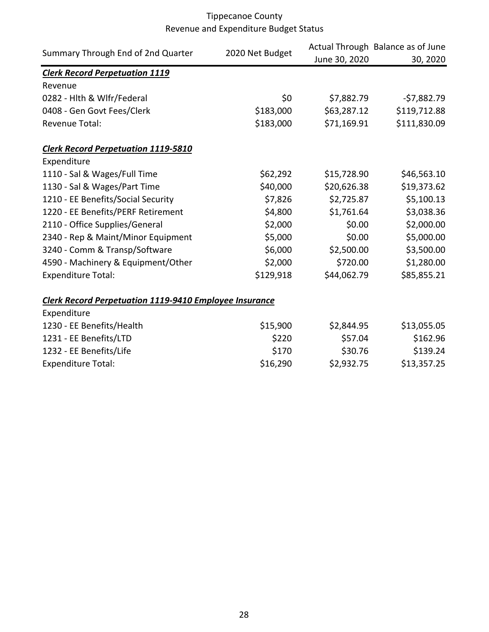|                                                               | 2020 Net Budget |               | Actual Through Balance as of June |
|---------------------------------------------------------------|-----------------|---------------|-----------------------------------|
| Summary Through End of 2nd Quarter                            |                 | June 30, 2020 | 30, 2020                          |
| <b>Clerk Record Perpetuation 1119</b>                         |                 |               |                                   |
| Revenue                                                       |                 |               |                                   |
| 0282 - Hith & Wifr/Federal                                    | \$0             | \$7,882.79    | $-57,882.79$                      |
| 0408 - Gen Govt Fees/Clerk                                    | \$183,000       | \$63,287.12   | \$119,712.88                      |
| <b>Revenue Total:</b>                                         | \$183,000       | \$71,169.91   | \$111,830.09                      |
| <b>Clerk Record Perpetuation 1119-5810</b>                    |                 |               |                                   |
| Expenditure                                                   |                 |               |                                   |
| 1110 - Sal & Wages/Full Time                                  | \$62,292        | \$15,728.90   | \$46,563.10                       |
| 1130 - Sal & Wages/Part Time                                  | \$40,000        | \$20,626.38   | \$19,373.62                       |
| 1210 - EE Benefits/Social Security                            | \$7,826         | \$2,725.87    | \$5,100.13                        |
| 1220 - EE Benefits/PERF Retirement                            | \$4,800         | \$1,761.64    | \$3,038.36                        |
| 2110 - Office Supplies/General                                | \$2,000         | \$0.00        | \$2,000.00                        |
| 2340 - Rep & Maint/Minor Equipment                            | \$5,000         | \$0.00        | \$5,000.00                        |
| 3240 - Comm & Transp/Software                                 | \$6,000         | \$2,500.00    | \$3,500.00                        |
| 4590 - Machinery & Equipment/Other                            | \$2,000         | \$720.00      | \$1,280.00                        |
| <b>Expenditure Total:</b>                                     | \$129,918       | \$44,062.79   | \$85,855.21                       |
| <b>Clerk Record Perpetuation 1119-9410 Employee Insurance</b> |                 |               |                                   |
| Expenditure                                                   |                 |               |                                   |
| 1230 - EE Benefits/Health                                     | \$15,900        | \$2,844.95    | \$13,055.05                       |
| 1231 - EE Benefits/LTD                                        | \$220           | \$57.04       | \$162.96                          |
| 1232 - EE Benefits/Life                                       | \$170           | \$30.76       | \$139.24                          |
| <b>Expenditure Total:</b>                                     | \$16,290        | \$2,932.75    | \$13,357.25                       |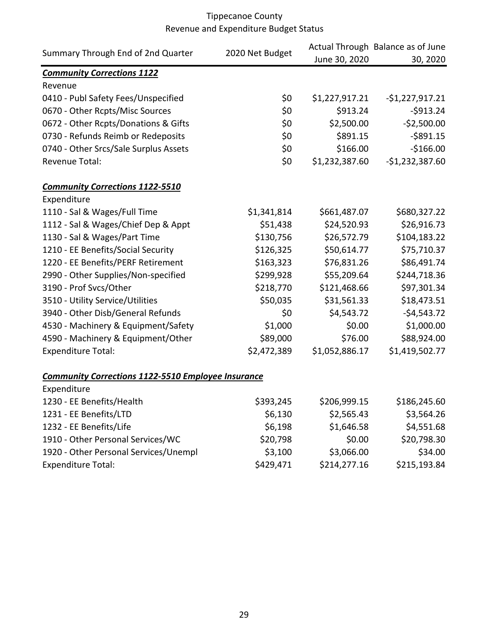|                                                           |                 |                | Actual Through Balance as of June |
|-----------------------------------------------------------|-----------------|----------------|-----------------------------------|
| Summary Through End of 2nd Quarter                        | 2020 Net Budget | June 30, 2020  | 30, 2020                          |
| <b>Community Corrections 1122</b>                         |                 |                |                                   |
| Revenue                                                   |                 |                |                                   |
| 0410 - Publ Safety Fees/Unspecified                       | \$0             | \$1,227,917.21 | $-$1,227,917.21$                  |
| 0670 - Other Rcpts/Misc Sources                           | \$0             | \$913.24       | $-5913.24$                        |
| 0672 - Other Rcpts/Donations & Gifts                      | \$0             | \$2,500.00     | $-52,500.00$                      |
| 0730 - Refunds Reimb or Redeposits                        | \$0             | \$891.15       | $-5891.15$                        |
| 0740 - Other Srcs/Sale Surplus Assets                     | \$0             | \$166.00       | $-$166.00$                        |
| <b>Revenue Total:</b>                                     | \$0             | \$1,232,387.60 | $-$1,232,387.60$                  |
| <b>Community Corrections 1122-5510</b>                    |                 |                |                                   |
| Expenditure                                               |                 |                |                                   |
| 1110 - Sal & Wages/Full Time                              | \$1,341,814     | \$661,487.07   | \$680,327.22                      |
| 1112 - Sal & Wages/Chief Dep & Appt                       | \$51,438        | \$24,520.93    | \$26,916.73                       |
| 1130 - Sal & Wages/Part Time                              | \$130,756       | \$26,572.79    | \$104,183.22                      |
| 1210 - EE Benefits/Social Security                        | \$126,325       | \$50,614.77    | \$75,710.37                       |
| 1220 - EE Benefits/PERF Retirement                        | \$163,323       | \$76,831.26    | \$86,491.74                       |
| 2990 - Other Supplies/Non-specified                       | \$299,928       | \$55,209.64    | \$244,718.36                      |
| 3190 - Prof Svcs/Other                                    | \$218,770       | \$121,468.66   | \$97,301.34                       |
| 3510 - Utility Service/Utilities                          | \$50,035        | \$31,561.33    | \$18,473.51                       |
| 3940 - Other Disb/General Refunds                         | \$0             | \$4,543.72     | $-54,543.72$                      |
| 4530 - Machinery & Equipment/Safety                       | \$1,000         | \$0.00         | \$1,000.00                        |
| 4590 - Machinery & Equipment/Other                        | \$89,000        | \$76.00        | \$88,924.00                       |
| <b>Expenditure Total:</b>                                 | \$2,472,389     | \$1,052,886.17 | \$1,419,502.77                    |
| <b>Community Corrections 1122-5510 Employee Insurance</b> |                 |                |                                   |
| Expenditure                                               |                 |                |                                   |
| 1230 - EE Benefits/Health                                 | \$393,245       | \$206,999.15   | \$186,245.60                      |
| 1231 - EE Benefits/LTD                                    | \$6,130         | \$2,565.43     | \$3,564.26                        |
| 1232 - EE Benefits/Life                                   | \$6,198         | \$1,646.58     | \$4,551.68                        |
| 1910 - Other Personal Services/WC                         | \$20,798        | \$0.00         | \$20,798.30                       |
| 1920 - Other Personal Services/Unempl                     | \$3,100         | \$3,066.00     | \$34.00                           |
| <b>Expenditure Total:</b>                                 | \$429,471       | \$214,277.16   | \$215,193.84                      |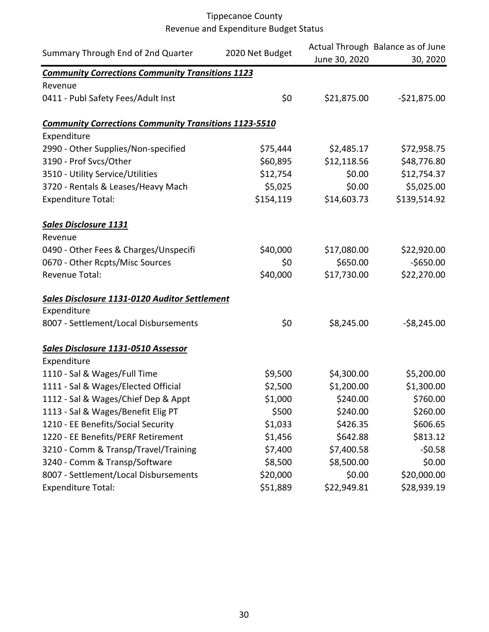| Summary Through End of 2nd Quarter                           | 2020 Net Budget | June 30, 2020 | Actual Through Balance as of June<br>30, 2020 |
|--------------------------------------------------------------|-----------------|---------------|-----------------------------------------------|
| <b>Community Corrections Community Transitions 1123</b>      |                 |               |                                               |
| Revenue                                                      |                 |               |                                               |
| 0411 - Publ Safety Fees/Adult Inst                           | \$0             | \$21,875.00   | $-521,875.00$                                 |
| <b>Community Corrections Community Transitions 1123-5510</b> |                 |               |                                               |
| Expenditure                                                  |                 |               |                                               |
| 2990 - Other Supplies/Non-specified                          | \$75,444        | \$2,485.17    | \$72,958.75                                   |
| 3190 - Prof Svcs/Other                                       | \$60,895        | \$12,118.56   | \$48,776.80                                   |
| 3510 - Utility Service/Utilities                             | \$12,754        | \$0.00        | \$12,754.37                                   |
| 3720 - Rentals & Leases/Heavy Mach                           | \$5,025         | \$0.00        | \$5,025.00                                    |
| <b>Expenditure Total:</b>                                    | \$154,119       | \$14,603.73   | \$139,514.92                                  |
| <b>Sales Disclosure 1131</b>                                 |                 |               |                                               |
| Revenue                                                      |                 |               |                                               |
| 0490 - Other Fees & Charges/Unspecifi                        | \$40,000        | \$17,080.00   | \$22,920.00                                   |
| 0670 - Other Rcpts/Misc Sources                              | \$0             | \$650.00      | $-$650.00$                                    |
| <b>Revenue Total:</b>                                        | \$40,000        | \$17,730.00   | \$22,270.00                                   |
| Sales Disclosure 1131-0120 Auditor Settlement                |                 |               |                                               |
| Expenditure                                                  |                 |               |                                               |
| 8007 - Settlement/Local Disbursements                        | \$0             | \$8,245.00    | $-58,245.00$                                  |
| Sales Disclosure 1131-0510 Assessor                          |                 |               |                                               |
| Expenditure                                                  |                 |               |                                               |
| 1110 - Sal & Wages/Full Time                                 | \$9,500         | \$4,300.00    | \$5,200.00                                    |
| 1111 - Sal & Wages/Elected Official                          | \$2,500         | \$1,200.00    | \$1,300.00                                    |
| 1112 - Sal & Wages/Chief Dep & Appt                          | \$1,000         | \$240.00      | \$760.00                                      |
| 1113 - Sal & Wages/Benefit Elig PT                           | \$500           | \$240.00      | \$260.00                                      |
| 1210 - EE Benefits/Social Security                           | \$1,033         | \$426.35      | \$606.65                                      |
| 1220 - EE Benefits/PERF Retirement                           | \$1,456         | \$642.88      | \$813.12                                      |
| 3210 - Comm & Transp/Travel/Training                         | \$7,400         | \$7,400.58    | $-50.58$                                      |
| 3240 - Comm & Transp/Software                                | \$8,500         | \$8,500.00    | \$0.00                                        |
| 8007 - Settlement/Local Disbursements                        | \$20,000        | \$0.00        | \$20,000.00                                   |
| <b>Expenditure Total:</b>                                    | \$51,889        | \$22,949.81   | \$28,939.19                                   |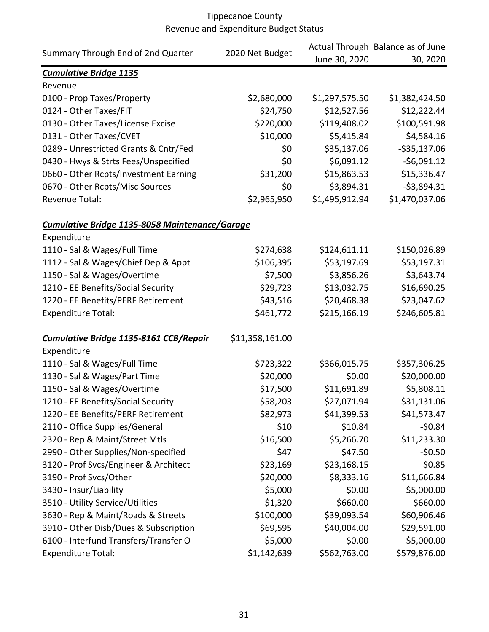| Summary Through End of 2nd Quarter                    | 2020 Net Budget |                | Actual Through Balance as of June |
|-------------------------------------------------------|-----------------|----------------|-----------------------------------|
|                                                       |                 | June 30, 2020  | 30, 2020                          |
| <b>Cumulative Bridge 1135</b>                         |                 |                |                                   |
| Revenue                                               |                 |                |                                   |
| 0100 - Prop Taxes/Property                            | \$2,680,000     | \$1,297,575.50 | \$1,382,424.50                    |
| 0124 - Other Taxes/FIT                                | \$24,750        | \$12,527.56    | \$12,222.44                       |
| 0130 - Other Taxes/License Excise                     | \$220,000       | \$119,408.02   | \$100,591.98                      |
| 0131 - Other Taxes/CVET                               | \$10,000        | \$5,415.84     | \$4,584.16                        |
| 0289 - Unrestricted Grants & Cntr/Fed                 | \$0             | \$35,137.06    | $-$ \$35,137.06                   |
| 0430 - Hwys & Strts Fees/Unspecified                  | \$0             | \$6,091.12     | $-56,091.12$                      |
| 0660 - Other Rcpts/Investment Earning                 | \$31,200        | \$15,863.53    | \$15,336.47                       |
| 0670 - Other Rcpts/Misc Sources                       | \$0             | \$3,894.31     | $-53,894.31$                      |
| <b>Revenue Total:</b>                                 | \$2,965,950     | \$1,495,912.94 | \$1,470,037.06                    |
| <b>Cumulative Bridge 1135-8058 Maintenance/Garage</b> |                 |                |                                   |
| Expenditure                                           |                 |                |                                   |
| 1110 - Sal & Wages/Full Time                          | \$274,638       | \$124,611.11   | \$150,026.89                      |
| 1112 - Sal & Wages/Chief Dep & Appt                   | \$106,395       | \$53,197.69    | \$53,197.31                       |
| 1150 - Sal & Wages/Overtime                           | \$7,500         | \$3,856.26     | \$3,643.74                        |
| 1210 - EE Benefits/Social Security                    | \$29,723        | \$13,032.75    | \$16,690.25                       |
| 1220 - EE Benefits/PERF Retirement                    | \$43,516        | \$20,468.38    | \$23,047.62                       |
| <b>Expenditure Total:</b>                             | \$461,772       | \$215,166.19   | \$246,605.81                      |
| <b>Cumulative Bridge 1135-8161 CCB/Repair</b>         | \$11,358,161.00 |                |                                   |
| Expenditure                                           |                 |                |                                   |
| 1110 - Sal & Wages/Full Time                          | \$723,322       | \$366,015.75   | \$357,306.25                      |
| 1130 - Sal & Wages/Part Time                          | \$20,000        | \$0.00         | \$20,000.00                       |
| 1150 - Sal & Wages/Overtime                           | \$17,500        | \$11,691.89    | \$5,808.11                        |
| 1210 - EE Benefits/Social Security                    | \$58,203        | \$27,071.94    | \$31,131.06                       |
| 1220 - EE Benefits/PERF Retirement                    | \$82,973        | \$41,399.53    | \$41,573.47                       |
| 2110 - Office Supplies/General                        | \$10            | \$10.84        | $-50.84$                          |
| 2320 - Rep & Maint/Street Mtls                        | \$16,500        | \$5,266.70     | \$11,233.30                       |
| 2990 - Other Supplies/Non-specified                   | \$47            | \$47.50        | $-50.50$                          |
| 3120 - Prof Svcs/Engineer & Architect                 | \$23,169        | \$23,168.15    | \$0.85                            |
| 3190 - Prof Svcs/Other                                | \$20,000        | \$8,333.16     | \$11,666.84                       |
| 3430 - Insur/Liability                                | \$5,000         | \$0.00         | \$5,000.00                        |
| 3510 - Utility Service/Utilities                      | \$1,320         | \$660.00       | \$660.00                          |
| 3630 - Rep & Maint/Roads & Streets                    | \$100,000       | \$39,093.54    | \$60,906.46                       |
| 3910 - Other Disb/Dues & Subscription                 | \$69,595        | \$40,004.00    | \$29,591.00                       |
| 6100 - Interfund Transfers/Transfer O                 | \$5,000         | \$0.00         | \$5,000.00                        |
| <b>Expenditure Total:</b>                             | \$1,142,639     | \$562,763.00   | \$579,876.00                      |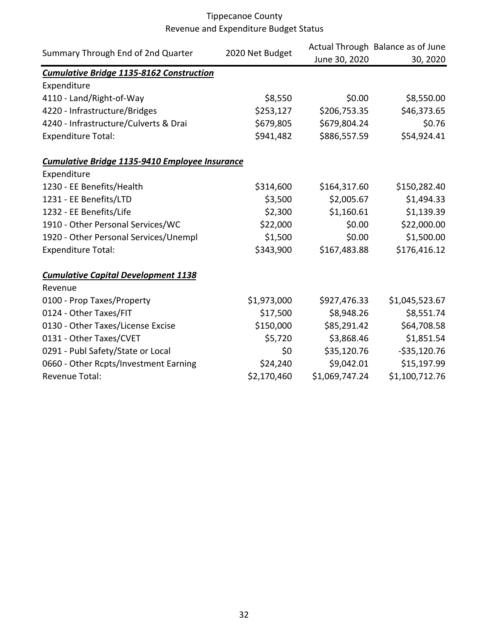|                                                       |                 |                | Actual Through Balance as of June |
|-------------------------------------------------------|-----------------|----------------|-----------------------------------|
| Summary Through End of 2nd Quarter                    | 2020 Net Budget | June 30, 2020  | 30, 2020                          |
| <b>Cumulative Bridge 1135-8162 Construction</b>       |                 |                |                                   |
| Expenditure                                           |                 |                |                                   |
| 4110 - Land/Right-of-Way                              | \$8,550         | \$0.00         | \$8,550.00                        |
| 4220 - Infrastructure/Bridges                         | \$253,127       | \$206,753.35   | \$46,373.65                       |
| 4240 - Infrastructure/Culverts & Drai                 | \$679,805       | \$679,804.24   | \$0.76                            |
| <b>Expenditure Total:</b>                             | \$941,482       | \$886,557.59   | \$54,924.41                       |
| <b>Cumulative Bridge 1135-9410 Employee Insurance</b> |                 |                |                                   |
| Expenditure                                           |                 |                |                                   |
| 1230 - EE Benefits/Health                             | \$314,600       | \$164,317.60   | \$150,282.40                      |
| 1231 - EE Benefits/LTD                                | \$3,500         | \$2,005.67     | \$1,494.33                        |
| 1232 - EE Benefits/Life                               | \$2,300         | \$1,160.61     | \$1,139.39                        |
| 1910 - Other Personal Services/WC                     | \$22,000        | \$0.00         | \$22,000.00                       |
| 1920 - Other Personal Services/Unempl                 | \$1,500         | \$0.00         | \$1,500.00                        |
| <b>Expenditure Total:</b>                             | \$343,900       | \$167,483.88   | \$176,416.12                      |
| <b>Cumulative Capital Development 1138</b>            |                 |                |                                   |
| Revenue                                               |                 |                |                                   |
| 0100 - Prop Taxes/Property                            | \$1,973,000     | \$927,476.33   | \$1,045,523.67                    |
| 0124 - Other Taxes/FIT                                | \$17,500        | \$8,948.26     | \$8,551.74                        |
| 0130 - Other Taxes/License Excise                     | \$150,000       | \$85,291.42    | \$64,708.58                       |
| 0131 - Other Taxes/CVET                               | \$5,720         | \$3,868.46     | \$1,851.54                        |
| 0291 - Publ Safety/State or Local                     | \$0             | \$35,120.76    | $-$ \$35,120.76                   |
| 0660 - Other Rcpts/Investment Earning                 | \$24,240        | \$9,042.01     | \$15,197.99                       |
| Revenue Total:                                        | \$2,170,460     | \$1,069,747.24 | \$1,100,712.76                    |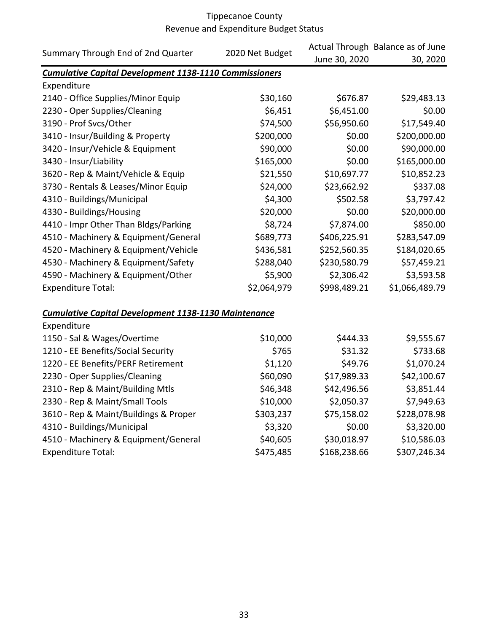| Summary Through End of 2nd Quarter                            |                 |               | Actual Through Balance as of June |
|---------------------------------------------------------------|-----------------|---------------|-----------------------------------|
|                                                               | 2020 Net Budget | June 30, 2020 | 30, 2020                          |
| <b>Cumulative Capital Development 1138-1110 Commissioners</b> |                 |               |                                   |
| Expenditure                                                   |                 |               |                                   |
| 2140 - Office Supplies/Minor Equip                            | \$30,160        | \$676.87      | \$29,483.13                       |
| 2230 - Oper Supplies/Cleaning                                 | \$6,451         | \$6,451.00    | \$0.00                            |
| 3190 - Prof Svcs/Other                                        | \$74,500        | \$56,950.60   | \$17,549.40                       |
| 3410 - Insur/Building & Property                              | \$200,000       | \$0.00        | \$200,000.00                      |
| 3420 - Insur/Vehicle & Equipment                              | \$90,000        | \$0.00        | \$90,000.00                       |
| 3430 - Insur/Liability                                        | \$165,000       | \$0.00        | \$165,000.00                      |
| 3620 - Rep & Maint/Vehicle & Equip                            | \$21,550        | \$10,697.77   | \$10,852.23                       |
| 3730 - Rentals & Leases/Minor Equip                           | \$24,000        | \$23,662.92   | \$337.08                          |
| 4310 - Buildings/Municipal                                    | \$4,300         | \$502.58      | \$3,797.42                        |
| 4330 - Buildings/Housing                                      | \$20,000        | \$0.00        | \$20,000.00                       |
| 4410 - Impr Other Than Bldgs/Parking                          | \$8,724         | \$7,874.00    | \$850.00                          |
| 4510 - Machinery & Equipment/General                          | \$689,773       | \$406,225.91  | \$283,547.09                      |
| 4520 - Machinery & Equipment/Vehicle                          | \$436,581       | \$252,560.35  | \$184,020.65                      |
| 4530 - Machinery & Equipment/Safety                           | \$288,040       | \$230,580.79  | \$57,459.21                       |
| 4590 - Machinery & Equipment/Other                            | \$5,900         | \$2,306.42    | \$3,593.58                        |
| <b>Expenditure Total:</b>                                     | \$2,064,979     | \$998,489.21  | \$1,066,489.79                    |
| <b>Cumulative Capital Development 1138-1130 Maintenance</b>   |                 |               |                                   |
| Expenditure                                                   |                 |               |                                   |
| 1150 - Sal & Wages/Overtime                                   | \$10,000        | \$444.33      | \$9,555.67                        |
| 1210 - EE Benefits/Social Security                            | \$765           | \$31.32       | \$733.68                          |
| 1220 - EE Benefits/PERF Retirement                            | \$1,120         | \$49.76       | \$1,070.24                        |
| 2230 - Oper Supplies/Cleaning                                 | \$60,090        | \$17,989.33   | \$42,100.67                       |
| 2310 - Rep & Maint/Building Mtls                              | \$46,348        | \$42,496.56   | \$3,851.44                        |
| 2330 - Rep & Maint/Small Tools                                | \$10,000        | \$2,050.37    | \$7,949.63                        |
| 3610 - Rep & Maint/Buildings & Proper                         | \$303,237       | \$75,158.02   | \$228,078.98                      |
| 4310 - Buildings/Municipal                                    | \$3,320         | \$0.00        | \$3,320.00                        |
| 4510 - Machinery & Equipment/General                          | \$40,605        | \$30,018.97   | \$10,586.03                       |
| <b>Expenditure Total:</b>                                     | \$475,485       | \$168,238.66  | \$307,246.34                      |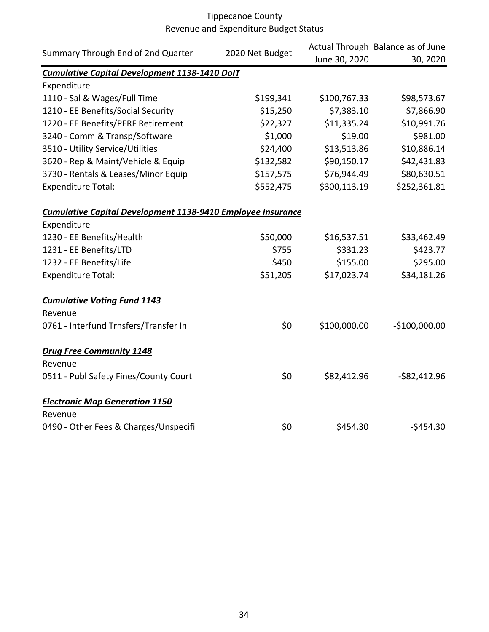| Summary Through End of 2nd Quarter                                 | 2020 Net Budget |               | Actual Through Balance as of June |
|--------------------------------------------------------------------|-----------------|---------------|-----------------------------------|
|                                                                    |                 | June 30, 2020 | 30, 2020                          |
| Cumulative Capital Development 1138-1410 DolT                      |                 |               |                                   |
| Expenditure                                                        |                 |               |                                   |
| 1110 - Sal & Wages/Full Time                                       | \$199,341       | \$100,767.33  | \$98,573.67                       |
| 1210 - EE Benefits/Social Security                                 | \$15,250        | \$7,383.10    | \$7,866.90                        |
| 1220 - EE Benefits/PERF Retirement                                 | \$22,327        | \$11,335.24   | \$10,991.76                       |
| 3240 - Comm & Transp/Software                                      | \$1,000         | \$19.00       | \$981.00                          |
| 3510 - Utility Service/Utilities                                   | \$24,400        | \$13,513.86   | \$10,886.14                       |
| 3620 - Rep & Maint/Vehicle & Equip                                 | \$132,582       | \$90,150.17   | \$42,431.83                       |
| 3730 - Rentals & Leases/Minor Equip                                | \$157,575       | \$76,944.49   | \$80,630.51                       |
| <b>Expenditure Total:</b>                                          | \$552,475       | \$300,113.19  | \$252,361.81                      |
| <b>Cumulative Capital Development 1138-9410 Employee Insurance</b> |                 |               |                                   |
| Expenditure                                                        |                 |               |                                   |
| 1230 - EE Benefits/Health                                          | \$50,000        | \$16,537.51   | \$33,462.49                       |
| 1231 - EE Benefits/LTD                                             | \$755           | \$331.23      | \$423.77                          |
| 1232 - EE Benefits/Life                                            | \$450           | \$155.00      | \$295.00                          |
| <b>Expenditure Total:</b>                                          | \$51,205        | \$17,023.74   | \$34,181.26                       |
| <b>Cumulative Voting Fund 1143</b>                                 |                 |               |                                   |
| Revenue                                                            |                 |               |                                   |
| 0761 - Interfund Trnsfers/Transfer In                              | \$0             | \$100,000.00  | $-$100,000.00$                    |
| <b>Drug Free Community 1148</b>                                    |                 |               |                                   |
| Revenue                                                            |                 |               |                                   |
| 0511 - Publ Safety Fines/County Court                              | \$0             | \$82,412.96   | $-$ \$82,412.96                   |
| <b>Electronic Map Generation 1150</b>                              |                 |               |                                   |
| Revenue                                                            |                 |               |                                   |
| 0490 - Other Fees & Charges/Unspecifi                              | \$0             | \$454.30      | $-$454.30$                        |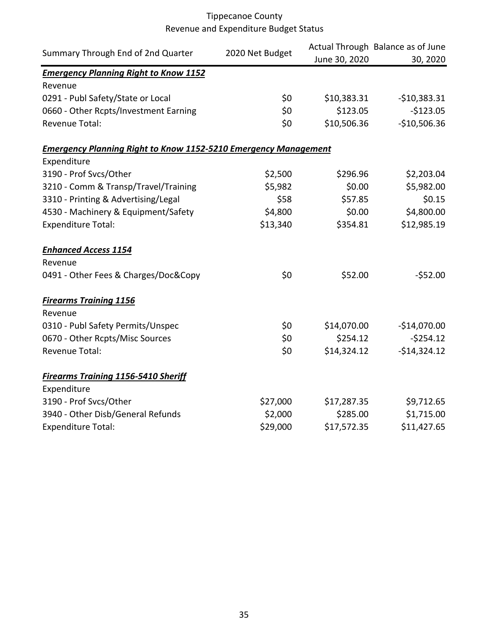| Summary Through End of 2nd Quarter                                     | 2020 Net Budget |               | Actual Through Balance as of June |
|------------------------------------------------------------------------|-----------------|---------------|-----------------------------------|
|                                                                        |                 | June 30, 2020 | 30, 2020                          |
| <b>Emergency Planning Right to Know 1152</b>                           |                 |               |                                   |
| Revenue                                                                |                 |               |                                   |
| 0291 - Publ Safety/State or Local                                      | \$0             | \$10,383.31   | $-$10,383.31$                     |
| 0660 - Other Rcpts/Investment Earning                                  | \$0             | \$123.05      | $-$123.05$                        |
| <b>Revenue Total:</b>                                                  | \$0             | \$10,506.36   | $-$10,506.36$                     |
| <b>Emergency Planning Right to Know 1152-5210 Emergency Management</b> |                 |               |                                   |
| Expenditure                                                            |                 |               |                                   |
| 3190 - Prof Svcs/Other                                                 | \$2,500         | \$296.96      | \$2,203.04                        |
| 3210 - Comm & Transp/Travel/Training                                   | \$5,982         | \$0.00        | \$5,982.00                        |
| 3310 - Printing & Advertising/Legal                                    | \$58            | \$57.85       | \$0.15                            |
| 4530 - Machinery & Equipment/Safety                                    | \$4,800         | \$0.00        | \$4,800.00                        |
| <b>Expenditure Total:</b>                                              | \$13,340        | \$354.81      | \$12,985.19                       |
| <b>Enhanced Access 1154</b>                                            |                 |               |                                   |
| Revenue                                                                |                 |               |                                   |
| 0491 - Other Fees & Charges/Doc&Copy                                   | \$0             | \$52.00       | $-552.00$                         |
| <b>Firearms Training 1156</b>                                          |                 |               |                                   |
| Revenue                                                                |                 |               |                                   |
| 0310 - Publ Safety Permits/Unspec                                      | \$0             | \$14,070.00   | $-$14,070.00$                     |
| 0670 - Other Rcpts/Misc Sources                                        | \$0             | \$254.12      | $-5254.12$                        |
| <b>Revenue Total:</b>                                                  | \$0             | \$14,324.12   | $-$14,324.12$                     |
| <b>Firearms Training 1156-5410 Sheriff</b>                             |                 |               |                                   |
| Expenditure                                                            |                 |               |                                   |
| 3190 - Prof Svcs/Other                                                 | \$27,000        | \$17,287.35   | \$9,712.65                        |
| 3940 - Other Disb/General Refunds                                      | \$2,000         | \$285.00      | \$1,715.00                        |
| <b>Expenditure Total:</b>                                              | \$29,000        | \$17,572.35   | \$11,427.65                       |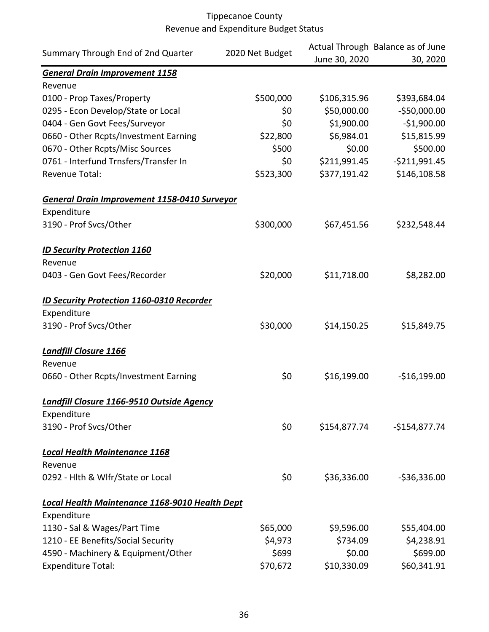|                                                  | 2020 Net Budget |               | Actual Through Balance as of June |
|--------------------------------------------------|-----------------|---------------|-----------------------------------|
| Summary Through End of 2nd Quarter               |                 | June 30, 2020 | 30, 2020                          |
| <b>General Drain Improvement 1158</b>            |                 |               |                                   |
| Revenue                                          |                 |               |                                   |
| 0100 - Prop Taxes/Property                       | \$500,000       | \$106,315.96  | \$393,684.04                      |
| 0295 - Econ Develop/State or Local               | \$0             | \$50,000.00   | $-$50,000.00$                     |
| 0404 - Gen Govt Fees/Surveyor                    | \$0             | \$1,900.00    | $-$1,900.00$                      |
| 0660 - Other Rcpts/Investment Earning            | \$22,800        | \$6,984.01    | \$15,815.99                       |
| 0670 - Other Rcpts/Misc Sources                  | \$500           | \$0.00        | \$500.00                          |
| 0761 - Interfund Trnsfers/Transfer In            | \$0             | \$211,991.45  | $-5211,991.45$                    |
| <b>Revenue Total:</b>                            | \$523,300       | \$377,191.42  | \$146,108.58                      |
| General Drain Improvement 1158-0410 Surveyor     |                 |               |                                   |
| Expenditure                                      |                 |               |                                   |
| 3190 - Prof Svcs/Other                           | \$300,000       | \$67,451.56   | \$232,548.44                      |
| <b>ID Security Protection 1160</b>               |                 |               |                                   |
| Revenue                                          |                 |               |                                   |
| 0403 - Gen Govt Fees/Recorder                    | \$20,000        | \$11,718.00   | \$8,282.00                        |
| <b>ID Security Protection 1160-0310 Recorder</b> |                 |               |                                   |
| Expenditure                                      |                 |               |                                   |
| 3190 - Prof Svcs/Other                           | \$30,000        | \$14,150.25   | \$15,849.75                       |
| <b>Landfill Closure 1166</b>                     |                 |               |                                   |
| Revenue                                          |                 |               |                                   |
| 0660 - Other Rcpts/Investment Earning            | \$0             | \$16,199.00   | $-$16,199.00$                     |
| Landfill Closure 1166-9510 Outside Agency        |                 |               |                                   |
| Expenditure                                      |                 |               |                                   |
| 3190 - Prof Svcs/Other                           | \$0             | \$154,877.74  | $-$154,877.74$                    |
| <b>Local Health Maintenance 1168</b>             |                 |               |                                   |
| Revenue                                          |                 |               |                                   |
| 0292 - Hlth & Wlfr/State or Local                | \$0             | \$36,336.00   | $-536,336.00$                     |
| Local Health Maintenance 1168-9010 Health Dept   |                 |               |                                   |
| Expenditure                                      |                 |               |                                   |
| 1130 - Sal & Wages/Part Time                     | \$65,000        | \$9,596.00    | \$55,404.00                       |
| 1210 - EE Benefits/Social Security               | \$4,973         | \$734.09      | \$4,238.91                        |
| 4590 - Machinery & Equipment/Other               | \$699           | \$0.00        | \$699.00                          |
| <b>Expenditure Total:</b>                        | \$70,672        | \$10,330.09   | \$60,341.91                       |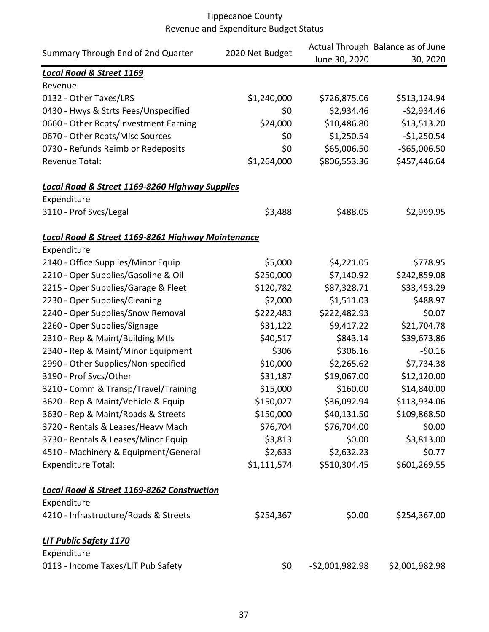| Summary Through End of 2nd Quarter                    | 2020 Net Budget |                  | Actual Through Balance as of June |
|-------------------------------------------------------|-----------------|------------------|-----------------------------------|
|                                                       |                 | June 30, 2020    | 30, 2020                          |
| <b>Local Road &amp; Street 1169</b>                   |                 |                  |                                   |
| Revenue                                               |                 |                  |                                   |
| 0132 - Other Taxes/LRS                                | \$1,240,000     | \$726,875.06     | \$513,124.94                      |
| 0430 - Hwys & Strts Fees/Unspecified                  | \$0             | \$2,934.46       | $-$2,934.46$                      |
| 0660 - Other Rcpts/Investment Earning                 | \$24,000        | \$10,486.80      | \$13,513.20                       |
| 0670 - Other Rcpts/Misc Sources                       | \$0             | \$1,250.54       | $-$1,250.54$                      |
| 0730 - Refunds Reimb or Redeposits                    | \$0             | \$65,006.50      | $-$65,006.50$                     |
| Revenue Total:                                        | \$1,264,000     | \$806,553.36     | \$457,446.64                      |
| Local Road & Street 1169-8260 Highway Supplies        |                 |                  |                                   |
| Expenditure                                           |                 |                  |                                   |
| 3110 - Prof Svcs/Legal                                | \$3,488         | \$488.05         | \$2,999.95                        |
| Local Road & Street 1169-8261 Highway Maintenance     |                 |                  |                                   |
| Expenditure                                           |                 |                  |                                   |
| 2140 - Office Supplies/Minor Equip                    | \$5,000         | \$4,221.05       | \$778.95                          |
| 2210 - Oper Supplies/Gasoline & Oil                   | \$250,000       | \$7,140.92       | \$242,859.08                      |
| 2215 - Oper Supplies/Garage & Fleet                   | \$120,782       | \$87,328.71      | \$33,453.29                       |
| 2230 - Oper Supplies/Cleaning                         | \$2,000         | \$1,511.03       | \$488.97                          |
| 2240 - Oper Supplies/Snow Removal                     | \$222,483       | \$222,482.93     | \$0.07                            |
| 2260 - Oper Supplies/Signage                          | \$31,122        | \$9,417.22       | \$21,704.78                       |
| 2310 - Rep & Maint/Building Mtls                      | \$40,517        | \$843.14         | \$39,673.86                       |
| 2340 - Rep & Maint/Minor Equipment                    | \$306           | \$306.16         | $-50.16$                          |
| 2990 - Other Supplies/Non-specified                   | \$10,000        | \$2,265.62       | \$7,734.38                        |
| 3190 - Prof Svcs/Other                                | \$31,187        | \$19,067.00      | \$12,120.00                       |
| 3210 - Comm & Transp/Travel/Training                  | \$15,000        | \$160.00         | \$14,840.00                       |
| 3620 - Rep & Maint/Vehicle & Equip                    | \$150,027       | \$36,092.94      | \$113,934.06                      |
| 3630 - Rep & Maint/Roads & Streets                    | \$150,000       | \$40,131.50      | \$109,868.50                      |
| 3720 - Rentals & Leases/Heavy Mach                    | \$76,704        | \$76,704.00      | \$0.00                            |
| 3730 - Rentals & Leases/Minor Equip                   | \$3,813         | \$0.00           | \$3,813.00                        |
| 4510 - Machinery & Equipment/General                  | \$2,633         | \$2,632.23       | \$0.77                            |
| <b>Expenditure Total:</b>                             | \$1,111,574     | \$510,304.45     | \$601,269.55                      |
| <b>Local Road &amp; Street 1169-8262 Construction</b> |                 |                  |                                   |
| Expenditure                                           |                 |                  |                                   |
| 4210 - Infrastructure/Roads & Streets                 | \$254,367       | \$0.00           | \$254,367.00                      |
| <b>LIT Public Safety 1170</b>                         |                 |                  |                                   |
| Expenditure                                           |                 |                  |                                   |
| 0113 - Income Taxes/LIT Pub Safety                    | \$0             | $-52,001,982.98$ | \$2,001,982.98                    |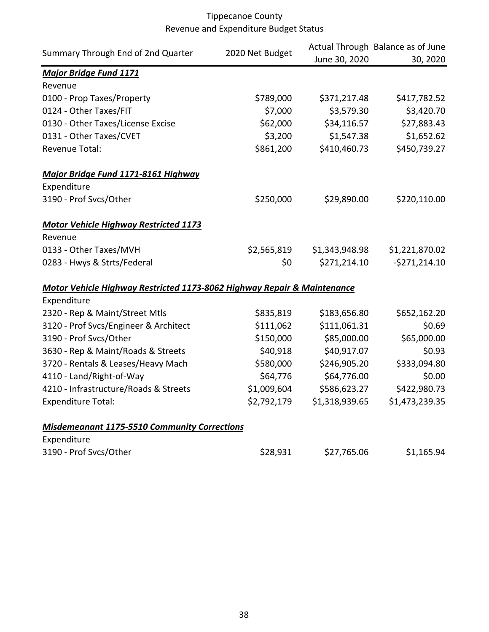|                                                                         |                 |                | Actual Through Balance as of June |
|-------------------------------------------------------------------------|-----------------|----------------|-----------------------------------|
| Summary Through End of 2nd Quarter                                      | 2020 Net Budget | June 30, 2020  | 30, 2020                          |
| <b>Major Bridge Fund 1171</b>                                           |                 |                |                                   |
| Revenue                                                                 |                 |                |                                   |
| 0100 - Prop Taxes/Property                                              | \$789,000       | \$371,217.48   | \$417,782.52                      |
| 0124 - Other Taxes/FIT                                                  | \$7,000         | \$3,579.30     | \$3,420.70                        |
| 0130 - Other Taxes/License Excise                                       | \$62,000        | \$34,116.57    | \$27,883.43                       |
| 0131 - Other Taxes/CVET                                                 | \$3,200         | \$1,547.38     | \$1,652.62                        |
| <b>Revenue Total:</b>                                                   | \$861,200       | \$410,460.73   | \$450,739.27                      |
| Major Bridge Fund 1171-8161 Highway                                     |                 |                |                                   |
| Expenditure                                                             |                 |                |                                   |
| 3190 - Prof Svcs/Other                                                  | \$250,000       | \$29,890.00    | \$220,110.00                      |
| <b>Motor Vehicle Highway Restricted 1173</b>                            |                 |                |                                   |
| Revenue                                                                 |                 |                |                                   |
| 0133 - Other Taxes/MVH                                                  | \$2,565,819     | \$1,343,948.98 | \$1,221,870.02                    |
| 0283 - Hwys & Strts/Federal                                             | \$0             | \$271,214.10   | $-5271,214.10$                    |
| Motor Vehicle Highway Restricted 1173-8062 Highway Repair & Maintenance |                 |                |                                   |
| Expenditure                                                             |                 |                |                                   |
| 2320 - Rep & Maint/Street Mtls                                          | \$835,819       | \$183,656.80   | \$652,162.20                      |
| 3120 - Prof Svcs/Engineer & Architect                                   | \$111,062       | \$111,061.31   | \$0.69                            |
| 3190 - Prof Svcs/Other                                                  | \$150,000       | \$85,000.00    | \$65,000.00                       |
| 3630 - Rep & Maint/Roads & Streets                                      | \$40,918        | \$40,917.07    | \$0.93                            |
| 3720 - Rentals & Leases/Heavy Mach                                      | \$580,000       | \$246,905.20   | \$333,094.80                      |
| 4110 - Land/Right-of-Way                                                | \$64,776        | \$64,776.00    | \$0.00                            |
| 4210 - Infrastructure/Roads & Streets                                   | \$1,009,604     | \$586,623.27   | \$422,980.73                      |
| <b>Expenditure Total:</b>                                               | \$2,792,179     | \$1,318,939.65 | \$1,473,239.35                    |
| <b>Misdemeanant 1175-5510 Community Corrections</b>                     |                 |                |                                   |
| Expenditure                                                             |                 |                |                                   |
| 3190 - Prof Svcs/Other                                                  | \$28,931        | \$27,765.06    | \$1,165.94                        |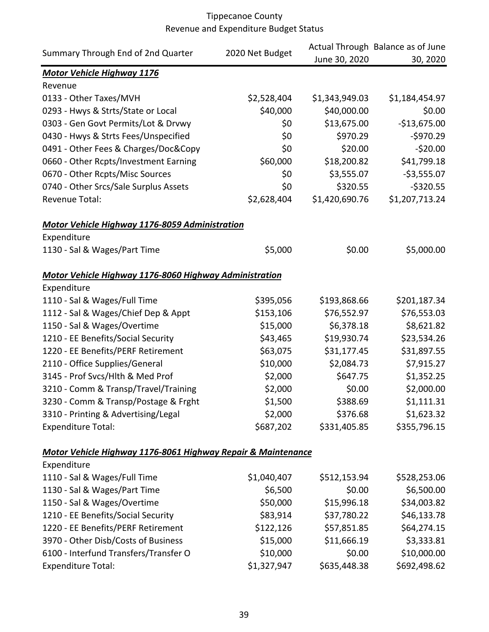|                                                               | 2020 Net Budget |                | Actual Through Balance as of June |
|---------------------------------------------------------------|-----------------|----------------|-----------------------------------|
| Summary Through End of 2nd Quarter                            |                 | June 30, 2020  | 30, 2020                          |
| <b>Motor Vehicle Highway 1176</b>                             |                 |                |                                   |
| Revenue                                                       |                 |                |                                   |
| 0133 - Other Taxes/MVH                                        | \$2,528,404     | \$1,343,949.03 | \$1,184,454.97                    |
| 0293 - Hwys & Strts/State or Local                            | \$40,000        | \$40,000.00    | \$0.00                            |
| 0303 - Gen Govt Permits/Lot & Drvwy                           | \$0             | \$13,675.00    | $-$13,675.00$                     |
| 0430 - Hwys & Strts Fees/Unspecified                          | \$0             | \$970.29       | $-5970.29$                        |
| 0491 - Other Fees & Charges/Doc&Copy                          | \$0             | \$20.00        | $-520.00$                         |
| 0660 - Other Rcpts/Investment Earning                         | \$60,000        | \$18,200.82    | \$41,799.18                       |
| 0670 - Other Rcpts/Misc Sources                               | \$0             | \$3,555.07     | $-$3,555.07$                      |
| 0740 - Other Srcs/Sale Surplus Assets                         | \$0             | \$320.55       | $-$ \$320.55                      |
| Revenue Total:                                                | \$2,628,404     | \$1,420,690.76 | \$1,207,713.24                    |
| <b>Motor Vehicle Highway 1176-8059 Administration</b>         |                 |                |                                   |
| Expenditure                                                   |                 |                |                                   |
| 1130 - Sal & Wages/Part Time                                  | \$5,000         | \$0.00         | \$5,000.00                        |
| <b>Motor Vehicle Highway 1176-8060 Highway Administration</b> |                 |                |                                   |
| Expenditure                                                   |                 |                |                                   |
| 1110 - Sal & Wages/Full Time                                  | \$395,056       | \$193,868.66   | \$201,187.34                      |
| 1112 - Sal & Wages/Chief Dep & Appt                           | \$153,106       | \$76,552.97    | \$76,553.03                       |
| 1150 - Sal & Wages/Overtime                                   | \$15,000        | \$6,378.18     | \$8,621.82                        |
| 1210 - EE Benefits/Social Security                            | \$43,465        | \$19,930.74    | \$23,534.26                       |
| 1220 - EE Benefits/PERF Retirement                            | \$63,075        | \$31,177.45    | \$31,897.55                       |
| 2110 - Office Supplies/General                                | \$10,000        | \$2,084.73     | \$7,915.27                        |
| 3145 - Prof Svcs/Hlth & Med Prof                              | \$2,000         | \$647.75       | \$1,352.25                        |
| 3210 - Comm & Transp/Travel/Training                          | \$2,000         | \$0.00         | \$2,000.00                        |
| 3230 - Comm & Transp/Postage & Frght                          | \$1,500         | \$388.69       | \$1,111.31                        |
| 3310 - Printing & Advertising/Legal                           | \$2,000         | \$376.68       | \$1,623.32                        |
| <b>Expenditure Total:</b>                                     | \$687,202       | \$331,405.85   | \$355,796.15                      |
| Motor Vehicle Highway 1176-8061 Highway Repair & Maintenance  |                 |                |                                   |
| Expenditure                                                   |                 |                |                                   |
| 1110 - Sal & Wages/Full Time                                  | \$1,040,407     | \$512,153.94   | \$528,253.06                      |
| 1130 - Sal & Wages/Part Time                                  | \$6,500         | \$0.00         | \$6,500.00                        |
| 1150 - Sal & Wages/Overtime                                   | \$50,000        | \$15,996.18    | \$34,003.82                       |
| 1210 - EE Benefits/Social Security                            | \$83,914        | \$37,780.22    | \$46,133.78                       |
| 1220 - EE Benefits/PERF Retirement                            | \$122,126       | \$57,851.85    | \$64,274.15                       |
| 3970 - Other Disb/Costs of Business                           | \$15,000        | \$11,666.19    | \$3,333.81                        |
| 6100 - Interfund Transfers/Transfer O                         | \$10,000        | \$0.00         | \$10,000.00                       |
| <b>Expenditure Total:</b>                                     | \$1,327,947     | \$635,448.38   | \$692,498.62                      |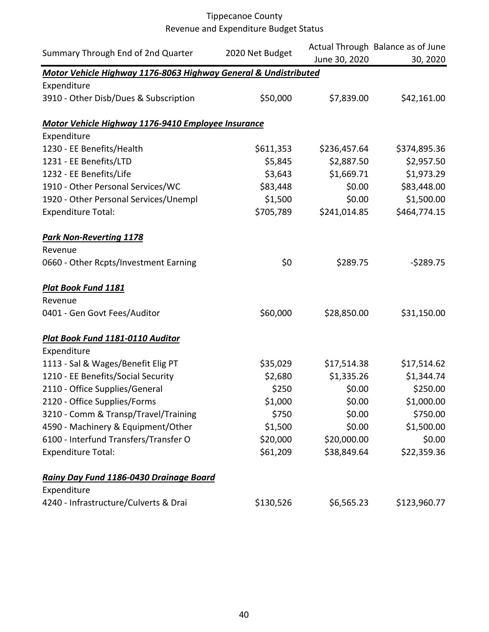| Summary Through End of 2nd Quarter                              | 2020 Net Budget |               | Actual Through Balance as of June |
|-----------------------------------------------------------------|-----------------|---------------|-----------------------------------|
|                                                                 |                 | June 30, 2020 | 30, 2020                          |
| Motor Vehicle Highway 1176-8063 Highway General & Undistributed |                 |               |                                   |
| Expenditure                                                     |                 |               |                                   |
| 3910 - Other Disb/Dues & Subscription                           | \$50,000        | \$7,839.00    | \$42,161.00                       |
| Motor Vehicle Highway 1176-9410 Employee Insurance              |                 |               |                                   |
| Expenditure                                                     |                 |               |                                   |
| 1230 - EE Benefits/Health                                       | \$611,353       | \$236,457.64  | \$374,895.36                      |
| 1231 - EE Benefits/LTD                                          | \$5,845         | \$2,887.50    | \$2,957.50                        |
| 1232 - EE Benefits/Life                                         | \$3,643         | \$1,669.71    | \$1,973.29                        |
| 1910 - Other Personal Services/WC                               | \$83,448        | \$0.00        | \$83,448.00                       |
| 1920 - Other Personal Services/Unempl                           | \$1,500         | \$0.00        | \$1,500.00                        |
| <b>Expenditure Total:</b>                                       | \$705,789       | \$241,014.85  | \$464,774.15                      |
| <b>Park Non-Reverting 1178</b>                                  |                 |               |                                   |
| Revenue                                                         |                 |               |                                   |
| 0660 - Other Rcpts/Investment Earning                           | \$0             | \$289.75      | $-5289.75$                        |
| <b>Plat Book Fund 1181</b>                                      |                 |               |                                   |
| Revenue                                                         |                 |               |                                   |
| 0401 - Gen Govt Fees/Auditor                                    | \$60,000        | \$28,850.00   | \$31,150.00                       |
| Plat Book Fund 1181-0110 Auditor                                |                 |               |                                   |
| Expenditure                                                     |                 |               |                                   |
| 1113 - Sal & Wages/Benefit Elig PT                              | \$35,029        | \$17,514.38   | \$17,514.62                       |
| 1210 - EE Benefits/Social Security                              | \$2,680         | \$1,335.26    | \$1,344.74                        |
| 2110 - Office Supplies/General                                  | \$250           | \$0.00        | \$250.00                          |
| 2120 - Office Supplies/Forms                                    | \$1,000         | \$0.00        | \$1,000.00                        |
| 3210 - Comm & Transp/Travel/Training                            | \$750           | \$0.00        | \$750.00                          |
| 4590 - Machinery & Equipment/Other                              | \$1,500         | \$0.00        | \$1,500.00                        |
| 6100 - Interfund Transfers/Transfer O                           | \$20,000        | \$20,000.00   | \$0.00                            |
| <b>Expenditure Total:</b>                                       | \$61,209        | \$38,849.64   | \$22,359.36                       |
| Rainy Day Fund 1186-0430 Drainage Board                         |                 |               |                                   |
| Expenditure                                                     |                 |               |                                   |
| 4240 - Infrastructure/Culverts & Drai                           | \$130,526       | \$6,565.23    | \$123,960.77                      |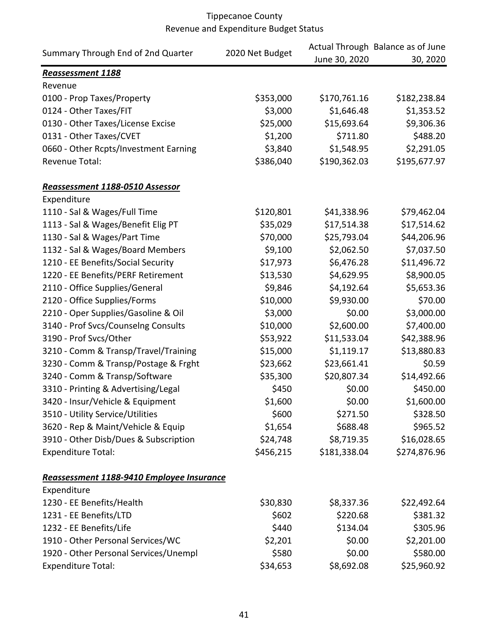| Summary Through End of 2nd Quarter        | 2020 Net Budget |               | Actual Through Balance as of June |
|-------------------------------------------|-----------------|---------------|-----------------------------------|
|                                           |                 | June 30, 2020 | 30, 2020                          |
| <b>Reassessment 1188</b>                  |                 |               |                                   |
| Revenue                                   |                 |               |                                   |
| 0100 - Prop Taxes/Property                | \$353,000       | \$170,761.16  | \$182,238.84                      |
| 0124 - Other Taxes/FIT                    | \$3,000         | \$1,646.48    | \$1,353.52                        |
| 0130 - Other Taxes/License Excise         | \$25,000        | \$15,693.64   | \$9,306.36                        |
| 0131 - Other Taxes/CVET                   | \$1,200         | \$711.80      | \$488.20                          |
| 0660 - Other Rcpts/Investment Earning     | \$3,840         | \$1,548.95    | \$2,291.05                        |
| Revenue Total:                            | \$386,040       | \$190,362.03  | \$195,677.97                      |
| Reassessment 1188-0510 Assessor           |                 |               |                                   |
| Expenditure                               |                 |               |                                   |
| 1110 - Sal & Wages/Full Time              | \$120,801       | \$41,338.96   | \$79,462.04                       |
| 1113 - Sal & Wages/Benefit Elig PT        | \$35,029        | \$17,514.38   | \$17,514.62                       |
| 1130 - Sal & Wages/Part Time              | \$70,000        | \$25,793.04   | \$44,206.96                       |
| 1132 - Sal & Wages/Board Members          | \$9,100         | \$2,062.50    | \$7,037.50                        |
| 1210 - EE Benefits/Social Security        | \$17,973        | \$6,476.28    | \$11,496.72                       |
| 1220 - EE Benefits/PERF Retirement        | \$13,530        | \$4,629.95    | \$8,900.05                        |
| 2110 - Office Supplies/General            | \$9,846         | \$4,192.64    | \$5,653.36                        |
| 2120 - Office Supplies/Forms              | \$10,000        | \$9,930.00    | \$70.00                           |
| 2210 - Oper Supplies/Gasoline & Oil       | \$3,000         | \$0.00        | \$3,000.00                        |
| 3140 - Prof Svcs/Counselng Consults       | \$10,000        | \$2,600.00    | \$7,400.00                        |
| 3190 - Prof Svcs/Other                    | \$53,922        | \$11,533.04   | \$42,388.96                       |
| 3210 - Comm & Transp/Travel/Training      | \$15,000        | \$1,119.17    | \$13,880.83                       |
| 3230 - Comm & Transp/Postage & Frght      | \$23,662        | \$23,661.41   | \$0.59                            |
| 3240 - Comm & Transp/Software             | \$35,300        | \$20,807.34   | \$14,492.66                       |
| 3310 - Printing & Advertising/Legal       | \$450           | \$0.00        | \$450.00                          |
| 3420 - Insur/Vehicle & Equipment          | \$1,600         | \$0.00        | \$1,600.00                        |
| 3510 - Utility Service/Utilities          | \$600           | \$271.50      | \$328.50                          |
| 3620 - Rep & Maint/Vehicle & Equip        | \$1,654         | \$688.48      | \$965.52                          |
| 3910 - Other Disb/Dues & Subscription     | \$24,748        | \$8,719.35    | \$16,028.65                       |
| <b>Expenditure Total:</b>                 | \$456,215       | \$181,338.04  | \$274,876.96                      |
| Reassessment 1188-9410 Employee Insurance |                 |               |                                   |
| Expenditure                               |                 |               |                                   |
| 1230 - EE Benefits/Health                 | \$30,830        | \$8,337.36    | \$22,492.64                       |
| 1231 - EE Benefits/LTD                    | \$602           | \$220.68      | \$381.32                          |
| 1232 - EE Benefits/Life                   | \$440           | \$134.04      | \$305.96                          |
| 1910 - Other Personal Services/WC         | \$2,201         | \$0.00        | \$2,201.00                        |
| 1920 - Other Personal Services/Unempl     | \$580           | \$0.00        | \$580.00                          |
| <b>Expenditure Total:</b>                 | \$34,653        | \$8,692.08    | \$25,960.92                       |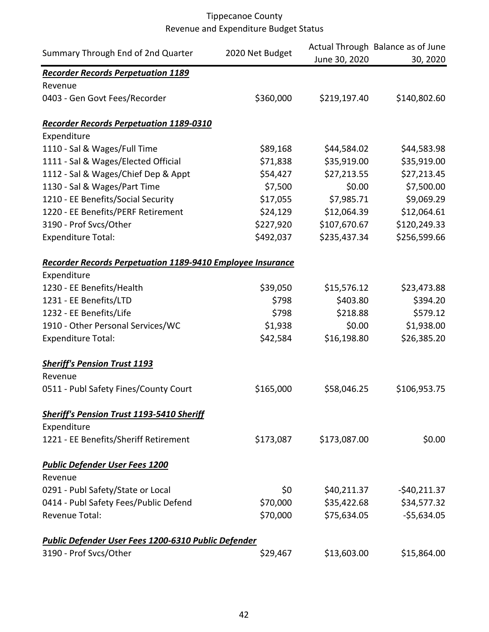| Summary Through End of 2nd Quarter                                | 2020 Net Budget |               | Actual Through Balance as of June |
|-------------------------------------------------------------------|-----------------|---------------|-----------------------------------|
|                                                                   |                 | June 30, 2020 | 30, 2020                          |
| <b>Recorder Records Perpetuation 1189</b>                         |                 |               |                                   |
| Revenue                                                           |                 |               |                                   |
| 0403 - Gen Govt Fees/Recorder                                     | \$360,000       | \$219,197.40  | \$140,802.60                      |
| <b>Recorder Records Perpetuation 1189-0310</b>                    |                 |               |                                   |
| Expenditure                                                       |                 |               |                                   |
| 1110 - Sal & Wages/Full Time                                      | \$89,168        | \$44,584.02   | \$44,583.98                       |
| 1111 - Sal & Wages/Elected Official                               | \$71,838        | \$35,919.00   | \$35,919.00                       |
| 1112 - Sal & Wages/Chief Dep & Appt                               | \$54,427        | \$27,213.55   | \$27,213.45                       |
| 1130 - Sal & Wages/Part Time                                      | \$7,500         | \$0.00        | \$7,500.00                        |
| 1210 - EE Benefits/Social Security                                | \$17,055        | \$7,985.71    | \$9,069.29                        |
| 1220 - EE Benefits/PERF Retirement                                | \$24,129        | \$12,064.39   | \$12,064.61                       |
| 3190 - Prof Svcs/Other                                            | \$227,920       | \$107,670.67  | \$120,249.33                      |
| <b>Expenditure Total:</b>                                         | \$492,037       | \$235,437.34  | \$256,599.66                      |
| <b>Recorder Records Perpetuation 1189-9410 Employee Insurance</b> |                 |               |                                   |
| Expenditure                                                       |                 |               |                                   |
| 1230 - EE Benefits/Health                                         | \$39,050        | \$15,576.12   | \$23,473.88                       |
| 1231 - EE Benefits/LTD                                            | \$798           | \$403.80      | \$394.20                          |
| 1232 - EE Benefits/Life                                           | \$798           | \$218.88      | \$579.12                          |
| 1910 - Other Personal Services/WC                                 | \$1,938         | \$0.00        | \$1,938.00                        |
| <b>Expenditure Total:</b>                                         | \$42,584        | \$16,198.80   | \$26,385.20                       |
| <b>Sheriff's Pension Trust 1193</b>                               |                 |               |                                   |
| Revenue                                                           |                 |               |                                   |
| 0511 - Publ Safety Fines/County Court                             | \$165,000       | \$58,046.25   | \$106,953.75                      |
| <b>Sheriff's Pension Trust 1193-5410 Sheriff</b>                  |                 |               |                                   |
| Expenditure                                                       |                 |               |                                   |
| 1221 - EE Benefits/Sheriff Retirement                             | \$173,087       | \$173,087.00  | \$0.00                            |
| <b>Public Defender User Fees 1200</b>                             |                 |               |                                   |
| Revenue                                                           |                 |               |                                   |
| 0291 - Publ Safety/State or Local                                 | \$0             | \$40,211.37   | $-$ \$40,211.37                   |
| 0414 - Publ Safety Fees/Public Defend                             | \$70,000        | \$35,422.68   | \$34,577.32                       |
| <b>Revenue Total:</b>                                             | \$70,000        | \$75,634.05   | $-$5,634.05$                      |
| <u> Public Defender User Fees 1200-6310 Public Defender</u>       |                 |               |                                   |
| 3190 - Prof Svcs/Other                                            | \$29,467        | \$13,603.00   | \$15,864.00                       |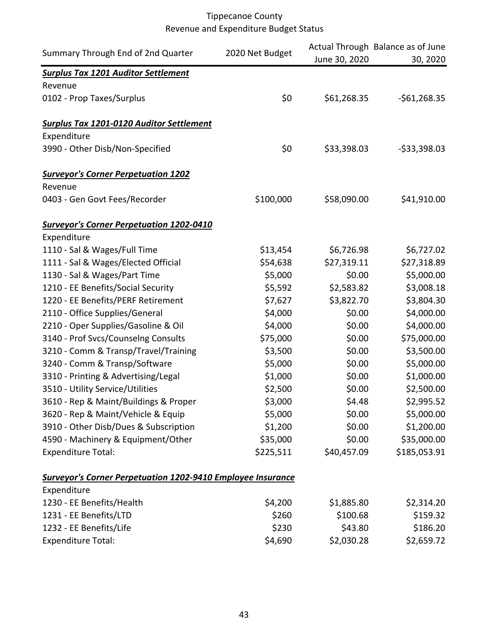| Summary Through End of 2nd Quarter                                 | 2020 Net Budget | June 30, 2020 | Actual Through Balance as of June<br>30, 2020 |
|--------------------------------------------------------------------|-----------------|---------------|-----------------------------------------------|
| <b>Surplus Tax 1201 Auditor Settlement</b>                         |                 |               |                                               |
| Revenue                                                            |                 |               |                                               |
| 0102 - Prop Taxes/Surplus                                          | \$0             | \$61,268.35   | $-561,268.35$                                 |
| <b>Surplus Tax 1201-0120 Auditor Settlement</b>                    |                 |               |                                               |
| Expenditure                                                        |                 |               |                                               |
| 3990 - Other Disb/Non-Specified                                    | \$0             | \$33,398.03   | $-533,398.03$                                 |
| <b>Surveyor's Corner Perpetuation 1202</b>                         |                 |               |                                               |
| Revenue                                                            |                 |               |                                               |
| 0403 - Gen Govt Fees/Recorder                                      | \$100,000       | \$58,090.00   | \$41,910.00                                   |
| <b>Surveyor's Corner Perpetuation 1202-0410</b>                    |                 |               |                                               |
| Expenditure                                                        |                 |               |                                               |
| 1110 - Sal & Wages/Full Time                                       | \$13,454        | \$6,726.98    | \$6,727.02                                    |
| 1111 - Sal & Wages/Elected Official                                | \$54,638        | \$27,319.11   | \$27,318.89                                   |
| 1130 - Sal & Wages/Part Time                                       | \$5,000         | \$0.00        | \$5,000.00                                    |
| 1210 - EE Benefits/Social Security                                 | \$5,592         | \$2,583.82    | \$3,008.18                                    |
| 1220 - EE Benefits/PERF Retirement                                 | \$7,627         | \$3,822.70    | \$3,804.30                                    |
| 2110 - Office Supplies/General                                     | \$4,000         | \$0.00        | \$4,000.00                                    |
| 2210 - Oper Supplies/Gasoline & Oil                                | \$4,000         | \$0.00        | \$4,000.00                                    |
| 3140 - Prof Svcs/Counselng Consults                                | \$75,000        | \$0.00        | \$75,000.00                                   |
| 3210 - Comm & Transp/Travel/Training                               | \$3,500         | \$0.00        | \$3,500.00                                    |
| 3240 - Comm & Transp/Software                                      | \$5,000         | \$0.00        | \$5,000.00                                    |
| 3310 - Printing & Advertising/Legal                                | \$1,000         | \$0.00        | \$1,000.00                                    |
| 3510 - Utility Service/Utilities                                   | \$2,500         | \$0.00        | \$2,500.00                                    |
| 3610 - Rep & Maint/Buildings & Proper                              | \$3,000         | \$4.48        | \$2,995.52                                    |
| 3620 - Rep & Maint/Vehicle & Equip                                 | \$5,000         | \$0.00        | \$5,000.00                                    |
| 3910 - Other Disb/Dues & Subscription                              | \$1,200         | \$0.00        | \$1,200.00                                    |
| 4590 - Machinery & Equipment/Other                                 | \$35,000        | \$0.00        | \$35,000.00                                   |
| <b>Expenditure Total:</b>                                          | \$225,511       | \$40,457.09   | \$185,053.91                                  |
| <b>Surveyor's Corner Perpetuation 1202-9410 Employee Insurance</b> |                 |               |                                               |
| Expenditure                                                        |                 |               |                                               |
| 1230 - EE Benefits/Health                                          | \$4,200         | \$1,885.80    | \$2,314.20                                    |
| 1231 - EE Benefits/LTD                                             | \$260           | \$100.68      | \$159.32                                      |
| 1232 - EE Benefits/Life                                            | \$230           | \$43.80       | \$186.20                                      |
| <b>Expenditure Total:</b>                                          | \$4,690         | \$2,030.28    | \$2,659.72                                    |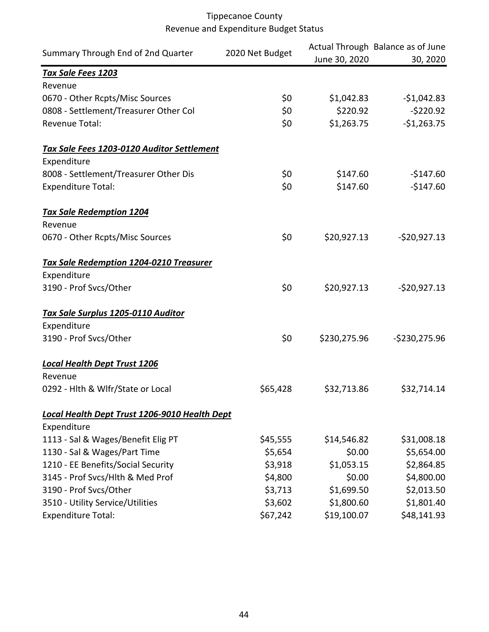| Summary Through End of 2nd Quarter             | 2020 Net Budget | June 30, 2020 | Actual Through Balance as of June<br>30, 2020 |
|------------------------------------------------|-----------------|---------------|-----------------------------------------------|
| <b>Tax Sale Fees 1203</b>                      |                 |               |                                               |
| Revenue                                        |                 |               |                                               |
| 0670 - Other Rcpts/Misc Sources                | \$0             | \$1,042.83    | $-$1,042.83$                                  |
| 0808 - Settlement/Treasurer Other Col          | \$0             | \$220.92      | $-5220.92$                                    |
| <b>Revenue Total:</b>                          | \$0             | \$1,263.75    | $-$1,263.75$                                  |
| Tax Sale Fees 1203-0120 Auditor Settlement     |                 |               |                                               |
| Expenditure                                    |                 |               |                                               |
| 8008 - Settlement/Treasurer Other Dis          | \$0             | \$147.60      | $-$147.60$                                    |
| <b>Expenditure Total:</b>                      | \$0             | \$147.60      | $-$147.60$                                    |
| <b>Tax Sale Redemption 1204</b>                |                 |               |                                               |
| Revenue                                        |                 |               |                                               |
| 0670 - Other Rcpts/Misc Sources                | \$0             | \$20,927.13   | $-520,927.13$                                 |
| <b>Tax Sale Redemption 1204-0210 Treasurer</b> |                 |               |                                               |
| Expenditure                                    |                 |               |                                               |
| 3190 - Prof Svcs/Other                         | \$0             | \$20,927.13   | $-520,927.13$                                 |
| Tax Sale Surplus 1205-0110 Auditor             |                 |               |                                               |
| Expenditure                                    |                 |               |                                               |
| 3190 - Prof Svcs/Other                         | \$0             | \$230,275.96  | $-5230,275.96$                                |
| <b>Local Health Dept Trust 1206</b>            |                 |               |                                               |
| Revenue                                        |                 |               |                                               |
| 0292 - Hlth & Wlfr/State or Local              | \$65,428        | \$32,713.86   | \$32,714.14                                   |
| Local Health Dept Trust 1206-9010 Health Dept  |                 |               |                                               |
| Expenditure                                    |                 |               |                                               |
| 1113 - Sal & Wages/Benefit Elig PT             | \$45,555        | \$14,546.82   | \$31,008.18                                   |
| 1130 - Sal & Wages/Part Time                   | \$5,654         | \$0.00        | \$5,654.00                                    |
| 1210 - EE Benefits/Social Security             | \$3,918         | \$1,053.15    | \$2,864.85                                    |
| 3145 - Prof Svcs/Hlth & Med Prof               | \$4,800         | \$0.00        | \$4,800.00                                    |
| 3190 - Prof Svcs/Other                         | \$3,713         | \$1,699.50    | \$2,013.50                                    |
| 3510 - Utility Service/Utilities               | \$3,602         | \$1,800.60    | \$1,801.40                                    |
| <b>Expenditure Total:</b>                      | \$67,242        | \$19,100.07   | \$48,141.93                                   |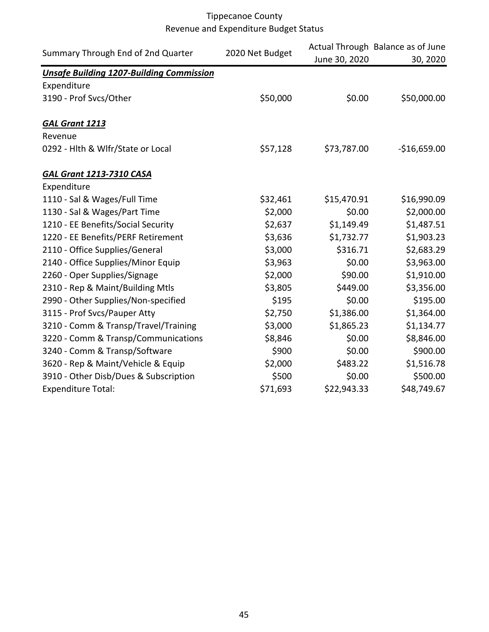| Summary Through End of 2nd Quarter              | 2020 Net Budget |               | Actual Through Balance as of June |
|-------------------------------------------------|-----------------|---------------|-----------------------------------|
|                                                 |                 | June 30, 2020 | 30, 2020                          |
| <b>Unsafe Building 1207-Building Commission</b> |                 |               |                                   |
| Expenditure                                     |                 |               |                                   |
| 3190 - Prof Svcs/Other                          | \$50,000        | \$0.00        | \$50,000.00                       |
| <b>GAL Grant 1213</b>                           |                 |               |                                   |
| Revenue                                         |                 |               |                                   |
| 0292 - Hlth & Wlfr/State or Local               | \$57,128        | \$73,787.00   | $-$16,659.00$                     |
| <b>GAL Grant 1213-7310 CASA</b>                 |                 |               |                                   |
| Expenditure                                     |                 |               |                                   |
| 1110 - Sal & Wages/Full Time                    | \$32,461        | \$15,470.91   | \$16,990.09                       |
| 1130 - Sal & Wages/Part Time                    | \$2,000         | \$0.00        | \$2,000.00                        |
| 1210 - EE Benefits/Social Security              | \$2,637         | \$1,149.49    | \$1,487.51                        |
| 1220 - EE Benefits/PERF Retirement              | \$3,636         | \$1,732.77    | \$1,903.23                        |
| 2110 - Office Supplies/General                  | \$3,000         | \$316.71      | \$2,683.29                        |
| 2140 - Office Supplies/Minor Equip              | \$3,963         | \$0.00        | \$3,963.00                        |
| 2260 - Oper Supplies/Signage                    | \$2,000         | \$90.00       | \$1,910.00                        |
| 2310 - Rep & Maint/Building Mtls                | \$3,805         | \$449.00      | \$3,356.00                        |
| 2990 - Other Supplies/Non-specified             | \$195           | \$0.00        | \$195.00                          |
| 3115 - Prof Svcs/Pauper Atty                    | \$2,750         | \$1,386.00    | \$1,364.00                        |
| 3210 - Comm & Transp/Travel/Training            | \$3,000         | \$1,865.23    | \$1,134.77                        |
| 3220 - Comm & Transp/Communications             | \$8,846         | \$0.00        | \$8,846.00                        |
| 3240 - Comm & Transp/Software                   | \$900           | \$0.00        | \$900.00                          |
| 3620 - Rep & Maint/Vehicle & Equip              | \$2,000         | \$483.22      | \$1,516.78                        |
| 3910 - Other Disb/Dues & Subscription           | \$500           | \$0.00        | \$500.00                          |
| <b>Expenditure Total:</b>                       | \$71,693        | \$22,943.33   | \$48,749.67                       |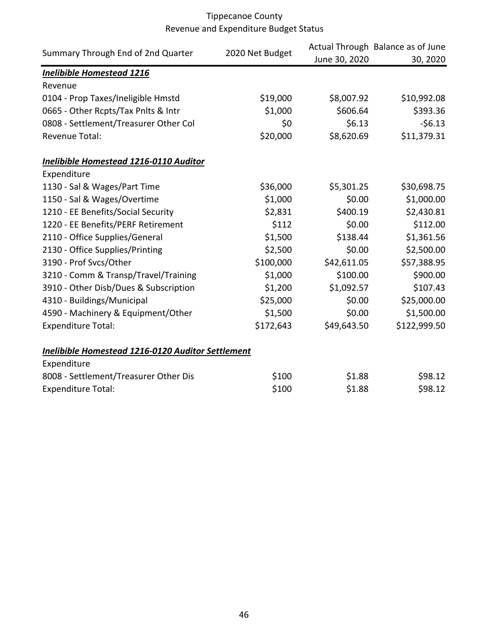| Summary Through End of 2nd Quarter                       | 2020 Net Budget |               | Actual Through Balance as of June |
|----------------------------------------------------------|-----------------|---------------|-----------------------------------|
|                                                          |                 | June 30, 2020 | 30, 2020                          |
| <b>Inelibible Homestead 1216</b>                         |                 |               |                                   |
| Revenue                                                  |                 |               |                                   |
| 0104 - Prop Taxes/Ineligible Hmstd                       | \$19,000        | \$8,007.92    | \$10,992.08                       |
| 0665 - Other Rcpts/Tax Pnlts & Intr                      | \$1,000         | \$606.64      | \$393.36                          |
| 0808 - Settlement/Treasurer Other Col                    | \$0             | \$6.13        | $-56.13$                          |
| <b>Revenue Total:</b>                                    | \$20,000        | \$8,620.69    | \$11,379.31                       |
| Inelibible Homestead 1216-0110 Auditor                   |                 |               |                                   |
| Expenditure                                              |                 |               |                                   |
| 1130 - Sal & Wages/Part Time                             | \$36,000        | \$5,301.25    | \$30,698.75                       |
| 1150 - Sal & Wages/Overtime                              | \$1,000         | \$0.00        | \$1,000.00                        |
| 1210 - EE Benefits/Social Security                       | \$2,831         | \$400.19      | \$2,430.81                        |
| 1220 - EE Benefits/PERF Retirement                       | \$112           | \$0.00        | \$112.00                          |
| 2110 - Office Supplies/General                           | \$1,500         | \$138.44      | \$1,361.56                        |
| 2130 - Office Supplies/Printing                          | \$2,500         | \$0.00        | \$2,500.00                        |
| 3190 - Prof Svcs/Other                                   | \$100,000       | \$42,611.05   | \$57,388.95                       |
| 3210 - Comm & Transp/Travel/Training                     | \$1,000         | \$100.00      | \$900.00                          |
| 3910 - Other Disb/Dues & Subscription                    | \$1,200         | \$1,092.57    | \$107.43                          |
| 4310 - Buildings/Municipal                               | \$25,000        | \$0.00        | \$25,000.00                       |
| 4590 - Machinery & Equipment/Other                       | \$1,500         | \$0.00        | \$1,500.00                        |
| <b>Expenditure Total:</b>                                | \$172,643       | \$49,643.50   | \$122,999.50                      |
| <b>Inelibible Homestead 1216-0120 Auditor Settlement</b> |                 |               |                                   |
| Expenditure                                              |                 |               |                                   |
| 8008 - Settlement/Treasurer Other Dis                    | \$100           | \$1.88        | \$98.12                           |
| <b>Expenditure Total:</b>                                | \$100           | \$1.88        | \$98.12                           |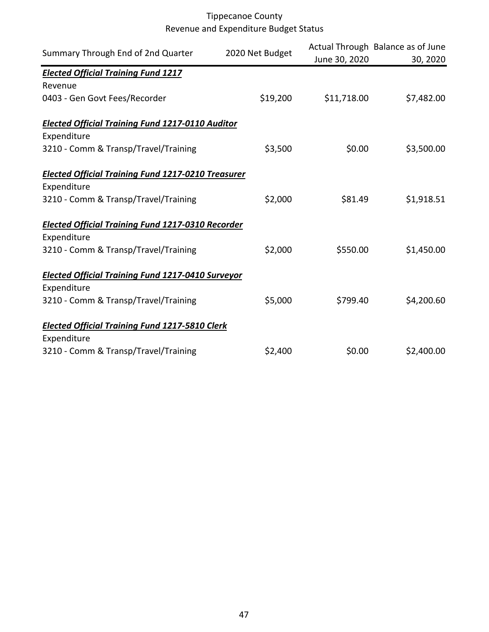| Summary Through End of 2nd Quarter                                     | 2020 Net Budget | June 30, 2020 | Actual Through Balance as of June<br>30, 2020 |
|------------------------------------------------------------------------|-----------------|---------------|-----------------------------------------------|
| <b>Elected Official Training Fund 1217</b>                             |                 |               |                                               |
| Revenue                                                                |                 |               |                                               |
| 0403 - Gen Govt Fees/Recorder                                          | \$19,200        | \$11,718.00   | \$7,482.00                                    |
| <b>Elected Official Training Fund 1217-0110 Auditor</b><br>Expenditure |                 |               |                                               |
| 3210 - Comm & Transp/Travel/Training                                   | \$3,500         | \$0.00        | \$3,500.00                                    |
| <b>Elected Official Training Fund 1217-0210 Treasurer</b>              |                 |               |                                               |
| Expenditure                                                            |                 |               |                                               |
| 3210 - Comm & Transp/Travel/Training                                   | \$2,000         | \$81.49       | \$1,918.51                                    |
| <b>Elected Official Training Fund 1217-0310 Recorder</b>               |                 |               |                                               |
| Expenditure                                                            |                 |               |                                               |
| 3210 - Comm & Transp/Travel/Training                                   | \$2,000         | \$550.00      | \$1,450.00                                    |
| <b>Elected Official Training Fund 1217-0410 Surveyor</b>               |                 |               |                                               |
| Expenditure                                                            |                 |               |                                               |
| 3210 - Comm & Transp/Travel/Training                                   | \$5,000         | \$799.40      | \$4,200.60                                    |
| <b>Elected Official Training Fund 1217-5810 Clerk</b><br>Expenditure   |                 |               |                                               |
| 3210 - Comm & Transp/Travel/Training                                   | \$2,400         | \$0.00        | \$2,400.00                                    |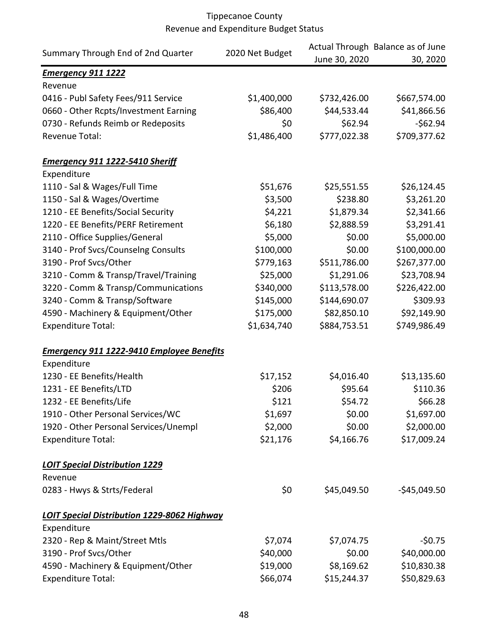| Summary Through End of 2nd Quarter                 | 2020 Net Budget |               | Actual Through Balance as of June |
|----------------------------------------------------|-----------------|---------------|-----------------------------------|
|                                                    |                 | June 30, 2020 | 30, 2020                          |
| <b>Emergency 911 1222</b>                          |                 |               |                                   |
| Revenue                                            |                 |               |                                   |
| 0416 - Publ Safety Fees/911 Service                | \$1,400,000     | \$732,426.00  | \$667,574.00                      |
| 0660 - Other Rcpts/Investment Earning              | \$86,400        | \$44,533.44   | \$41,866.56                       |
| 0730 - Refunds Reimb or Redeposits                 | \$0             | \$62.94       | $-562.94$                         |
| Revenue Total:                                     | \$1,486,400     | \$777,022.38  | \$709,377.62                      |
| <b>Emergency 911 1222-5410 Sheriff</b>             |                 |               |                                   |
| Expenditure                                        |                 |               |                                   |
| 1110 - Sal & Wages/Full Time                       | \$51,676        | \$25,551.55   | \$26,124.45                       |
| 1150 - Sal & Wages/Overtime                        | \$3,500         | \$238.80      | \$3,261.20                        |
| 1210 - EE Benefits/Social Security                 | \$4,221         | \$1,879.34    | \$2,341.66                        |
| 1220 - EE Benefits/PERF Retirement                 | \$6,180         | \$2,888.59    | \$3,291.41                        |
| 2110 - Office Supplies/General                     | \$5,000         | \$0.00        | \$5,000.00                        |
| 3140 - Prof Svcs/Counselng Consults                | \$100,000       | \$0.00        | \$100,000.00                      |
| 3190 - Prof Svcs/Other                             | \$779,163       | \$511,786.00  | \$267,377.00                      |
| 3210 - Comm & Transp/Travel/Training               | \$25,000        | \$1,291.06    | \$23,708.94                       |
| 3220 - Comm & Transp/Communications                | \$340,000       | \$113,578.00  | \$226,422.00                      |
| 3240 - Comm & Transp/Software                      | \$145,000       | \$144,690.07  | \$309.93                          |
| 4590 - Machinery & Equipment/Other                 | \$175,000       | \$82,850.10   | \$92,149.90                       |
| <b>Expenditure Total:</b>                          | \$1,634,740     | \$884,753.51  | \$749,986.49                      |
| <b>Emergency 911 1222-9410 Employee Benefits</b>   |                 |               |                                   |
| Expenditure                                        |                 |               |                                   |
| 1230 - EE Benefits/Health                          | \$17,152        | \$4,016.40    | \$13,135.60                       |
| 1231 - EE Benefits/LTD                             | \$206           | \$95.64       | \$110.36                          |
| 1232 - EE Benefits/Life                            | \$121           | \$54.72       | \$66.28                           |
| 1910 - Other Personal Services/WC                  | \$1,697         | \$0.00        | \$1,697.00                        |
| 1920 - Other Personal Services/Unempl              | \$2,000         | \$0.00        | \$2,000.00                        |
| <b>Expenditure Total:</b>                          | \$21,176        | \$4,166.76    | \$17,009.24                       |
| <b>LOIT Special Distribution 1229</b>              |                 |               |                                   |
| Revenue                                            |                 |               |                                   |
| 0283 - Hwys & Strts/Federal                        | \$0             | \$45,049.50   | $-$45,049.50$                     |
| <b>LOIT Special Distribution 1229-8062 Highway</b> |                 |               |                                   |
| Expenditure                                        |                 |               |                                   |
| 2320 - Rep & Maint/Street Mtls                     | \$7,074         | \$7,074.75    | $-50.75$                          |
| 3190 - Prof Svcs/Other                             | \$40,000        | \$0.00        | \$40,000.00                       |
| 4590 - Machinery & Equipment/Other                 | \$19,000        | \$8,169.62    | \$10,830.38                       |
| <b>Expenditure Total:</b>                          | \$66,074        | \$15,244.37   | \$50,829.63                       |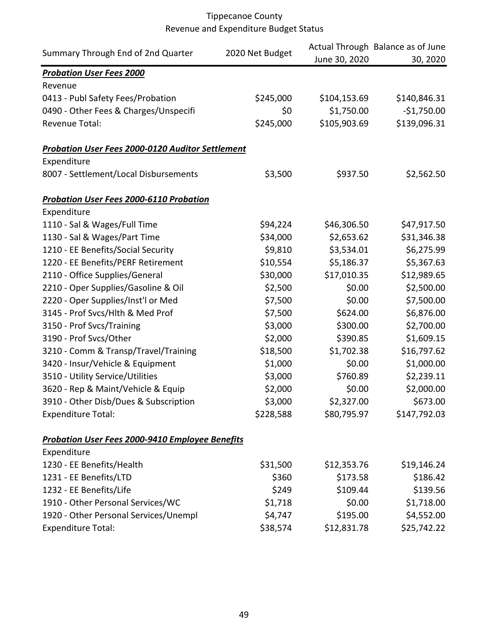| Summary Through End of 2nd Quarter                      | 2020 Net Budget | June 30, 2020 | Actual Through Balance as of June<br>30, 2020 |
|---------------------------------------------------------|-----------------|---------------|-----------------------------------------------|
| <b>Probation User Fees 2000</b>                         |                 |               |                                               |
| Revenue                                                 |                 |               |                                               |
| 0413 - Publ Safety Fees/Probation                       | \$245,000       | \$104,153.69  | \$140,846.31                                  |
| 0490 - Other Fees & Charges/Unspecifi                   | \$0             | \$1,750.00    | $-$1,750.00$                                  |
| <b>Revenue Total:</b>                                   | \$245,000       | \$105,903.69  | \$139,096.31                                  |
| <b>Probation User Fees 2000-0120 Auditor Settlement</b> |                 |               |                                               |
| Expenditure                                             |                 |               |                                               |
| 8007 - Settlement/Local Disbursements                   | \$3,500         | \$937.50      | \$2,562.50                                    |
| <b>Probation User Fees 2000-6110 Probation</b>          |                 |               |                                               |
| Expenditure                                             |                 |               |                                               |
| 1110 - Sal & Wages/Full Time                            | \$94,224        | \$46,306.50   | \$47,917.50                                   |
| 1130 - Sal & Wages/Part Time                            | \$34,000        | \$2,653.62    | \$31,346.38                                   |
| 1210 - EE Benefits/Social Security                      | \$9,810         | \$3,534.01    | \$6,275.99                                    |
| 1220 - EE Benefits/PERF Retirement                      | \$10,554        | \$5,186.37    | \$5,367.63                                    |
| 2110 - Office Supplies/General                          | \$30,000        | \$17,010.35   | \$12,989.65                                   |
| 2210 - Oper Supplies/Gasoline & Oil                     | \$2,500         | \$0.00        | \$2,500.00                                    |
| 2220 - Oper Supplies/Inst'l or Med                      | \$7,500         | \$0.00        | \$7,500.00                                    |
| 3145 - Prof Svcs/Hlth & Med Prof                        | \$7,500         | \$624.00      | \$6,876.00                                    |
| 3150 - Prof Svcs/Training                               | \$3,000         | \$300.00      | \$2,700.00                                    |
| 3190 - Prof Svcs/Other                                  | \$2,000         | \$390.85      | \$1,609.15                                    |
| 3210 - Comm & Transp/Travel/Training                    | \$18,500        | \$1,702.38    | \$16,797.62                                   |
| 3420 - Insur/Vehicle & Equipment                        | \$1,000         | \$0.00        | \$1,000.00                                    |
| 3510 - Utility Service/Utilities                        | \$3,000         | \$760.89      | \$2,239.11                                    |
| 3620 - Rep & Maint/Vehicle & Equip                      | \$2,000         | \$0.00        | \$2,000.00                                    |
| 3910 - Other Disb/Dues & Subscription                   | \$3,000         | \$2,327.00    | \$673.00                                      |
| <b>Expenditure Total:</b>                               | \$228,588       | \$80,795.97   | \$147,792.03                                  |
| <b>Probation User Fees 2000-9410 Employee Benefits</b>  |                 |               |                                               |
| Expenditure                                             |                 |               |                                               |
| 1230 - EE Benefits/Health                               | \$31,500        | \$12,353.76   | \$19,146.24                                   |
| 1231 - EE Benefits/LTD                                  | \$360           | \$173.58      | \$186.42                                      |
| 1232 - EE Benefits/Life                                 | \$249           | \$109.44      | \$139.56                                      |
| 1910 - Other Personal Services/WC                       | \$1,718         | \$0.00        | \$1,718.00                                    |
| 1920 - Other Personal Services/Unempl                   | \$4,747         | \$195.00      | \$4,552.00                                    |
| <b>Expenditure Total:</b>                               | \$38,574        | \$12,831.78   | \$25,742.22                                   |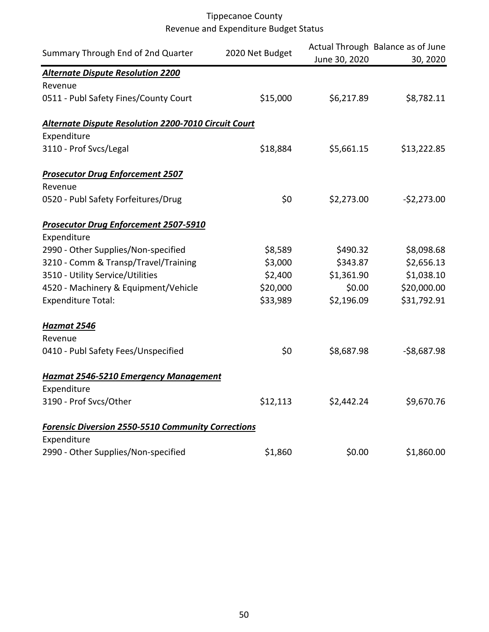| Summary Through End of 2nd Quarter                          | 2020 Net Budget |               | Actual Through Balance as of June |
|-------------------------------------------------------------|-----------------|---------------|-----------------------------------|
|                                                             |                 | June 30, 2020 | 30, 2020                          |
| <b>Alternate Dispute Resolution 2200</b>                    |                 |               |                                   |
| Revenue                                                     |                 |               |                                   |
| 0511 - Publ Safety Fines/County Court                       | \$15,000        | \$6,217.89    | \$8,782.11                        |
| <b>Alternate Dispute Resolution 2200-7010 Circuit Court</b> |                 |               |                                   |
| Expenditure                                                 |                 |               |                                   |
| 3110 - Prof Svcs/Legal                                      | \$18,884        | \$5,661.15    | \$13,222.85                       |
| <b>Prosecutor Drug Enforcement 2507</b>                     |                 |               |                                   |
| Revenue                                                     |                 |               |                                   |
| 0520 - Publ Safety Forfeitures/Drug                         | \$0             | \$2,273.00    | $-52,273.00$                      |
| <b>Prosecutor Drug Enforcement 2507-5910</b>                |                 |               |                                   |
| Expenditure                                                 |                 |               |                                   |
| 2990 - Other Supplies/Non-specified                         | \$8,589         | \$490.32      | \$8,098.68                        |
| 3210 - Comm & Transp/Travel/Training                        | \$3,000         | \$343.87      | \$2,656.13                        |
| 3510 - Utility Service/Utilities                            | \$2,400         | \$1,361.90    | \$1,038.10                        |
| 4520 - Machinery & Equipment/Vehicle                        | \$20,000        | \$0.00        | \$20,000.00                       |
| <b>Expenditure Total:</b>                                   | \$33,989        | \$2,196.09    | \$31,792.91                       |
| <b>Hazmat 2546</b>                                          |                 |               |                                   |
| Revenue                                                     |                 |               |                                   |
| 0410 - Publ Safety Fees/Unspecified                         | \$0             | \$8,687.98    | $-58,687.98$                      |
| <b>Hazmat 2546-5210 Emergency Management</b>                |                 |               |                                   |
| Expenditure                                                 |                 |               |                                   |
| 3190 - Prof Svcs/Other                                      | \$12,113        | \$2,442.24    | \$9,670.76                        |
| <b>Forensic Diversion 2550-5510 Community Corrections</b>   |                 |               |                                   |
| Expenditure                                                 |                 |               |                                   |
| 2990 - Other Supplies/Non-specified                         | \$1,860         | \$0.00        | \$1,860.00                        |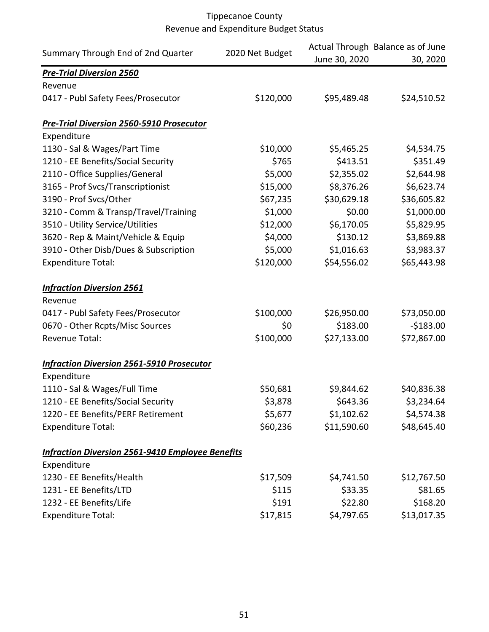| Summary Through End of 2nd Quarter                      | 2020 Net Budget |               | Actual Through Balance as of June |
|---------------------------------------------------------|-----------------|---------------|-----------------------------------|
|                                                         |                 | June 30, 2020 | 30, 2020                          |
| <b>Pre-Trial Diversion 2560</b>                         |                 |               |                                   |
| Revenue                                                 |                 |               |                                   |
| 0417 - Publ Safety Fees/Prosecutor                      | \$120,000       | \$95,489.48   | \$24,510.52                       |
| <b>Pre-Trial Diversion 2560-5910 Prosecutor</b>         |                 |               |                                   |
| Expenditure                                             |                 |               |                                   |
| 1130 - Sal & Wages/Part Time                            | \$10,000        | \$5,465.25    | \$4,534.75                        |
| 1210 - EE Benefits/Social Security                      | \$765           | \$413.51      | \$351.49                          |
| 2110 - Office Supplies/General                          | \$5,000         | \$2,355.02    | \$2,644.98                        |
| 3165 - Prof Svcs/Transcriptionist                       | \$15,000        | \$8,376.26    | \$6,623.74                        |
| 3190 - Prof Svcs/Other                                  | \$67,235        | \$30,629.18   | \$36,605.82                       |
| 3210 - Comm & Transp/Travel/Training                    | \$1,000         | \$0.00        | \$1,000.00                        |
| 3510 - Utility Service/Utilities                        | \$12,000        | \$6,170.05    | \$5,829.95                        |
| 3620 - Rep & Maint/Vehicle & Equip                      | \$4,000         | \$130.12      | \$3,869.88                        |
| 3910 - Other Disb/Dues & Subscription                   | \$5,000         | \$1,016.63    | \$3,983.37                        |
| <b>Expenditure Total:</b>                               | \$120,000       | \$54,556.02   | \$65,443.98                       |
| <b>Infraction Diversion 2561</b>                        |                 |               |                                   |
| Revenue                                                 |                 |               |                                   |
| 0417 - Publ Safety Fees/Prosecutor                      | \$100,000       | \$26,950.00   | \$73,050.00                       |
| 0670 - Other Rcpts/Misc Sources                         | \$0             | \$183.00      | $-5183.00$                        |
| <b>Revenue Total:</b>                                   | \$100,000       | \$27,133.00   | \$72,867.00                       |
| <b>Infraction Diversion 2561-5910 Prosecutor</b>        |                 |               |                                   |
| Expenditure                                             |                 |               |                                   |
| 1110 - Sal & Wages/Full Time                            | \$50,681        | \$9,844.62    | \$40,836.38                       |
| 1210 - EE Benefits/Social Security                      | \$3,878         | \$643.36      | \$3,234.64                        |
| 1220 - EE Benefits/PERF Retirement                      | \$5,677         | \$1,102.62    | \$4,574.38                        |
| <b>Expenditure Total:</b>                               | \$60,236        | \$11,590.60   | \$48,645.40                       |
| <b>Infraction Diversion 2561-9410 Employee Benefits</b> |                 |               |                                   |
| Expenditure                                             |                 |               |                                   |
| 1230 - EE Benefits/Health                               | \$17,509        | \$4,741.50    | \$12,767.50                       |
| 1231 - EE Benefits/LTD                                  | \$115           | \$33.35       | \$81.65                           |
| 1232 - EE Benefits/Life                                 | \$191           | \$22.80       | \$168.20                          |
| <b>Expenditure Total:</b>                               | \$17,815        | \$4,797.65    | \$13,017.35                       |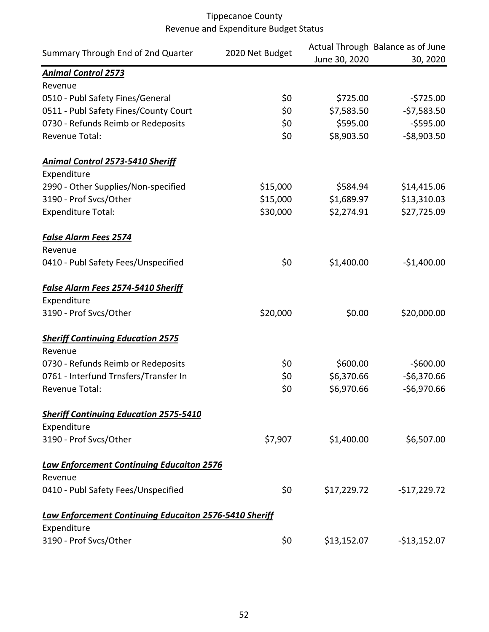| Summary Through End of 2nd Quarter                            | 2020 Net Budget |               | Actual Through Balance as of June |
|---------------------------------------------------------------|-----------------|---------------|-----------------------------------|
|                                                               |                 | June 30, 2020 | 30, 2020                          |
| <b>Animal Control 2573</b>                                    |                 |               |                                   |
| Revenue                                                       |                 |               |                                   |
| 0510 - Publ Safety Fines/General                              | \$0             | \$725.00      | $-5725.00$                        |
| 0511 - Publ Safety Fines/County Court                         | \$0             | \$7,583.50    | $-57,583.50$                      |
| 0730 - Refunds Reimb or Redeposits                            | \$0             | \$595.00      | $-5595.00$                        |
| <b>Revenue Total:</b>                                         | \$0             | \$8,903.50    | $-58,903.50$                      |
| <b>Animal Control 2573-5410 Sheriff</b>                       |                 |               |                                   |
| Expenditure                                                   |                 |               |                                   |
| 2990 - Other Supplies/Non-specified                           | \$15,000        | \$584.94      | \$14,415.06                       |
| 3190 - Prof Svcs/Other                                        | \$15,000        | \$1,689.97    | \$13,310.03                       |
| <b>Expenditure Total:</b>                                     | \$30,000        | \$2,274.91    | \$27,725.09                       |
| <b>False Alarm Fees 2574</b>                                  |                 |               |                                   |
| Revenue                                                       |                 |               |                                   |
| 0410 - Publ Safety Fees/Unspecified                           | \$0             | \$1,400.00    | $-$1,400.00$                      |
| <b>False Alarm Fees 2574-5410 Sheriff</b>                     |                 |               |                                   |
| Expenditure                                                   |                 |               |                                   |
| 3190 - Prof Svcs/Other                                        | \$20,000        | \$0.00        | \$20,000.00                       |
| <b>Sheriff Continuing Education 2575</b>                      |                 |               |                                   |
| Revenue                                                       |                 |               |                                   |
| 0730 - Refunds Reimb or Redeposits                            | \$0             | \$600.00      | $-$600.00$                        |
| 0761 - Interfund Trnsfers/Transfer In                         | \$0             | \$6,370.66    | $-$6,370.66$                      |
| Revenue Total:                                                | \$0             | \$6,970.66    | $-56,970.66$                      |
| <b>Sheriff Continuing Education 2575-5410</b>                 |                 |               |                                   |
| Expenditure                                                   |                 |               |                                   |
| 3190 - Prof Svcs/Other                                        | \$7,907         | \$1,400.00    | \$6,507.00                        |
| <b>Law Enforcement Continuing Educaiton 2576</b>              |                 |               |                                   |
| Revenue                                                       |                 |               |                                   |
| 0410 - Publ Safety Fees/Unspecified                           | \$0             | \$17,229.72   | $-$17,229.72$                     |
| <b>Law Enforcement Continuing Educaiton 2576-5410 Sheriff</b> |                 |               |                                   |
| Expenditure                                                   |                 |               |                                   |
| 3190 - Prof Svcs/Other                                        | \$0             | \$13,152.07   | $-$13,152.07$                     |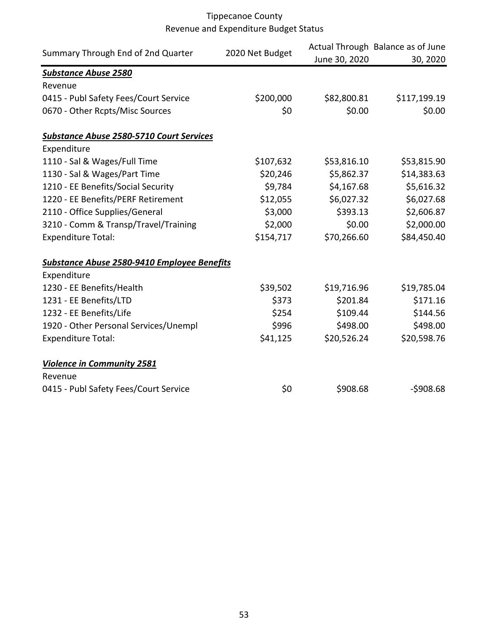| Summary Through End of 2nd Quarter                 | 2020 Net Budget | June 30, 2020 | Actual Through Balance as of June<br>30, 2020 |
|----------------------------------------------------|-----------------|---------------|-----------------------------------------------|
| <b>Substance Abuse 2580</b>                        |                 |               |                                               |
| Revenue                                            |                 |               |                                               |
| 0415 - Publ Safety Fees/Court Service              | \$200,000       | \$82,800.81   | \$117,199.19                                  |
| 0670 - Other Rcpts/Misc Sources                    | \$0             | \$0.00        | \$0.00                                        |
| <b>Substance Abuse 2580-5710 Court Services</b>    |                 |               |                                               |
| Expenditure                                        |                 |               |                                               |
| 1110 - Sal & Wages/Full Time                       | \$107,632       | \$53,816.10   | \$53,815.90                                   |
| 1130 - Sal & Wages/Part Time                       | \$20,246        | \$5,862.37    | \$14,383.63                                   |
| 1210 - EE Benefits/Social Security                 | \$9,784         | \$4,167.68    | \$5,616.32                                    |
| 1220 - EE Benefits/PERF Retirement                 | \$12,055        | \$6,027.32    | \$6,027.68                                    |
| 2110 - Office Supplies/General                     | \$3,000         | \$393.13      | \$2,606.87                                    |
| 3210 - Comm & Transp/Travel/Training               | \$2,000         | \$0.00        | \$2,000.00                                    |
| <b>Expenditure Total:</b>                          | \$154,717       | \$70,266.60   | \$84,450.40                                   |
| <b>Substance Abuse 2580-9410 Employee Benefits</b> |                 |               |                                               |
| Expenditure                                        |                 |               |                                               |
| 1230 - EE Benefits/Health                          | \$39,502        | \$19,716.96   | \$19,785.04                                   |
| 1231 - EE Benefits/LTD                             | \$373           | \$201.84      | \$171.16                                      |
| 1232 - EE Benefits/Life                            | \$254           | \$109.44      | \$144.56                                      |
| 1920 - Other Personal Services/Unempl              | \$996           | \$498.00      | \$498.00                                      |
| <b>Expenditure Total:</b>                          | \$41,125        | \$20,526.24   | \$20,598.76                                   |
| <b>Violence in Community 2581</b>                  |                 |               |                                               |
| Revenue                                            |                 |               |                                               |
| 0415 - Publ Safety Fees/Court Service              | \$0             | \$908.68      | $-5908.68$                                    |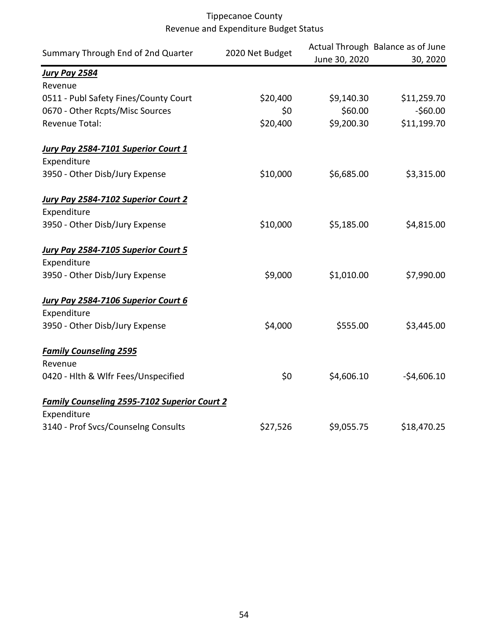| Summary Through End of 2nd Quarter                  | 2020 Net Budget |               | Actual Through Balance as of June |
|-----------------------------------------------------|-----------------|---------------|-----------------------------------|
|                                                     |                 | June 30, 2020 | 30, 2020                          |
| <b>Jury Pay 2584</b>                                |                 |               |                                   |
| Revenue                                             |                 |               |                                   |
| 0511 - Publ Safety Fines/County Court               | \$20,400        | \$9,140.30    | \$11,259.70                       |
| 0670 - Other Rcpts/Misc Sources                     | \$0             | \$60.00       | $-560.00$                         |
| <b>Revenue Total:</b>                               | \$20,400        | \$9,200.30    | \$11,199.70                       |
| <b>Jury Pay 2584-7101 Superior Court 1</b>          |                 |               |                                   |
| Expenditure                                         |                 |               |                                   |
| 3950 - Other Disb/Jury Expense                      | \$10,000        | \$6,685.00    | \$3,315.00                        |
| <b>Jury Pay 2584-7102 Superior Court 2</b>          |                 |               |                                   |
| Expenditure                                         |                 |               |                                   |
| 3950 - Other Disb/Jury Expense                      | \$10,000        | \$5,185.00    | \$4,815.00                        |
| <b>Jury Pay 2584-7105 Superior Court 5</b>          |                 |               |                                   |
| Expenditure                                         |                 |               |                                   |
| 3950 - Other Disb/Jury Expense                      | \$9,000         | \$1,010.00    | \$7,990.00                        |
| Jury Pay 2584-7106 Superior Court 6                 |                 |               |                                   |
| Expenditure                                         |                 |               |                                   |
| 3950 - Other Disb/Jury Expense                      | \$4,000         | \$555.00      | \$3,445.00                        |
| <b>Family Counseling 2595</b>                       |                 |               |                                   |
| Revenue                                             |                 |               |                                   |
| 0420 - Hlth & Wlfr Fees/Unspecified                 | \$0             | \$4,606.10    | $-$4,606.10$                      |
| <b>Family Counseling 2595-7102 Superior Court 2</b> |                 |               |                                   |
| Expenditure                                         |                 |               |                                   |
| 3140 - Prof Svcs/Counselng Consults                 | \$27,526        | \$9,055.75    | \$18,470.25                       |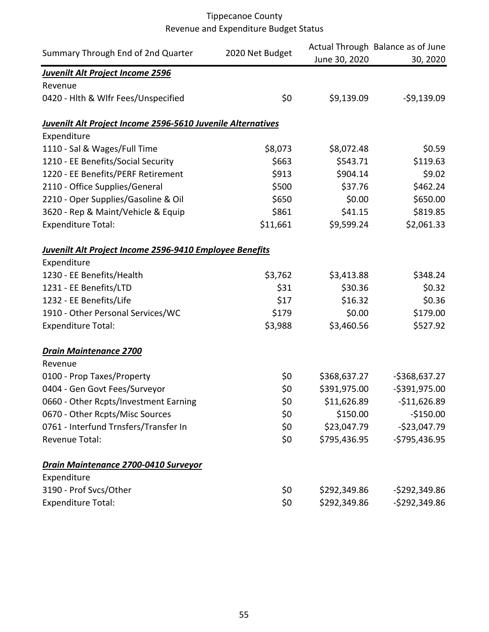| Summary Through End of 2nd Quarter                                 | 2020 Net Budget | June 30, 2020 | Actual Through Balance as of June<br>30, 2020 |
|--------------------------------------------------------------------|-----------------|---------------|-----------------------------------------------|
| <b>Juvenilt Alt Project Income 2596</b>                            |                 |               |                                               |
| Revenue                                                            |                 |               |                                               |
| 0420 - Hlth & Wlfr Fees/Unspecified                                | \$0             | \$9,139.09    | $-59,139.09$                                  |
| <b>Juvenilt Alt Project Income 2596-5610 Juvenile Alternatives</b> |                 |               |                                               |
| Expenditure                                                        |                 |               |                                               |
| 1110 - Sal & Wages/Full Time                                       | \$8,073         | \$8,072.48    | \$0.59                                        |
| 1210 - EE Benefits/Social Security                                 | \$663           | \$543.71      | \$119.63                                      |
| 1220 - EE Benefits/PERF Retirement                                 | \$913           | \$904.14      | \$9.02                                        |
| 2110 - Office Supplies/General                                     | \$500           | \$37.76       | \$462.24                                      |
| 2210 - Oper Supplies/Gasoline & Oil                                | \$650           | \$0.00        | \$650.00                                      |
| 3620 - Rep & Maint/Vehicle & Equip                                 | \$861           | \$41.15       | \$819.85                                      |
| <b>Expenditure Total:</b>                                          | \$11,661        | \$9,599.24    | \$2,061.33                                    |
| Juvenilt Alt Project Income 2596-9410 Employee Benefits            |                 |               |                                               |
| Expenditure                                                        |                 |               |                                               |
| 1230 - EE Benefits/Health                                          | \$3,762         | \$3,413.88    | \$348.24                                      |
| 1231 - EE Benefits/LTD                                             | \$31            | \$30.36       | \$0.32                                        |
| 1232 - EE Benefits/Life                                            | \$17            | \$16.32       | \$0.36                                        |
| 1910 - Other Personal Services/WC                                  | \$179           | \$0.00        | \$179.00                                      |
| <b>Expenditure Total:</b>                                          | \$3,988         | \$3,460.56    | \$527.92                                      |
| <b>Drain Maintenance 2700</b>                                      |                 |               |                                               |
| Revenue                                                            |                 |               |                                               |
| 0100 - Prop Taxes/Property                                         | \$0\$           | \$368,637.27  | $-$ \$368,637.27                              |
| 0404 - Gen Govt Fees/Surveyor                                      | \$0             | \$391,975.00  | $-$ \$391,975.00                              |
| 0660 - Other Rcpts/Investment Earning                              | \$0             | \$11,626.89   | $-$11,626.89$                                 |
| 0670 - Other Rcpts/Misc Sources                                    | \$0             | \$150.00      | $-$150.00$                                    |
| 0761 - Interfund Trnsfers/Transfer In                              | \$0             | \$23,047.79   | $-$23,047.79$                                 |
| <b>Revenue Total:</b>                                              | \$0             | \$795,436.95  | $-$795,436.95$                                |
| Drain Maintenance 2700-0410 Surveyor                               |                 |               |                                               |
| Expenditure                                                        |                 |               |                                               |
| 3190 - Prof Svcs/Other                                             | \$0             | \$292,349.86  | -\$292,349.86                                 |
| <b>Expenditure Total:</b>                                          | \$0             | \$292,349.86  | $-5292,349.86$                                |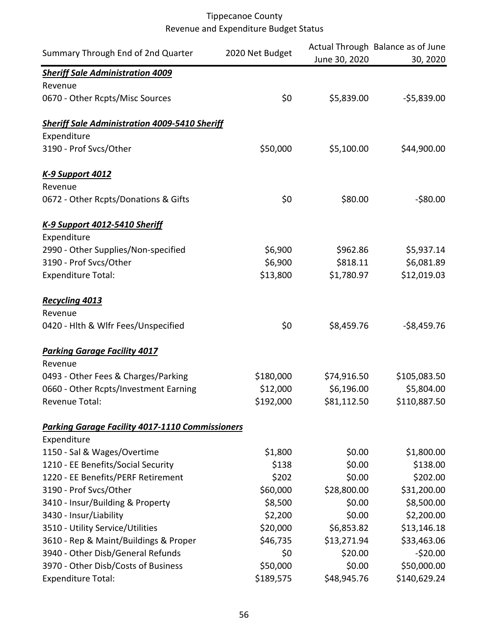| Summary Through End of 2nd Quarter                     | 2020 Net Budget |               | Actual Through Balance as of June |  |
|--------------------------------------------------------|-----------------|---------------|-----------------------------------|--|
|                                                        |                 | June 30, 2020 | 30, 2020                          |  |
| <b>Sheriff Sale Administration 4009</b>                |                 |               |                                   |  |
| Revenue                                                |                 |               |                                   |  |
| 0670 - Other Rcpts/Misc Sources                        | \$0             | \$5,839.00    | $-55,839.00$                      |  |
| <b>Sheriff Sale Administration 4009-5410 Sheriff</b>   |                 |               |                                   |  |
| Expenditure                                            |                 |               |                                   |  |
| 3190 - Prof Svcs/Other                                 | \$50,000        | \$5,100.00    | \$44,900.00                       |  |
| <b>K-9 Support 4012</b>                                |                 |               |                                   |  |
| Revenue                                                |                 |               |                                   |  |
| 0672 - Other Rcpts/Donations & Gifts                   | \$0             | \$80.00       | $-580.00$                         |  |
| K-9 Support 4012-5410 Sheriff                          |                 |               |                                   |  |
| Expenditure                                            |                 |               |                                   |  |
| 2990 - Other Supplies/Non-specified                    | \$6,900         | \$962.86      | \$5,937.14                        |  |
| 3190 - Prof Svcs/Other                                 | \$6,900         | \$818.11      | \$6,081.89                        |  |
| <b>Expenditure Total:</b>                              | \$13,800        | \$1,780.97    | \$12,019.03                       |  |
| <b>Recycling 4013</b>                                  |                 |               |                                   |  |
| Revenue                                                |                 |               |                                   |  |
| 0420 - Hlth & Wlfr Fees/Unspecified                    | \$0             | \$8,459.76    | $-58,459.76$                      |  |
| <b>Parking Garage Facility 4017</b>                    |                 |               |                                   |  |
| Revenue                                                |                 |               |                                   |  |
| 0493 - Other Fees & Charges/Parking                    | \$180,000       | \$74,916.50   | \$105,083.50                      |  |
| 0660 - Other Rcpts/Investment Earning                  | \$12,000        | \$6,196.00    | \$5,804.00                        |  |
| Revenue Total:                                         | \$192,000       | \$81,112.50   | \$110,887.50                      |  |
| <b>Parking Garage Facility 4017-1110 Commissioners</b> |                 |               |                                   |  |
| Expenditure                                            |                 |               |                                   |  |
| 1150 - Sal & Wages/Overtime                            | \$1,800         | \$0.00        | \$1,800.00                        |  |
| 1210 - EE Benefits/Social Security                     | \$138           | \$0.00        | \$138.00                          |  |
| 1220 - EE Benefits/PERF Retirement                     | \$202           | \$0.00        | \$202.00                          |  |
| 3190 - Prof Svcs/Other                                 | \$60,000        | \$28,800.00   | \$31,200.00                       |  |
| 3410 - Insur/Building & Property                       | \$8,500         | \$0.00        | \$8,500.00                        |  |
| 3430 - Insur/Liability                                 | \$2,200         | \$0.00        | \$2,200.00                        |  |
| 3510 - Utility Service/Utilities                       | \$20,000        | \$6,853.82    | \$13,146.18                       |  |
| 3610 - Rep & Maint/Buildings & Proper                  | \$46,735        | \$13,271.94   | \$33,463.06                       |  |
| 3940 - Other Disb/General Refunds                      | \$0             | \$20.00       | $-520.00$                         |  |
| 3970 - Other Disb/Costs of Business                    | \$50,000        | \$0.00        | \$50,000.00                       |  |
| <b>Expenditure Total:</b>                              | \$189,575       | \$48,945.76   | \$140,629.24                      |  |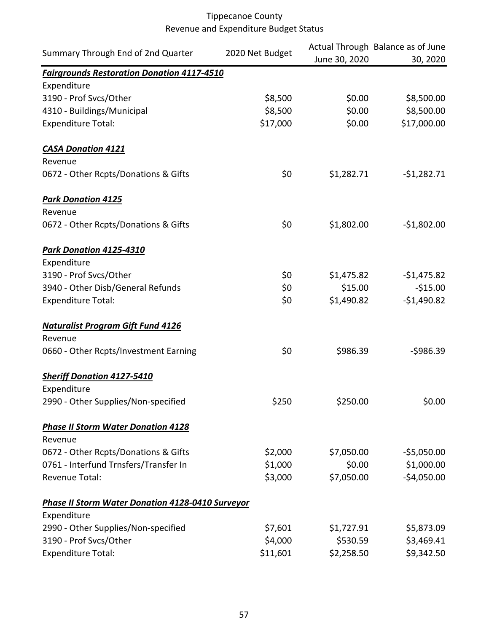| Summary Through End of 2nd Quarter                | 2020 Net Budget |               | Actual Through Balance as of June |
|---------------------------------------------------|-----------------|---------------|-----------------------------------|
|                                                   |                 | June 30, 2020 | 30, 2020                          |
| <b>Fairgrounds Restoration Donation 4117-4510</b> |                 |               |                                   |
| Expenditure                                       |                 |               |                                   |
| 3190 - Prof Svcs/Other                            | \$8,500         | \$0.00        | \$8,500.00                        |
| 4310 - Buildings/Municipal                        | \$8,500         | \$0.00        | \$8,500.00                        |
| <b>Expenditure Total:</b>                         | \$17,000        | \$0.00        | \$17,000.00                       |
| <b>CASA Donation 4121</b>                         |                 |               |                                   |
| Revenue                                           |                 |               |                                   |
| 0672 - Other Rcpts/Donations & Gifts              | \$0             | \$1,282.71    | $-51,282.71$                      |
| <b>Park Donation 4125</b>                         |                 |               |                                   |
| Revenue                                           |                 |               |                                   |
| 0672 - Other Rcpts/Donations & Gifts              | \$0             | \$1,802.00    | $-$1,802.00$                      |
| Park Donation 4125-4310                           |                 |               |                                   |
| Expenditure                                       |                 |               |                                   |
| 3190 - Prof Svcs/Other                            | \$0             | \$1,475.82    | $-$1,475.82$                      |
| 3940 - Other Disb/General Refunds                 | \$0             | \$15.00       | $-515.00$                         |
| <b>Expenditure Total:</b>                         | \$0             | \$1,490.82    | $-$1,490.82$                      |
| <b>Naturalist Program Gift Fund 4126</b>          |                 |               |                                   |
| Revenue                                           |                 |               |                                   |
| 0660 - Other Rcpts/Investment Earning             | \$0             | \$986.39      | $-5986.39$                        |
| <b>Sheriff Donation 4127-5410</b>                 |                 |               |                                   |
| Expenditure                                       |                 |               |                                   |
| 2990 - Other Supplies/Non-specified               | \$250           | \$250.00      | \$0.00                            |
| <b>Phase II Storm Water Donation 4128</b>         |                 |               |                                   |
| Revenue                                           |                 |               |                                   |
| 0672 - Other Rcpts/Donations & Gifts              | \$2,000         | \$7,050.00    | $-55,050.00$                      |
| 0761 - Interfund Trnsfers/Transfer In             | \$1,000         | \$0.00        | \$1,000.00                        |
| <b>Revenue Total:</b>                             | \$3,000         | \$7,050.00    | $-$4,050.00$                      |
| Phase II Storm Water Donation 4128-0410 Surveyor  |                 |               |                                   |
| Expenditure                                       |                 |               |                                   |
| 2990 - Other Supplies/Non-specified               | \$7,601         | \$1,727.91    | \$5,873.09                        |
| 3190 - Prof Svcs/Other                            | \$4,000         | \$530.59      | \$3,469.41                        |
| <b>Expenditure Total:</b>                         | \$11,601        | \$2,258.50    | \$9,342.50                        |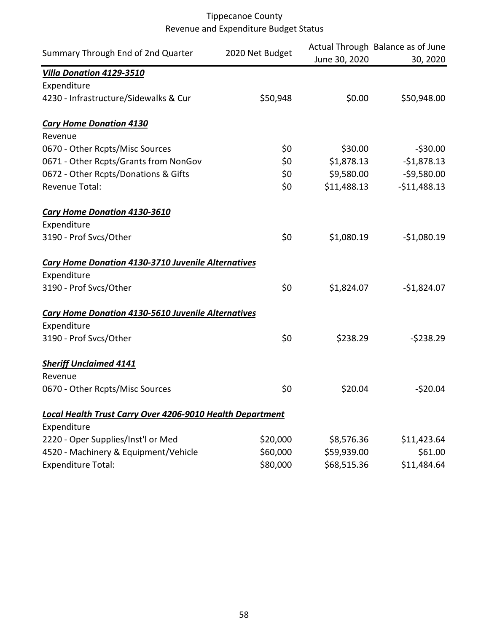| Summary Through End of 2nd Quarter                        | 2020 Net Budget |               | Actual Through Balance as of June |
|-----------------------------------------------------------|-----------------|---------------|-----------------------------------|
|                                                           |                 | June 30, 2020 | 30, 2020                          |
| <b>Villa Donation 4129-3510</b>                           |                 |               |                                   |
| Expenditure                                               |                 |               |                                   |
| 4230 - Infrastructure/Sidewalks & Cur                     | \$50,948        | \$0.00        | \$50,948.00                       |
| <b>Cary Home Donation 4130</b>                            |                 |               |                                   |
| Revenue                                                   |                 |               |                                   |
| 0670 - Other Rcpts/Misc Sources                           | \$0             | \$30.00       | $-530.00$                         |
| 0671 - Other Rcpts/Grants from NonGov                     | \$0             | \$1,878.13    | $-$1,878.13$                      |
| 0672 - Other Rcpts/Donations & Gifts                      | \$0             | \$9,580.00    | $-59,580.00$                      |
| <b>Revenue Total:</b>                                     | \$0             | \$11,488.13   | $-511,488.13$                     |
| <b>Cary Home Donation 4130-3610</b>                       |                 |               |                                   |
| Expenditure                                               |                 |               |                                   |
| 3190 - Prof Svcs/Other                                    | \$0             | \$1,080.19    | $-$1,080.19$                      |
| <b>Cary Home Donation 4130-3710 Juvenile Alternatives</b> |                 |               |                                   |
| Expenditure                                               |                 |               |                                   |
| 3190 - Prof Svcs/Other                                    | \$0             | \$1,824.07    | $-$1,824.07$                      |
| <b>Cary Home Donation 4130-5610 Juvenile Alternatives</b> |                 |               |                                   |
| Expenditure                                               |                 |               |                                   |
| 3190 - Prof Svcs/Other                                    | \$0             | \$238.29      | $-5238.29$                        |
| <b>Sheriff Unclaimed 4141</b>                             |                 |               |                                   |
| Revenue                                                   |                 |               |                                   |
| 0670 - Other Rcpts/Misc Sources                           | \$0             | \$20.04       | $-520.04$                         |
| Local Health Trust Carry Over 4206-9010 Health Department |                 |               |                                   |
| Expenditure                                               |                 |               |                                   |
| 2220 - Oper Supplies/Inst'l or Med                        | \$20,000        | \$8,576.36    | \$11,423.64                       |
| 4520 - Machinery & Equipment/Vehicle                      | \$60,000        | \$59,939.00   | \$61.00                           |
| <b>Expenditure Total:</b>                                 | \$80,000        | \$68,515.36   | \$11,484.64                       |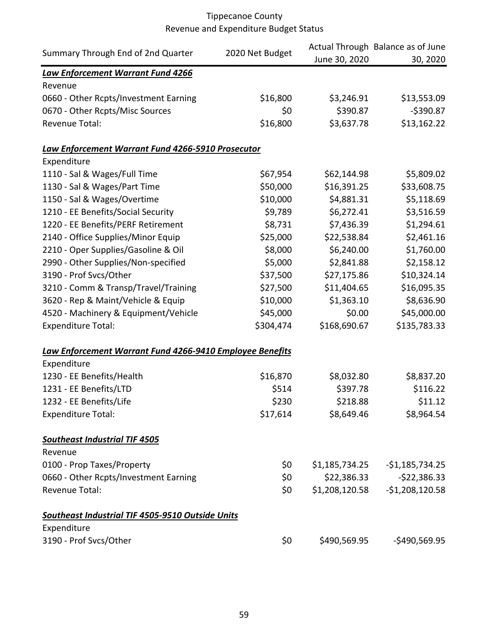| Summary Through End of 2nd Quarter                       | 2020 Net Budget |                | Actual Through Balance as of June |
|----------------------------------------------------------|-----------------|----------------|-----------------------------------|
|                                                          |                 | June 30, 2020  | 30, 2020                          |
| Law Enforcement Warrant Fund 4266                        |                 |                |                                   |
| Revenue                                                  |                 |                |                                   |
| 0660 - Other Rcpts/Investment Earning                    | \$16,800        | \$3,246.91     | \$13,553.09                       |
| 0670 - Other Rcpts/Misc Sources                          | \$0             | \$390.87       | $-5390.87$                        |
| <b>Revenue Total:</b>                                    | \$16,800        | \$3,637.78     | \$13,162.22                       |
| Law Enforcement Warrant Fund 4266-5910 Prosecutor        |                 |                |                                   |
| Expenditure                                              |                 |                |                                   |
| 1110 - Sal & Wages/Full Time                             | \$67,954        | \$62,144.98    | \$5,809.02                        |
| 1130 - Sal & Wages/Part Time                             | \$50,000        | \$16,391.25    | \$33,608.75                       |
| 1150 - Sal & Wages/Overtime                              | \$10,000        | \$4,881.31     | \$5,118.69                        |
| 1210 - EE Benefits/Social Security                       | \$9,789         | \$6,272.41     | \$3,516.59                        |
| 1220 - EE Benefits/PERF Retirement                       | \$8,731         | \$7,436.39     | \$1,294.61                        |
| 2140 - Office Supplies/Minor Equip                       | \$25,000        | \$22,538.84    | \$2,461.16                        |
| 2210 - Oper Supplies/Gasoline & Oil                      | \$8,000         | \$6,240.00     | \$1,760.00                        |
| 2990 - Other Supplies/Non-specified                      | \$5,000         | \$2,841.88     | \$2,158.12                        |
| 3190 - Prof Svcs/Other                                   | \$37,500        | \$27,175.86    | \$10,324.14                       |
| 3210 - Comm & Transp/Travel/Training                     | \$27,500        | \$11,404.65    | \$16,095.35                       |
| 3620 - Rep & Maint/Vehicle & Equip                       | \$10,000        | \$1,363.10     | \$8,636.90                        |
| 4520 - Machinery & Equipment/Vehicle                     | \$45,000        | \$0.00         | \$45,000.00                       |
| <b>Expenditure Total:</b>                                | \$304,474       | \$168,690.67   | \$135,783.33                      |
| Law Enforcement Warrant Fund 4266-9410 Employee Benefits |                 |                |                                   |
| Expenditure                                              |                 |                |                                   |
| 1230 - EE Benefits/Health                                | \$16,870        | \$8,032.80     | \$8,837.20                        |
| 1231 - EE Benefits/LTD                                   | \$514           | \$397.78       | \$116.22                          |
| 1232 - EE Benefits/Life                                  | \$230           | \$218.88       | \$11.12                           |
| <b>Expenditure Total:</b>                                | \$17,614        | \$8,649.46     | \$8,964.54                        |
| <b>Southeast Industrial TIF 4505</b>                     |                 |                |                                   |
| Revenue                                                  |                 |                |                                   |
| 0100 - Prop Taxes/Property                               | \$0             | \$1,185,734.25 | $-$1,185,734.25$                  |
| 0660 - Other Rcpts/Investment Earning                    | \$0             | \$22,386.33    | $-$22,386.33$                     |
| Revenue Total:                                           | \$0             | \$1,208,120.58 | $-$1,208,120.58$                  |
| Southeast Industrial TIF 4505-9510 Outside Units         |                 |                |                                   |
| Expenditure                                              |                 |                |                                   |
| 3190 - Prof Svcs/Other                                   | \$0             | \$490,569.95   | $-$ \$490,569.95                  |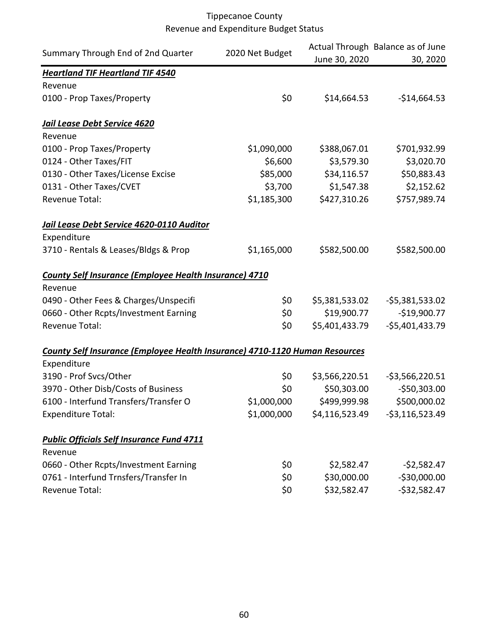| Summary Through End of 2nd Quarter                                          | 2020 Net Budget | June 30, 2020  | Actual Through Balance as of June<br>30, 2020 |
|-----------------------------------------------------------------------------|-----------------|----------------|-----------------------------------------------|
| <b>Heartland TIF Heartland TIF 4540</b>                                     |                 |                |                                               |
| Revenue                                                                     |                 |                |                                               |
| 0100 - Prop Taxes/Property                                                  | \$0             | \$14,664.53    | $-$14,664.53$                                 |
| <u>Jail Lease Debt Service 4620</u>                                         |                 |                |                                               |
| Revenue                                                                     |                 |                |                                               |
| 0100 - Prop Taxes/Property                                                  | \$1,090,000     | \$388,067.01   | \$701,932.99                                  |
| 0124 - Other Taxes/FIT                                                      | \$6,600         | \$3,579.30     | \$3,020.70                                    |
| 0130 - Other Taxes/License Excise                                           | \$85,000        | \$34,116.57    | \$50,883.43                                   |
| 0131 - Other Taxes/CVET                                                     | \$3,700         | \$1,547.38     | \$2,152.62                                    |
| Revenue Total:                                                              | \$1,185,300     | \$427,310.26   | \$757,989.74                                  |
| Jail Lease Debt Service 4620-0110 Auditor                                   |                 |                |                                               |
| Expenditure                                                                 |                 |                |                                               |
| 3710 - Rentals & Leases/Bldgs & Prop                                        | \$1,165,000     | \$582,500.00   | \$582,500.00                                  |
| <b>County Self Insurance (Employee Health Insurance) 4710</b>               |                 |                |                                               |
| Revenue                                                                     |                 |                |                                               |
| 0490 - Other Fees & Charges/Unspecifi                                       | \$0             | \$5,381,533.02 | $-55,381,533.02$                              |
| 0660 - Other Rcpts/Investment Earning                                       | \$0             | \$19,900.77    | $-$19,900.77$                                 |
| <b>Revenue Total:</b>                                                       | \$0             | \$5,401,433.79 | $-55,401,433.79$                              |
| County Self Insurance (Employee Health Insurance) 4710-1120 Human Resources |                 |                |                                               |
| Expenditure                                                                 |                 |                |                                               |
| 3190 - Prof Svcs/Other                                                      | \$0             | \$3,566,220.51 | $-53,566,220.51$                              |
| 3970 - Other Disb/Costs of Business                                         | \$0             | \$50,303.00    | $-$50,303.00$                                 |
| 6100 - Interfund Transfers/Transfer O                                       | \$1,000,000     | \$499,999.98   | \$500,000.02                                  |
| <b>Expenditure Total:</b>                                                   | \$1,000,000     | \$4,116,523.49 | $-53,116,523.49$                              |
| <b>Public Officials Self Insurance Fund 4711</b>                            |                 |                |                                               |
| Revenue                                                                     |                 |                |                                               |
| 0660 - Other Rcpts/Investment Earning                                       | \$0             | \$2,582.47     | $-52,582.47$                                  |
| 0761 - Interfund Trnsfers/Transfer In                                       | \$0             | \$30,000.00    | $-$30,000.00$                                 |
| Revenue Total:                                                              | \$0             | \$32,582.47    | $-$32,582.47$                                 |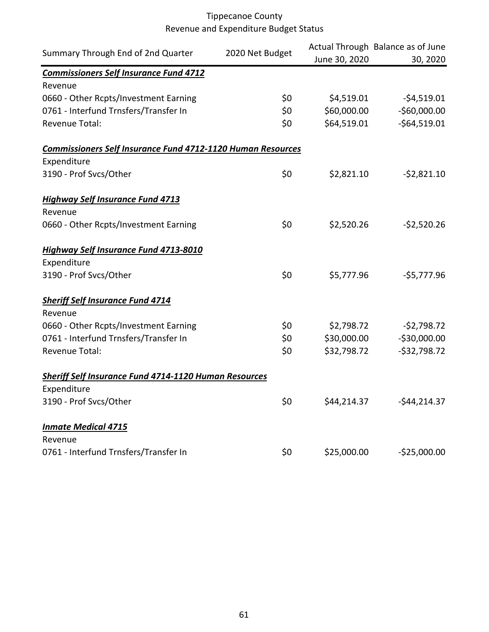| Summary Through End of 2nd Quarter                                 | 2020 Net Budget |               | Actual Through Balance as of June |
|--------------------------------------------------------------------|-----------------|---------------|-----------------------------------|
|                                                                    |                 | June 30, 2020 | 30, 2020                          |
| <b>Commissioners Self Insurance Fund 4712</b>                      |                 |               |                                   |
| Revenue                                                            |                 |               |                                   |
| 0660 - Other Rcpts/Investment Earning                              | \$0             | \$4,519.01    | $-54,519.01$                      |
| 0761 - Interfund Trnsfers/Transfer In                              | \$0             | \$60,000.00   | $-$60,000.00$                     |
| <b>Revenue Total:</b>                                              | \$0             | \$64,519.01   | $-$64,519.01$                     |
| <b>Commissioners Self Insurance Fund 4712-1120 Human Resources</b> |                 |               |                                   |
| Expenditure                                                        |                 |               |                                   |
| 3190 - Prof Svcs/Other                                             | \$0             | \$2,821.10    | $-52,821.10$                      |
| <b>Highway Self Insurance Fund 4713</b>                            |                 |               |                                   |
| Revenue                                                            |                 |               |                                   |
| 0660 - Other Rcpts/Investment Earning                              | \$0             | \$2,520.26    | $-52,520.26$                      |
| <b>Highway Self Insurance Fund 4713-8010</b>                       |                 |               |                                   |
| Expenditure                                                        |                 |               |                                   |
| 3190 - Prof Svcs/Other                                             | \$0             | \$5,777.96    | $-55,777.96$                      |
| <b>Sheriff Self Insurance Fund 4714</b>                            |                 |               |                                   |
| Revenue                                                            |                 |               |                                   |
| 0660 - Other Rcpts/Investment Earning                              | \$0             | \$2,798.72    | $-52,798.72$                      |
| 0761 - Interfund Trnsfers/Transfer In                              | \$0             | \$30,000.00   | $-$30,000.00$                     |
| <b>Revenue Total:</b>                                              | \$0             | \$32,798.72   | $-532,798.72$                     |
| Sheriff Self Insurance Fund 4714-1120 Human Resources              |                 |               |                                   |
| Expenditure                                                        |                 |               |                                   |
| 3190 - Prof Svcs/Other                                             | \$0             | \$44,214.37   | $-$44,214.37$                     |
| <b>Inmate Medical 4715</b>                                         |                 |               |                                   |
| Revenue                                                            |                 |               |                                   |
| 0761 - Interfund Trnsfers/Transfer In                              | \$0             | \$25,000.00   | $-$25,000.00$                     |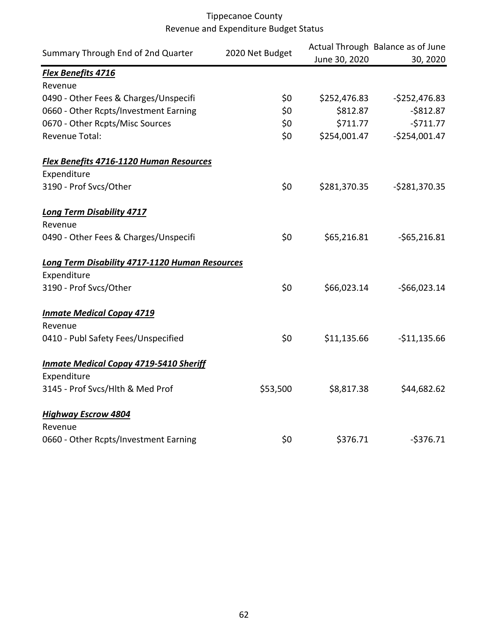| Summary Through End of 2nd Quarter                    | 2020 Net Budget |               | Actual Through Balance as of June |
|-------------------------------------------------------|-----------------|---------------|-----------------------------------|
|                                                       |                 | June 30, 2020 | 30, 2020                          |
| <b>Flex Benefits 4716</b>                             |                 |               |                                   |
| Revenue                                               |                 |               |                                   |
| 0490 - Other Fees & Charges/Unspecifi                 | \$0             | \$252,476.83  | $-$252,476.83$                    |
| 0660 - Other Rcpts/Investment Earning                 | \$0             | \$812.87      | $-$ \$812.87                      |
| 0670 - Other Rcpts/Misc Sources                       | \$0             | \$711.77      | $-5711.77$                        |
| <b>Revenue Total:</b>                                 | \$0             | \$254,001.47  | $-$254,001.47$                    |
| Flex Benefits 4716-1120 Human Resources               |                 |               |                                   |
| Expenditure                                           |                 |               |                                   |
| 3190 - Prof Svcs/Other                                | \$0             | \$281,370.35  | $-5281,370.35$                    |
| <b>Long Term Disability 4717</b>                      |                 |               |                                   |
| Revenue                                               |                 |               |                                   |
| 0490 - Other Fees & Charges/Unspecifi                 | \$0             | \$65,216.81   | $-565,216.81$                     |
| <b>Long Term Disability 4717-1120 Human Resources</b> |                 |               |                                   |
| Expenditure                                           |                 |               |                                   |
| 3190 - Prof Svcs/Other                                | \$0             | \$66,023.14   | $-566,023.14$                     |
| <b>Inmate Medical Copay 4719</b>                      |                 |               |                                   |
| Revenue                                               |                 |               |                                   |
| 0410 - Publ Safety Fees/Unspecified                   | \$0             | \$11,135.66   | $-$11,135.66$                     |
| <b>Inmate Medical Copay 4719-5410 Sheriff</b>         |                 |               |                                   |
| Expenditure                                           |                 |               |                                   |
| 3145 - Prof Svcs/Hlth & Med Prof                      | \$53,500        | \$8,817.38    | \$44,682.62                       |
| <b>Highway Escrow 4804</b>                            |                 |               |                                   |
| Revenue                                               |                 |               |                                   |
| 0660 - Other Rcpts/Investment Earning                 | \$0             | \$376.71      | $-5376.71$                        |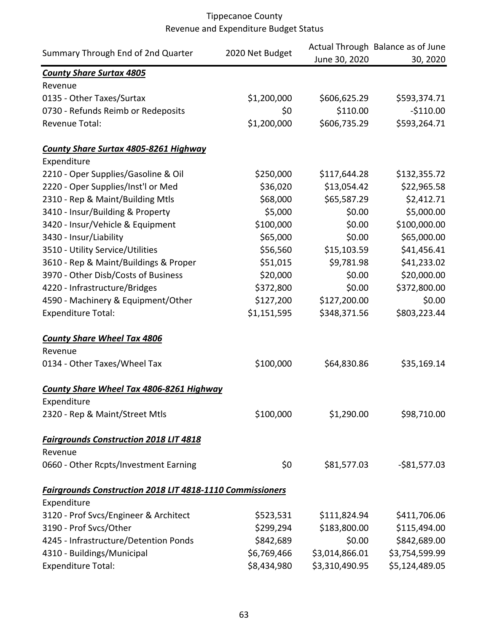|                                                                  | 2020 Net Budget |                | Actual Through Balance as of June |
|------------------------------------------------------------------|-----------------|----------------|-----------------------------------|
| Summary Through End of 2nd Quarter                               |                 | June 30, 2020  | 30, 2020                          |
| <b>County Share Surtax 4805</b>                                  |                 |                |                                   |
| Revenue                                                          |                 |                |                                   |
| 0135 - Other Taxes/Surtax                                        | \$1,200,000     | \$606,625.29   | \$593,374.71                      |
| 0730 - Refunds Reimb or Redeposits                               | \$0             | \$110.00       | $-$110.00$                        |
| Revenue Total:                                                   | \$1,200,000     | \$606,735.29   | \$593,264.71                      |
| <b>County Share Surtax 4805-8261 Highway</b>                     |                 |                |                                   |
| Expenditure                                                      |                 |                |                                   |
| 2210 - Oper Supplies/Gasoline & Oil                              | \$250,000       | \$117,644.28   | \$132,355.72                      |
| 2220 - Oper Supplies/Inst'l or Med                               | \$36,020        | \$13,054.42    | \$22,965.58                       |
| 2310 - Rep & Maint/Building Mtls                                 | \$68,000        | \$65,587.29    | \$2,412.71                        |
| 3410 - Insur/Building & Property                                 | \$5,000         | \$0.00         | \$5,000.00                        |
| 3420 - Insur/Vehicle & Equipment                                 | \$100,000       | \$0.00         | \$100,000.00                      |
| 3430 - Insur/Liability                                           | \$65,000        | \$0.00         | \$65,000.00                       |
| 3510 - Utility Service/Utilities                                 | \$56,560        | \$15,103.59    | \$41,456.41                       |
| 3610 - Rep & Maint/Buildings & Proper                            | \$51,015        | \$9,781.98     | \$41,233.02                       |
| 3970 - Other Disb/Costs of Business                              | \$20,000        | \$0.00         | \$20,000.00                       |
| 4220 - Infrastructure/Bridges                                    | \$372,800       | \$0.00         | \$372,800.00                      |
| 4590 - Machinery & Equipment/Other                               | \$127,200       | \$127,200.00   | \$0.00                            |
| <b>Expenditure Total:</b>                                        | \$1,151,595     | \$348,371.56   | \$803,223.44                      |
| <b>County Share Wheel Tax 4806</b>                               |                 |                |                                   |
| Revenue                                                          |                 |                |                                   |
| 0134 - Other Taxes/Wheel Tax                                     | \$100,000       | \$64,830.86    | \$35,169.14                       |
| County Share Wheel Tax 4806-8261 Highway                         |                 |                |                                   |
| Expenditure                                                      |                 |                |                                   |
| 2320 - Rep & Maint/Street Mtls                                   | \$100,000       | \$1,290.00     | \$98,710.00                       |
| <b>Fairgrounds Construction 2018 LIT 4818</b>                    |                 |                |                                   |
| Revenue                                                          |                 |                |                                   |
| 0660 - Other Rcpts/Investment Earning                            | \$0             | \$81,577.03    | $-$ \$81,577.03                   |
| <b>Fairgrounds Construction 2018 LIT 4818-1110 Commissioners</b> |                 |                |                                   |
| Expenditure                                                      |                 |                |                                   |
| 3120 - Prof Svcs/Engineer & Architect                            | \$523,531       | \$111,824.94   | \$411,706.06                      |
| 3190 - Prof Svcs/Other                                           | \$299,294       | \$183,800.00   | \$115,494.00                      |
| 4245 - Infrastructure/Detention Ponds                            | \$842,689       | \$0.00         | \$842,689.00                      |
| 4310 - Buildings/Municipal                                       | \$6,769,466     | \$3,014,866.01 | \$3,754,599.99                    |
| <b>Expenditure Total:</b>                                        | \$8,434,980     | \$3,310,490.95 | \$5,124,489.05                    |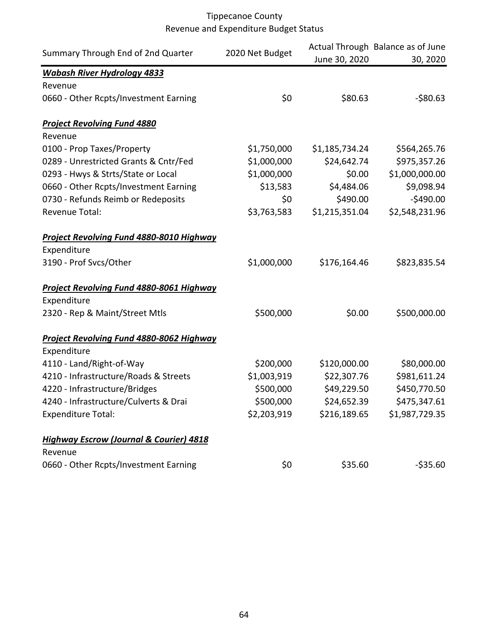|                                                    |                 |                | Actual Through Balance as of June |
|----------------------------------------------------|-----------------|----------------|-----------------------------------|
| Summary Through End of 2nd Quarter                 | 2020 Net Budget | June 30, 2020  | 30, 2020                          |
| <b>Wabash River Hydrology 4833</b>                 |                 |                |                                   |
| Revenue                                            |                 |                |                                   |
| 0660 - Other Rcpts/Investment Earning              | \$0             | \$80.63        | $-$ \$80.63                       |
| <b>Project Revolving Fund 4880</b>                 |                 |                |                                   |
| Revenue                                            |                 |                |                                   |
| 0100 - Prop Taxes/Property                         | \$1,750,000     | \$1,185,734.24 | \$564,265.76                      |
| 0289 - Unrestricted Grants & Cntr/Fed              | \$1,000,000     | \$24,642.74    | \$975,357.26                      |
| 0293 - Hwys & Strts/State or Local                 | \$1,000,000     | \$0.00         | \$1,000,000.00                    |
| 0660 - Other Rcpts/Investment Earning              | \$13,583        | \$4,484.06     | \$9,098.94                        |
| 0730 - Refunds Reimb or Redeposits                 | \$0             | \$490.00       | $-5490.00$                        |
| <b>Revenue Total:</b>                              | \$3,763,583     | \$1,215,351.04 | \$2,548,231.96                    |
| <b>Project Revolving Fund 4880-8010 Highway</b>    |                 |                |                                   |
| Expenditure                                        |                 |                |                                   |
| 3190 - Prof Svcs/Other                             | \$1,000,000     | \$176,164.46   | \$823,835.54                      |
| <b>Project Revolving Fund 4880-8061 Highway</b>    |                 |                |                                   |
| Expenditure                                        |                 |                |                                   |
| 2320 - Rep & Maint/Street Mtls                     | \$500,000       | \$0.00         | \$500,000.00                      |
| <b>Project Revolving Fund 4880-8062 Highway</b>    |                 |                |                                   |
| Expenditure                                        |                 |                |                                   |
| 4110 - Land/Right-of-Way                           | \$200,000       | \$120,000.00   | \$80,000.00                       |
| 4210 - Infrastructure/Roads & Streets              | \$1,003,919     | \$22,307.76    | \$981,611.24                      |
| 4220 - Infrastructure/Bridges                      | \$500,000       | \$49,229.50    | \$450,770.50                      |
| 4240 - Infrastructure/Culverts & Drai              | \$500,000       | \$24,652.39    | \$475,347.61                      |
| <b>Expenditure Total:</b>                          | \$2,203,919     | \$216,189.65   | \$1,987,729.35                    |
| <b>Highway Escrow (Journal &amp; Courier) 4818</b> |                 |                |                                   |
| Revenue                                            |                 |                |                                   |
| 0660 - Other Rcpts/Investment Earning              | \$0             | \$35.60        | $-535.60$                         |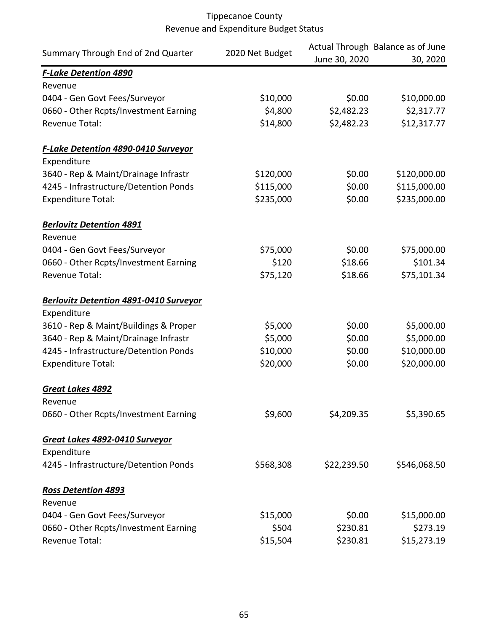| Summary Through End of 2nd Quarter            | 2020 Net Budget |               | Actual Through Balance as of June |
|-----------------------------------------------|-----------------|---------------|-----------------------------------|
|                                               |                 | June 30, 2020 | 30, 2020                          |
| <b>F-Lake Detention 4890</b>                  |                 |               |                                   |
| Revenue                                       |                 |               |                                   |
| 0404 - Gen Govt Fees/Surveyor                 | \$10,000        | \$0.00        | \$10,000.00                       |
| 0660 - Other Rcpts/Investment Earning         | \$4,800         | \$2,482.23    | \$2,317.77                        |
| <b>Revenue Total:</b>                         | \$14,800        | \$2,482.23    | \$12,317.77                       |
| <b>F-Lake Detention 4890-0410 Surveyor</b>    |                 |               |                                   |
| Expenditure                                   |                 |               |                                   |
| 3640 - Rep & Maint/Drainage Infrastr          | \$120,000       | \$0.00        | \$120,000.00                      |
| 4245 - Infrastructure/Detention Ponds         | \$115,000       | \$0.00        | \$115,000.00                      |
| <b>Expenditure Total:</b>                     | \$235,000       | \$0.00        | \$235,000.00                      |
| <b>Berlovitz Detention 4891</b>               |                 |               |                                   |
| Revenue                                       |                 |               |                                   |
| 0404 - Gen Govt Fees/Surveyor                 | \$75,000        | \$0.00        | \$75,000.00                       |
| 0660 - Other Rcpts/Investment Earning         | \$120           | \$18.66       | \$101.34                          |
| <b>Revenue Total:</b>                         | \$75,120        | \$18.66       | \$75,101.34                       |
| <b>Berlovitz Detention 4891-0410 Surveyor</b> |                 |               |                                   |
| Expenditure                                   |                 |               |                                   |
| 3610 - Rep & Maint/Buildings & Proper         | \$5,000         | \$0.00        | \$5,000.00                        |
| 3640 - Rep & Maint/Drainage Infrastr          | \$5,000         | \$0.00        | \$5,000.00                        |
| 4245 - Infrastructure/Detention Ponds         | \$10,000        | \$0.00        | \$10,000.00                       |
| <b>Expenditure Total:</b>                     | \$20,000        | \$0.00        | \$20,000.00                       |
| Great Lakes 4892                              |                 |               |                                   |
| Revenue                                       |                 |               |                                   |
| 0660 - Other Rcpts/Investment Earning         | \$9,600         | \$4,209.35    | \$5,390.65                        |
| Great Lakes 4892-0410 Surveyor                |                 |               |                                   |
| Expenditure                                   |                 |               |                                   |
| 4245 - Infrastructure/Detention Ponds         | \$568,308       | \$22,239.50   | \$546,068.50                      |
| <b>Ross Detention 4893</b>                    |                 |               |                                   |
| Revenue                                       |                 |               |                                   |
| 0404 - Gen Govt Fees/Surveyor                 | \$15,000        | \$0.00        | \$15,000.00                       |
| 0660 - Other Rcpts/Investment Earning         | \$504           | \$230.81      | \$273.19                          |
| Revenue Total:                                | \$15,504        | \$230.81      | \$15,273.19                       |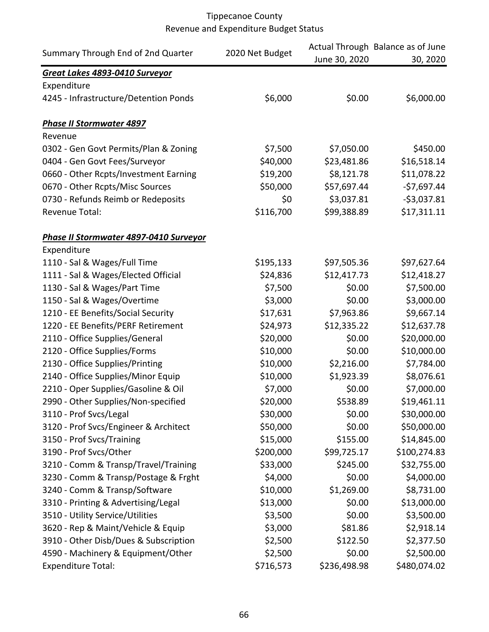| Summary Through End of 2nd Quarter            | 2020 Net Budget |               | Actual Through Balance as of June |
|-----------------------------------------------|-----------------|---------------|-----------------------------------|
|                                               |                 | June 30, 2020 | 30, 2020                          |
| Great Lakes 4893-0410 Surveyor                |                 |               |                                   |
| Expenditure                                   |                 |               |                                   |
| 4245 - Infrastructure/Detention Ponds         | \$6,000         | \$0.00        | \$6,000.00                        |
| <b>Phase II Stormwater 4897</b>               |                 |               |                                   |
| Revenue                                       |                 |               |                                   |
| 0302 - Gen Govt Permits/Plan & Zoning         | \$7,500         | \$7,050.00    | \$450.00                          |
| 0404 - Gen Govt Fees/Surveyor                 | \$40,000        | \$23,481.86   | \$16,518.14                       |
| 0660 - Other Rcpts/Investment Earning         | \$19,200        | \$8,121.78    | \$11,078.22                       |
| 0670 - Other Rcpts/Misc Sources               | \$50,000        | \$57,697.44   | $-$7,697.44$                      |
| 0730 - Refunds Reimb or Redeposits            | \$0             | \$3,037.81    | $-53,037.81$                      |
| Revenue Total:                                | \$116,700       | \$99,388.89   | \$17,311.11                       |
| <b>Phase II Stormwater 4897-0410 Surveyor</b> |                 |               |                                   |
| Expenditure                                   |                 |               |                                   |
| 1110 - Sal & Wages/Full Time                  | \$195,133       | \$97,505.36   | \$97,627.64                       |
| 1111 - Sal & Wages/Elected Official           | \$24,836        | \$12,417.73   | \$12,418.27                       |
| 1130 - Sal & Wages/Part Time                  | \$7,500         | \$0.00        | \$7,500.00                        |
| 1150 - Sal & Wages/Overtime                   | \$3,000         | \$0.00        | \$3,000.00                        |
| 1210 - EE Benefits/Social Security            | \$17,631        | \$7,963.86    | \$9,667.14                        |
| 1220 - EE Benefits/PERF Retirement            | \$24,973        | \$12,335.22   | \$12,637.78                       |
| 2110 - Office Supplies/General                | \$20,000        | \$0.00        | \$20,000.00                       |
| 2120 - Office Supplies/Forms                  | \$10,000        | \$0.00        | \$10,000.00                       |
| 2130 - Office Supplies/Printing               | \$10,000        | \$2,216.00    | \$7,784.00                        |
| 2140 - Office Supplies/Minor Equip            | \$10,000        | \$1,923.39    | \$8,076.61                        |
| 2210 - Oper Supplies/Gasoline & Oil           | \$7,000         | \$0.00        | \$7,000.00                        |
| 2990 - Other Supplies/Non-specified           | \$20,000        | \$538.89      | \$19,461.11                       |
| 3110 - Prof Svcs/Legal                        | \$30,000        | \$0.00        | \$30,000.00                       |
| 3120 - Prof Svcs/Engineer & Architect         | \$50,000        | \$0.00        | \$50,000.00                       |
| 3150 - Prof Svcs/Training                     | \$15,000        | \$155.00      | \$14,845.00                       |
| 3190 - Prof Svcs/Other                        | \$200,000       | \$99,725.17   | \$100,274.83                      |
| 3210 - Comm & Transp/Travel/Training          | \$33,000        | \$245.00      | \$32,755.00                       |
| 3230 - Comm & Transp/Postage & Frght          | \$4,000         | \$0.00        | \$4,000.00                        |
| 3240 - Comm & Transp/Software                 | \$10,000        | \$1,269.00    | \$8,731.00                        |
| 3310 - Printing & Advertising/Legal           | \$13,000        | \$0.00        | \$13,000.00                       |
| 3510 - Utility Service/Utilities              | \$3,500         | \$0.00        | \$3,500.00                        |
| 3620 - Rep & Maint/Vehicle & Equip            | \$3,000         | \$81.86       | \$2,918.14                        |
| 3910 - Other Disb/Dues & Subscription         | \$2,500         | \$122.50      | \$2,377.50                        |
| 4590 - Machinery & Equipment/Other            | \$2,500         | \$0.00        | \$2,500.00                        |
| <b>Expenditure Total:</b>                     | \$716,573       | \$236,498.98  | \$480,074.02                      |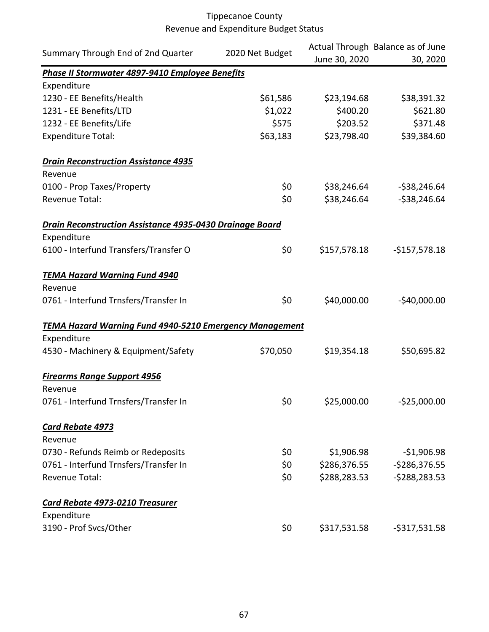| Summary Through End of 2nd Quarter                              | 2020 Net Budget |               | Actual Through Balance as of June |
|-----------------------------------------------------------------|-----------------|---------------|-----------------------------------|
|                                                                 |                 | June 30, 2020 | 30, 2020                          |
| Phase II Stormwater 4897-9410 Employee Benefits                 |                 |               |                                   |
| Expenditure                                                     |                 |               |                                   |
| 1230 - EE Benefits/Health                                       | \$61,586        | \$23,194.68   | \$38,391.32                       |
| 1231 - EE Benefits/LTD                                          | \$1,022         | \$400.20      | \$621.80                          |
| 1232 - EE Benefits/Life                                         | \$575           | \$203.52      | \$371.48                          |
| <b>Expenditure Total:</b>                                       | \$63,183        | \$23,798.40   | \$39,384.60                       |
| <b>Drain Reconstruction Assistance 4935</b>                     |                 |               |                                   |
| Revenue                                                         |                 |               |                                   |
| 0100 - Prop Taxes/Property                                      | \$0             | \$38,246.64   | $-538,246.64$                     |
| <b>Revenue Total:</b>                                           | \$0             | \$38,246.64   | $-538,246.64$                     |
| <b>Drain Reconstruction Assistance 4935-0430 Drainage Board</b> |                 |               |                                   |
| Expenditure                                                     |                 |               |                                   |
| 6100 - Interfund Transfers/Transfer O                           | \$0             | \$157,578.18  | $-$157,578.18$                    |
| <b>TEMA Hazard Warning Fund 4940</b>                            |                 |               |                                   |
| Revenue                                                         |                 |               |                                   |
| 0761 - Interfund Trnsfers/Transfer In                           | \$0             | \$40,000.00   | $-$40,000.00$                     |
| <b>TEMA Hazard Warning Fund 4940-5210 Emergency Management</b>  |                 |               |                                   |
| Expenditure                                                     |                 |               |                                   |
| 4530 - Machinery & Equipment/Safety                             | \$70,050        | \$19,354.18   | \$50,695.82                       |
| <b>Firearms Range Support 4956</b>                              |                 |               |                                   |
| Revenue                                                         |                 |               |                                   |
| 0761 - Interfund Trnsfers/Transfer In                           | \$0             | \$25,000.00   | $-$25,000.00$                     |
| <b>Card Rebate 4973</b>                                         |                 |               |                                   |
| Revenue                                                         |                 |               |                                   |
| 0730 - Refunds Reimb or Redeposits                              | \$0             | \$1,906.98    | $-$1,906.98$                      |
| 0761 - Interfund Trnsfers/Transfer In                           | \$0             | \$286,376.55  | $-$ \$286,376.55                  |
| <b>Revenue Total:</b>                                           | \$0             | \$288,283.53  | $-5288,283.53$                    |
| Card Rebate 4973-0210 Treasurer                                 |                 |               |                                   |
| Expenditure                                                     |                 |               |                                   |
| 3190 - Prof Svcs/Other                                          | \$0             | \$317,531.58  | $-5317,531.58$                    |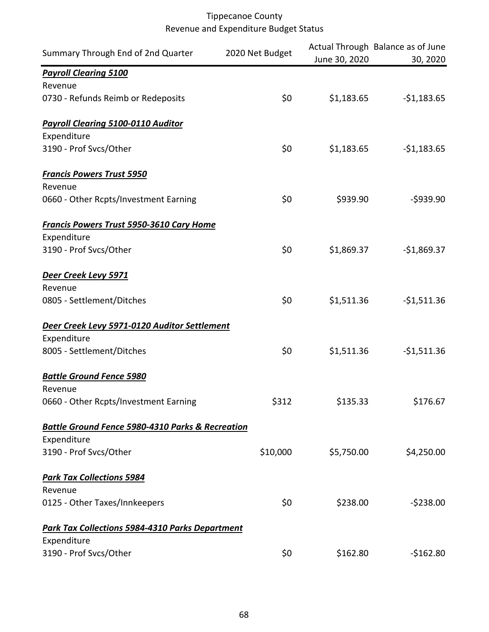| Summary Through End of 2nd Quarter                          | 2020 Net Budget | June 30, 2020 | Actual Through Balance as of June<br>30, 2020 |
|-------------------------------------------------------------|-----------------|---------------|-----------------------------------------------|
| <b>Payroll Clearing 5100</b>                                |                 |               |                                               |
| Revenue                                                     |                 |               |                                               |
| 0730 - Refunds Reimb or Redeposits                          | \$0             | \$1,183.65    | $-51,183.65$                                  |
| <b>Payroll Clearing 5100-0110 Auditor</b>                   |                 |               |                                               |
| Expenditure                                                 |                 |               |                                               |
| 3190 - Prof Svcs/Other                                      | \$0             | \$1,183.65    | $-$1,183.65$                                  |
| <b>Francis Powers Trust 5950</b>                            |                 |               |                                               |
| Revenue                                                     |                 |               |                                               |
| 0660 - Other Rcpts/Investment Earning                       | \$0             | \$939.90      | $-$ \$939.90                                  |
| <b>Francis Powers Trust 5950-3610 Cary Home</b>             |                 |               |                                               |
| Expenditure                                                 |                 |               |                                               |
| 3190 - Prof Svcs/Other                                      | \$0             | \$1,869.37    | $-$1,869.37$                                  |
| Deer Creek Levy 5971                                        |                 |               |                                               |
| Revenue                                                     |                 |               |                                               |
| 0805 - Settlement/Ditches                                   | \$0             | \$1,511.36    | $-51,511.36$                                  |
| Deer Creek Levy 5971-0120 Auditor Settlement                |                 |               |                                               |
| Expenditure                                                 |                 |               |                                               |
| 8005 - Settlement/Ditches                                   | \$0             | \$1,511.36    | $-$1,511.36$                                  |
| <b>Battle Ground Fence 5980</b>                             |                 |               |                                               |
| Revenue                                                     |                 |               |                                               |
| 0660 - Other Rcpts/Investment Earning                       | \$312           | \$135.33      | \$176.67                                      |
| <b>Battle Ground Fence 5980-4310 Parks &amp; Recreation</b> |                 |               |                                               |
| Expenditure                                                 |                 |               |                                               |
| 3190 - Prof Svcs/Other                                      | \$10,000        | \$5,750.00    | \$4,250.00                                    |
| <b>Park Tax Collections 5984</b>                            |                 |               |                                               |
| Revenue                                                     |                 |               |                                               |
| 0125 - Other Taxes/Innkeepers                               | \$0             | \$238.00      | $-5238.00$                                    |
| <b>Park Tax Collections 5984-4310 Parks Department</b>      |                 |               |                                               |
| Expenditure                                                 |                 |               |                                               |
| 3190 - Prof Svcs/Other                                      | \$0             | \$162.80      | $-$162.80$                                    |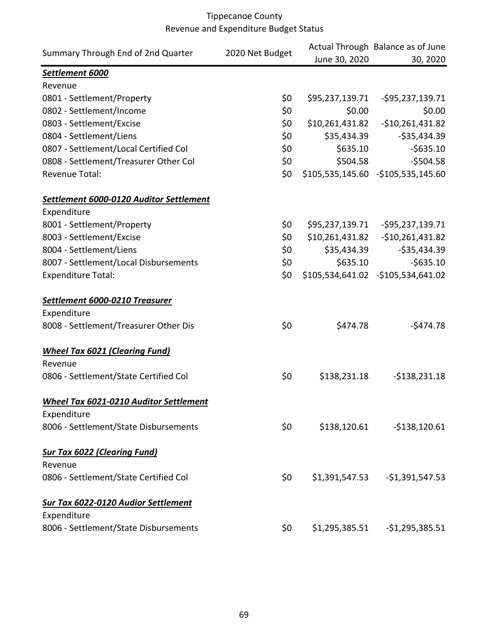| Summary Through End of 2nd Quarter            | 2020 Net Budget |                 | Actual Through Balance as of June   |
|-----------------------------------------------|-----------------|-----------------|-------------------------------------|
|                                               |                 | June 30, 2020   | 30, 2020                            |
| Settlement 6000                               |                 |                 |                                     |
| Revenue                                       |                 |                 |                                     |
| 0801 - Settlement/Property                    | \$0             | \$95,237,139.71 | $-$ \$95,237,139.71                 |
| 0802 - Settlement/Income                      | \$0             | \$0.00          | \$0.00                              |
| 0803 - Settlement/Excise                      | \$0             | \$10,261,431.82 | $-$10,261,431.82$                   |
| 0804 - Settlement/Liens                       | \$0             | \$35,434.39     | $-535,434.39$                       |
| 0807 - Settlement/Local Certified Col         | \$0             | \$635.10        | $-5635.10$                          |
| 0808 - Settlement/Treasurer Other Col         | \$0             | \$504.58        | $-$504.58$                          |
| <b>Revenue Total:</b>                         | \$0             |                 | \$105,535,145.60 -\$105,535,145.60  |
| Settlement 6000-0120 Auditor Settlement       |                 |                 |                                     |
| Expenditure                                   |                 |                 |                                     |
| 8001 - Settlement/Property                    | \$0             | \$95,237,139.71 | -\$95,237,139.71                    |
| 8003 - Settlement/Excise                      | \$0             | \$10,261,431.82 | $-$10,261,431.82$                   |
| 8004 - Settlement/Liens                       | \$0             | \$35,434.39     | $-$35,434.39$                       |
| 8007 - Settlement/Local Disbursements         | \$0             | \$635.10        | $-5635.10$                          |
| <b>Expenditure Total:</b>                     | \$0             |                 | \$105,534,641.02 - \$105,534,641.02 |
| Settlement 6000-0210 Treasurer                |                 |                 |                                     |
| Expenditure                                   |                 |                 |                                     |
| 8008 - Settlement/Treasurer Other Dis         | \$0             | \$474.78        | $-5474.78$                          |
| <b>Wheel Tax 6021 (Clearing Fund)</b>         |                 |                 |                                     |
| Revenue                                       |                 |                 |                                     |
| 0806 - Settlement/State Certified Col         | \$0             | \$138,231.18    | $-5138,231.18$                      |
| <b>Wheel Tax 6021-0210 Auditor Settlement</b> |                 |                 |                                     |
| Expenditure                                   |                 |                 |                                     |
| 8006 - Settlement/State Disbursements         | \$0             | \$138,120.61    | $-5138,120.61$                      |
| <b>Sur Tax 6022 (Clearing Fund)</b>           |                 |                 |                                     |
| Revenue                                       |                 |                 |                                     |
| 0806 - Settlement/State Certified Col         | \$0             | \$1,391,547.53  | $-$1,391,547.53$                    |
| <b>Sur Tax 6022-0120 Audior Settlement</b>    |                 |                 |                                     |
| Expenditure                                   |                 |                 |                                     |
| 8006 - Settlement/State Disbursements         | \$0             | \$1,295,385.51  | $-$1,295,385.51$                    |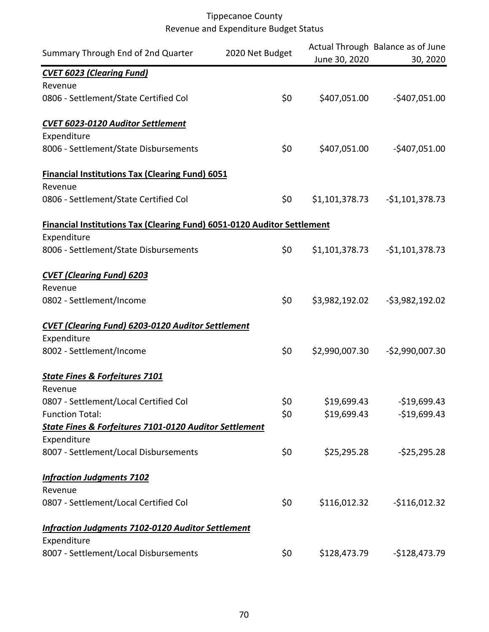| Summary Through End of 2nd Quarter                                             | 2020 Net Budget |                | Actual Through Balance as of June |
|--------------------------------------------------------------------------------|-----------------|----------------|-----------------------------------|
|                                                                                |                 | June 30, 2020  | 30, 2020                          |
| <b>CVET 6023 (Clearing Fund)</b>                                               |                 |                |                                   |
| Revenue                                                                        |                 |                |                                   |
| 0806 - Settlement/State Certified Col                                          | \$0             | \$407,051.00   | $-$407,051.00$                    |
| <b>CVET 6023-0120 Auditor Settlement</b>                                       |                 |                |                                   |
| Expenditure                                                                    |                 |                |                                   |
| 8006 - Settlement/State Disbursements                                          | \$0             | \$407,051.00   | $-$407,051.00$                    |
| <b>Financial Institutions Tax (Clearing Fund) 6051</b><br>Revenue              |                 |                |                                   |
| 0806 - Settlement/State Certified Col                                          | \$0             | \$1,101,378.73 | $-$1,101,378.73$                  |
| <b>Financial Institutions Tax (Clearing Fund) 6051-0120 Auditor Settlement</b> |                 |                |                                   |
| Expenditure                                                                    |                 |                |                                   |
| 8006 - Settlement/State Disbursements                                          | \$0             | \$1,101,378.73 | $-$1,101,378.73$                  |
| <b>CVET (Clearing Fund) 6203</b>                                               |                 |                |                                   |
| Revenue                                                                        |                 |                |                                   |
| 0802 - Settlement/Income                                                       | \$0             | \$3,982,192.02 | $-53,982,192.02$                  |
| <b>CVET (Clearing Fund) 6203-0120 Auditor Settlement</b>                       |                 |                |                                   |
| Expenditure                                                                    |                 |                |                                   |
| 8002 - Settlement/Income                                                       | \$0             | \$2,990,007.30 | $-$2,990,007.30$                  |
| <b>State Fines &amp; Forfeitures 7101</b>                                      |                 |                |                                   |
| Revenue                                                                        |                 |                |                                   |
| 0807 - Settlement/Local Certified Col                                          | \$0             | \$19,699.43    | $-$19,699.43$                     |
| <b>Function Total:</b>                                                         | \$0             | \$19,699.43    | $-$19,699.43$                     |
| State Fines & Forfeitures 7101-0120 Auditor Settlement                         |                 |                |                                   |
| Expenditure                                                                    |                 |                |                                   |
| 8007 - Settlement/Local Disbursements                                          | \$0             | \$25,295.28    | $-$ \$25,295.28                   |
| <b>Infraction Judgments 7102</b>                                               |                 |                |                                   |
| Revenue                                                                        |                 |                |                                   |
| 0807 - Settlement/Local Certified Col                                          | \$0             | \$116,012.32   | $-$116,012.32$                    |
| <b>Infraction Judgments 7102-0120 Auditor Settlement</b>                       |                 |                |                                   |
| Expenditure                                                                    |                 |                |                                   |
| 8007 - Settlement/Local Disbursements                                          | \$0             | \$128,473.79   | $-$128,473.79$                    |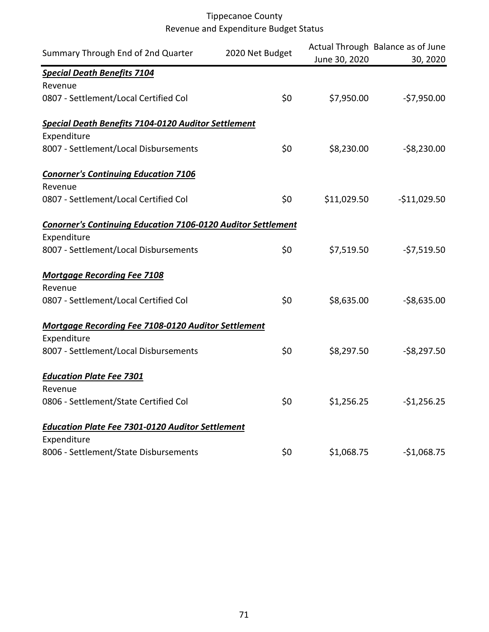| Summary Through End of 2nd Quarter                                  | 2020 Net Budget | June 30, 2020 | Actual Through Balance as of June |
|---------------------------------------------------------------------|-----------------|---------------|-----------------------------------|
|                                                                     |                 |               | 30, 2020                          |
| <b>Special Death Benefits 7104</b><br>Revenue                       |                 |               |                                   |
| 0807 - Settlement/Local Certified Col                               | \$0             | \$7,950.00    | $-57,950.00$                      |
| <b>Special Death Benefits 7104-0120 Auditor Settlement</b>          |                 |               |                                   |
| Expenditure                                                         |                 |               |                                   |
| 8007 - Settlement/Local Disbursements                               | \$0             | \$8,230.00    | $-58,230.00$                      |
| <b>Conorner's Continuing Education 7106</b>                         |                 |               |                                   |
| Revenue                                                             |                 |               |                                   |
| 0807 - Settlement/Local Certified Col                               | \$0             | \$11,029.50   | $-$11,029.50$                     |
| <b>Conorner's Continuing Education 7106-0120 Auditor Settlement</b> |                 |               |                                   |
| Expenditure                                                         |                 |               |                                   |
| 8007 - Settlement/Local Disbursements                               | \$0             | \$7,519.50    | $-57,519.50$                      |
| <b>Mortgage Recording Fee 7108</b>                                  |                 |               |                                   |
| Revenue                                                             |                 |               |                                   |
| 0807 - Settlement/Local Certified Col                               | \$0             | \$8,635.00    | $-58,635.00$                      |
| <b>Mortgage Recording Fee 7108-0120 Auditor Settlement</b>          |                 |               |                                   |
| Expenditure                                                         |                 |               |                                   |
| 8007 - Settlement/Local Disbursements                               | \$0             | \$8,297.50    | $-58,297.50$                      |
| <b>Education Plate Fee 7301</b>                                     |                 |               |                                   |
| Revenue                                                             |                 |               |                                   |
| 0806 - Settlement/State Certified Col                               | \$0             | \$1,256.25    | $-$1,256.25$                      |
| <b>Education Plate Fee 7301-0120 Auditor Settlement</b>             |                 |               |                                   |
| Expenditure                                                         |                 |               |                                   |
| 8006 - Settlement/State Disbursements                               | \$0             | \$1,068.75    | $-$1,068.75$                      |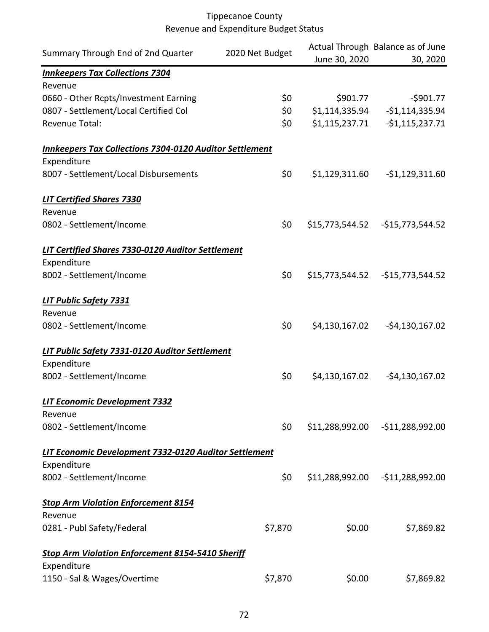|                                                                | 2020 Net Budget |                | Actual Through Balance as of June |
|----------------------------------------------------------------|-----------------|----------------|-----------------------------------|
| Summary Through End of 2nd Quarter                             |                 | June 30, 2020  | 30, 2020                          |
| <b>Innkeepers Tax Collections 7304</b>                         |                 |                |                                   |
| Revenue                                                        |                 |                |                                   |
| 0660 - Other Rcpts/Investment Earning                          | \$0             | \$901.77       | $-5901.77$                        |
| 0807 - Settlement/Local Certified Col                          | \$0             | \$1,114,335.94 | $-51,114,335.94$                  |
| Revenue Total:                                                 | \$0             | \$1,115,237.71 | $-51,115,237.71$                  |
| <b>Innkeepers Tax Collections 7304-0120 Auditor Settlement</b> |                 |                |                                   |
| Expenditure                                                    |                 |                |                                   |
| 8007 - Settlement/Local Disbursements                          | \$0             | \$1,129,311.60 | $-$1,129,311.60$                  |
| <b>LIT Certified Shares 7330</b>                               |                 |                |                                   |
| Revenue                                                        |                 |                |                                   |
| 0802 - Settlement/Income                                       | \$0\$           |                | \$15,773,544.52 - \$15,773,544.52 |
| <b>LIT Certified Shares 7330-0120 Auditor Settlement</b>       |                 |                |                                   |
| Expenditure                                                    |                 |                |                                   |
| 8002 - Settlement/Income                                       | \$0             |                | \$15,773,544.52 - \$15,773,544.52 |
| <b>LIT Public Safety 7331</b>                                  |                 |                |                                   |
| Revenue                                                        |                 |                |                                   |
| 0802 - Settlement/Income                                       | \$0             | \$4,130,167.02 | $-54,130,167.02$                  |
| LIT Public Safety 7331-0120 Auditor Settlement                 |                 |                |                                   |
| Expenditure                                                    |                 |                |                                   |
| 8002 - Settlement/Income                                       | \$0             | \$4,130,167.02 | $-54,130,167.02$                  |
| LIT Economic Development 7332                                  |                 |                |                                   |
| Revenue                                                        |                 |                |                                   |
| 0802 - Settlement/Income                                       | \$0             |                | \$11,288,992.00 -\$11,288,992.00  |
| LIT Economic Development 7332-0120 Auditor Settlement          |                 |                |                                   |
| Expenditure                                                    |                 |                |                                   |
| 8002 - Settlement/Income                                       | \$0             |                | \$11,288,992.00 -\$11,288,992.00  |
| <b>Stop Arm Violation Enforcement 8154</b>                     |                 |                |                                   |
| Revenue                                                        |                 |                |                                   |
| 0281 - Publ Safety/Federal                                     | \$7,870         | \$0.00         | \$7,869.82                        |
| <b>Stop Arm Violation Enforcement 8154-5410 Sheriff</b>        |                 |                |                                   |
| Expenditure                                                    |                 |                |                                   |
| 1150 - Sal & Wages/Overtime                                    | \$7,870         | \$0.00         | \$7,869.82                        |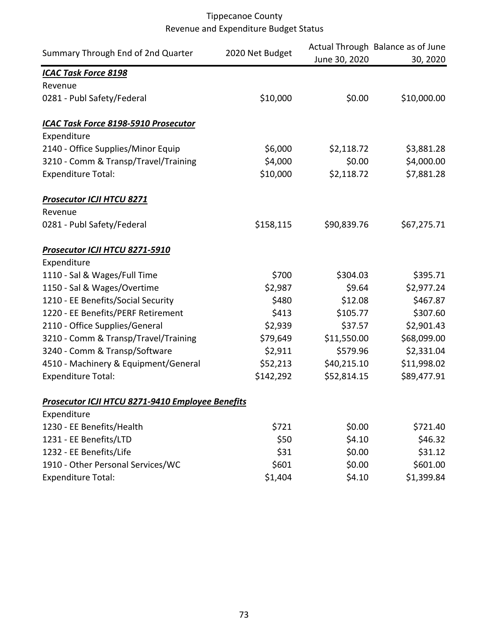| Summary Through End of 2nd Quarter                      | 2020 Net Budget |               | Actual Through Balance as of June |
|---------------------------------------------------------|-----------------|---------------|-----------------------------------|
|                                                         |                 | June 30, 2020 | 30, 2020                          |
| <b>ICAC Task Force 8198</b>                             |                 |               |                                   |
| Revenue                                                 |                 |               |                                   |
| 0281 - Publ Safety/Federal                              | \$10,000        | \$0.00        | \$10,000.00                       |
| <b>ICAC Task Force 8198-5910 Prosecutor</b>             |                 |               |                                   |
| Expenditure                                             |                 |               |                                   |
| 2140 - Office Supplies/Minor Equip                      | \$6,000         | \$2,118.72    | \$3,881.28                        |
| 3210 - Comm & Transp/Travel/Training                    | \$4,000         | \$0.00        | \$4,000.00                        |
| <b>Expenditure Total:</b>                               | \$10,000        | \$2,118.72    | \$7,881.28                        |
| <b>Prosecutor ICJI HTCU 8271</b>                        |                 |               |                                   |
| Revenue                                                 |                 |               |                                   |
| 0281 - Publ Safety/Federal                              | \$158,115       | \$90,839.76   | \$67,275.71                       |
| Prosecutor ICJI HTCU 8271-5910                          |                 |               |                                   |
| Expenditure                                             |                 |               |                                   |
| 1110 - Sal & Wages/Full Time                            | \$700           | \$304.03      | \$395.71                          |
| 1150 - Sal & Wages/Overtime                             | \$2,987         | \$9.64        | \$2,977.24                        |
| 1210 - EE Benefits/Social Security                      | \$480           | \$12.08       | \$467.87                          |
| 1220 - EE Benefits/PERF Retirement                      | \$413           | \$105.77      | \$307.60                          |
| 2110 - Office Supplies/General                          | \$2,939         | \$37.57       | \$2,901.43                        |
| 3210 - Comm & Transp/Travel/Training                    | \$79,649        | \$11,550.00   | \$68,099.00                       |
| 3240 - Comm & Transp/Software                           | \$2,911         | \$579.96      | \$2,331.04                        |
| 4510 - Machinery & Equipment/General                    | \$52,213        | \$40,215.10   | \$11,998.02                       |
| <b>Expenditure Total:</b>                               | \$142,292       | \$52,814.15   | \$89,477.91                       |
| <b>Prosecutor ICJI HTCU 8271-9410 Employee Benefits</b> |                 |               |                                   |
| Expenditure                                             |                 |               |                                   |
| 1230 - EE Benefits/Health                               | \$721           | \$0.00        | \$721.40                          |
| 1231 - EE Benefits/LTD                                  | \$50            | \$4.10        | \$46.32                           |
| 1232 - EE Benefits/Life                                 | \$31            | \$0.00        | \$31.12                           |
| 1910 - Other Personal Services/WC                       | \$601           | \$0.00        | \$601.00                          |
| <b>Expenditure Total:</b>                               | \$1,404         | \$4.10        | \$1,399.84                        |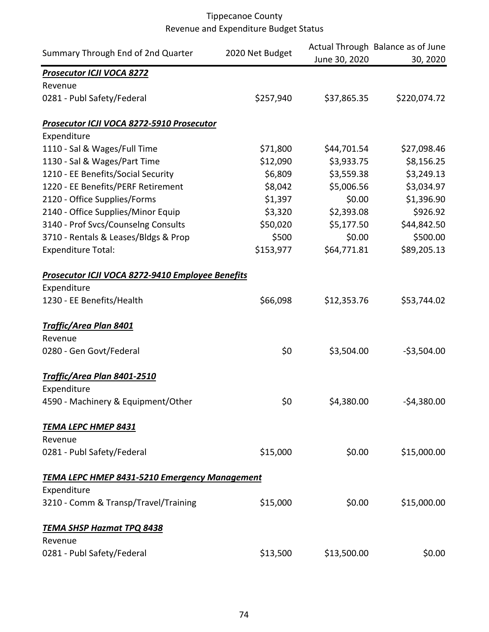| Summary Through End of 2nd Quarter                   | 2020 Net Budget |               | Actual Through Balance as of June |
|------------------------------------------------------|-----------------|---------------|-----------------------------------|
|                                                      |                 | June 30, 2020 | 30, 2020                          |
| <b>Prosecutor ICJI VOCA 8272</b>                     |                 |               |                                   |
| Revenue                                              |                 |               |                                   |
| 0281 - Publ Safety/Federal                           | \$257,940       | \$37,865.35   | \$220,074.72                      |
| Prosecutor ICJI VOCA 8272-5910 Prosecutor            |                 |               |                                   |
| Expenditure                                          |                 |               |                                   |
| 1110 - Sal & Wages/Full Time                         | \$71,800        | \$44,701.54   | \$27,098.46                       |
| 1130 - Sal & Wages/Part Time                         | \$12,090        | \$3,933.75    | \$8,156.25                        |
| 1210 - EE Benefits/Social Security                   | \$6,809         | \$3,559.38    | \$3,249.13                        |
| 1220 - EE Benefits/PERF Retirement                   | \$8,042         | \$5,006.56    | \$3,034.97                        |
| 2120 - Office Supplies/Forms                         | \$1,397         | \$0.00        | \$1,396.90                        |
| 2140 - Office Supplies/Minor Equip                   | \$3,320         | \$2,393.08    | \$926.92                          |
| 3140 - Prof Svcs/Counselng Consults                  | \$50,020        | \$5,177.50    | \$44,842.50                       |
| 3710 - Rentals & Leases/Bldgs & Prop                 | \$500           | \$0.00        | \$500.00                          |
| <b>Expenditure Total:</b>                            | \$153,977       | \$64,771.81   | \$89,205.13                       |
| Prosecutor ICJI VOCA 8272-9410 Employee Benefits     |                 |               |                                   |
| Expenditure                                          |                 |               |                                   |
| 1230 - EE Benefits/Health                            | \$66,098        | \$12,353.76   | \$53,744.02                       |
| <b>Traffic/Area Plan 8401</b>                        |                 |               |                                   |
| Revenue                                              |                 |               |                                   |
| 0280 - Gen Govt/Federal                              | \$0             | \$3,504.00    | $-53,504.00$                      |
| Traffic/Area Plan 8401-2510                          |                 |               |                                   |
| Expenditure                                          |                 |               |                                   |
| 4590 - Machinery & Equipment/Other                   | \$0             | \$4,380.00    | $-54,380.00$                      |
| <b>TEMA LEPC HMEP 8431</b>                           |                 |               |                                   |
| Revenue                                              |                 |               |                                   |
| 0281 - Publ Safety/Federal                           | \$15,000        | \$0.00        | \$15,000.00                       |
| <b>TEMA LEPC HMEP 8431-5210 Emergency Management</b> |                 |               |                                   |
| Expenditure                                          |                 |               |                                   |
| 3210 - Comm & Transp/Travel/Training                 | \$15,000        | \$0.00        | \$15,000.00                       |
| <b>TEMA SHSP Hazmat TPQ 8438</b>                     |                 |               |                                   |
| Revenue                                              |                 |               |                                   |
| 0281 - Publ Safety/Federal                           | \$13,500        | \$13,500.00   | \$0.00                            |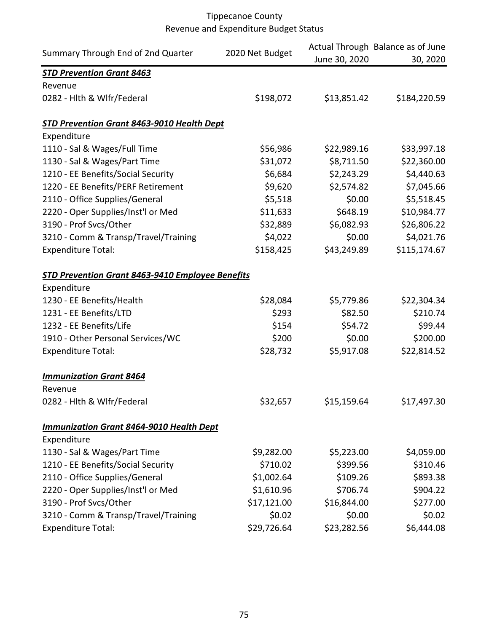| Summary Through End of 2nd Quarter                      | 2020 Net Budget | June 30, 2020 | Actual Through Balance as of June<br>30, 2020 |
|---------------------------------------------------------|-----------------|---------------|-----------------------------------------------|
| <b>STD Prevention Grant 8463</b>                        |                 |               |                                               |
| Revenue                                                 |                 |               |                                               |
| 0282 - Hlth & Wlfr/Federal                              | \$198,072       | \$13,851.42   | \$184,220.59                                  |
| STD Prevention Grant 8463-9010 Health Dept              |                 |               |                                               |
| Expenditure                                             |                 |               |                                               |
| 1110 - Sal & Wages/Full Time                            | \$56,986        | \$22,989.16   | \$33,997.18                                   |
| 1130 - Sal & Wages/Part Time                            | \$31,072        | \$8,711.50    | \$22,360.00                                   |
| 1210 - EE Benefits/Social Security                      | \$6,684         | \$2,243.29    | \$4,440.63                                    |
| 1220 - EE Benefits/PERF Retirement                      | \$9,620         | \$2,574.82    | \$7,045.66                                    |
| 2110 - Office Supplies/General                          | \$5,518         | \$0.00        | \$5,518.45                                    |
| 2220 - Oper Supplies/Inst'l or Med                      | \$11,633        | \$648.19      | \$10,984.77                                   |
| 3190 - Prof Svcs/Other                                  | \$32,889        | \$6,082.93    | \$26,806.22                                   |
| 3210 - Comm & Transp/Travel/Training                    | \$4,022         | \$0.00        | \$4,021.76                                    |
| <b>Expenditure Total:</b>                               | \$158,425       | \$43,249.89   | \$115,174.67                                  |
| <b>STD Prevention Grant 8463-9410 Employee Benefits</b> |                 |               |                                               |
| Expenditure                                             |                 |               |                                               |
| 1230 - EE Benefits/Health                               | \$28,084        | \$5,779.86    | \$22,304.34                                   |
| 1231 - EE Benefits/LTD                                  | \$293           | \$82.50       | \$210.74                                      |
| 1232 - EE Benefits/Life                                 | \$154           | \$54.72       | \$99.44                                       |
| 1910 - Other Personal Services/WC                       | \$200           | \$0.00        | \$200.00                                      |
| <b>Expenditure Total:</b>                               | \$28,732        | \$5,917.08    | \$22,814.52                                   |
| <b>Immunization Grant 8464</b>                          |                 |               |                                               |
| Revenue                                                 |                 |               |                                               |
| 0282 - Hlth & Wlfr/Federal                              | \$32,657        | \$15,159.64   | \$17,497.30                                   |
| <b>Immunization Grant 8464-9010 Health Dept</b>         |                 |               |                                               |
| Expenditure                                             |                 |               |                                               |
| 1130 - Sal & Wages/Part Time                            | \$9,282.00      | \$5,223.00    | \$4,059.00                                    |
| 1210 - EE Benefits/Social Security                      | \$710.02        | \$399.56      | \$310.46                                      |
| 2110 - Office Supplies/General                          | \$1,002.64      | \$109.26      | \$893.38                                      |
| 2220 - Oper Supplies/Inst'l or Med                      | \$1,610.96      | \$706.74      | \$904.22                                      |
| 3190 - Prof Svcs/Other                                  | \$17,121.00     | \$16,844.00   | \$277.00                                      |
| 3210 - Comm & Transp/Travel/Training                    | \$0.02          | \$0.00        | \$0.02\$                                      |
| <b>Expenditure Total:</b>                               | \$29,726.64     | \$23,282.56   | \$6,444.08                                    |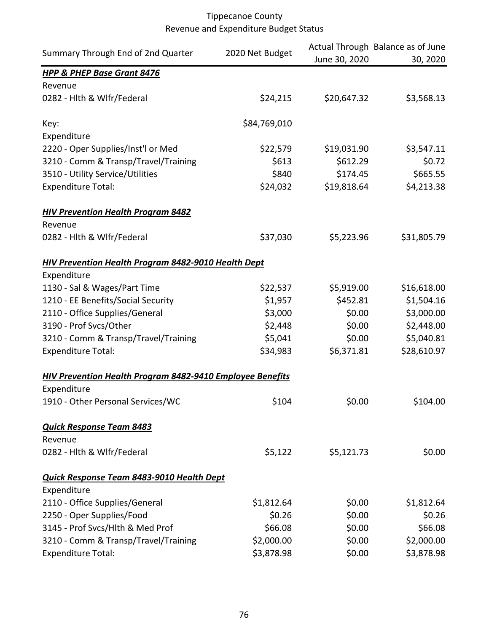| Summary Through End of 2nd Quarter                               | 2020 Net Budget |               | Actual Through Balance as of June |
|------------------------------------------------------------------|-----------------|---------------|-----------------------------------|
|                                                                  |                 | June 30, 2020 | 30, 2020                          |
| <b>HPP &amp; PHEP Base Grant 8476</b>                            |                 |               |                                   |
| Revenue                                                          |                 |               |                                   |
| 0282 - Hlth & Wlfr/Federal                                       | \$24,215        | \$20,647.32   | \$3,568.13                        |
| Key:                                                             | \$84,769,010    |               |                                   |
| Expenditure                                                      |                 |               |                                   |
| 2220 - Oper Supplies/Inst'l or Med                               | \$22,579        | \$19,031.90   | \$3,547.11                        |
| 3210 - Comm & Transp/Travel/Training                             | \$613           | \$612.29      | \$0.72                            |
| 3510 - Utility Service/Utilities                                 | \$840           | \$174.45      | \$665.55                          |
| <b>Expenditure Total:</b>                                        | \$24,032        | \$19,818.64   | \$4,213.38                        |
| <b>HIV Prevention Health Program 8482</b>                        |                 |               |                                   |
| Revenue                                                          |                 |               |                                   |
| 0282 - Hlth & Wlfr/Federal                                       | \$37,030        | \$5,223.96    | \$31,805.79                       |
| <b>HIV Prevention Health Program 8482-9010 Health Dept</b>       |                 |               |                                   |
| Expenditure                                                      |                 |               |                                   |
| 1130 - Sal & Wages/Part Time                                     | \$22,537        | \$5,919.00    | \$16,618.00                       |
| 1210 - EE Benefits/Social Security                               | \$1,957         | \$452.81      | \$1,504.16                        |
| 2110 - Office Supplies/General                                   | \$3,000         | \$0.00        | \$3,000.00                        |
| 3190 - Prof Svcs/Other                                           | \$2,448         | \$0.00        | \$2,448.00                        |
| 3210 - Comm & Transp/Travel/Training                             | \$5,041         | \$0.00        | \$5,040.81                        |
| <b>Expenditure Total:</b>                                        | \$34,983        | \$6,371.81    | \$28,610.97                       |
| <b>HIV Prevention Health Program 8482-9410 Employee Benefits</b> |                 |               |                                   |
| Expenditure                                                      |                 |               |                                   |
| 1910 - Other Personal Services/WC                                | \$104           | \$0.00        | \$104.00                          |
| <b>Quick Response Team 8483</b>                                  |                 |               |                                   |
| Revenue                                                          |                 |               |                                   |
| 0282 - Hlth & Wlfr/Federal                                       | \$5,122         | \$5,121.73    | \$0.00                            |
| Quick Response Team 8483-9010 Health Dept                        |                 |               |                                   |
| Expenditure                                                      |                 |               |                                   |
| 2110 - Office Supplies/General                                   | \$1,812.64      | \$0.00        | \$1,812.64                        |
| 2250 - Oper Supplies/Food                                        | \$0.26          | \$0.00        | \$0.26                            |
| 3145 - Prof Svcs/Hlth & Med Prof                                 | \$66.08         | \$0.00        | \$66.08                           |
| 3210 - Comm & Transp/Travel/Training                             | \$2,000.00      | \$0.00        | \$2,000.00                        |
| <b>Expenditure Total:</b>                                        | \$3,878.98      | \$0.00        | \$3,878.98                        |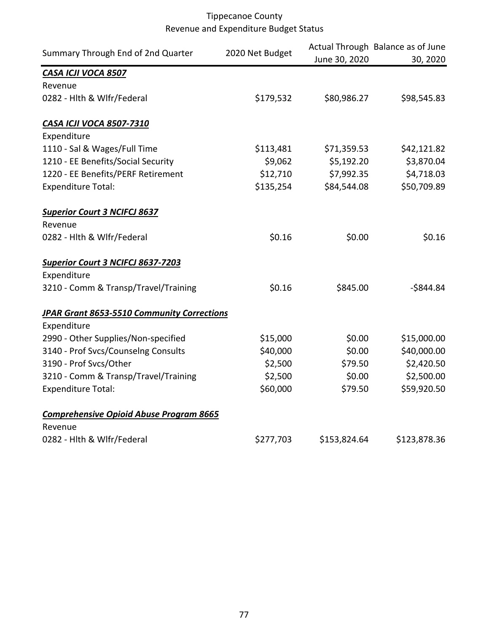| Summary Through End of 2nd Quarter                | 2020 Net Budget |               | Actual Through Balance as of June |
|---------------------------------------------------|-----------------|---------------|-----------------------------------|
|                                                   |                 | June 30, 2020 | 30, 2020                          |
| CASA ICJI VOCA 8507                               |                 |               |                                   |
| Revenue                                           |                 |               |                                   |
| 0282 - Hlth & Wlfr/Federal                        | \$179,532       | \$80,986.27   | \$98,545.83                       |
| <b>CASA ICJI VOCA 8507-7310</b>                   |                 |               |                                   |
| Expenditure                                       |                 |               |                                   |
| 1110 - Sal & Wages/Full Time                      | \$113,481       | \$71,359.53   | \$42,121.82                       |
| 1210 - EE Benefits/Social Security                | \$9,062         | \$5,192.20    | \$3,870.04                        |
| 1220 - EE Benefits/PERF Retirement                | \$12,710        | \$7,992.35    | \$4,718.03                        |
| <b>Expenditure Total:</b>                         | \$135,254       | \$84,544.08   | \$50,709.89                       |
| <b>Superior Court 3 NCIFCJ 8637</b>               |                 |               |                                   |
| Revenue                                           |                 |               |                                   |
| 0282 - Hlth & Wlfr/Federal                        | \$0.16          | \$0.00        | \$0.16                            |
| <b>Superior Court 3 NCIFCJ 8637-7203</b>          |                 |               |                                   |
| Expenditure                                       |                 |               |                                   |
| 3210 - Comm & Transp/Travel/Training              | \$0.16          | \$845.00      | $-5844.84$                        |
| <b>JPAR Grant 8653-5510 Community Corrections</b> |                 |               |                                   |
| Expenditure                                       |                 |               |                                   |
| 2990 - Other Supplies/Non-specified               | \$15,000        | \$0.00        | \$15,000.00                       |
| 3140 - Prof Svcs/Counselng Consults               | \$40,000        | \$0.00        | \$40,000.00                       |
| 3190 - Prof Svcs/Other                            | \$2,500         | \$79.50       | \$2,420.50                        |
| 3210 - Comm & Transp/Travel/Training              | \$2,500         | \$0.00        | \$2,500.00                        |
| <b>Expenditure Total:</b>                         | \$60,000        | \$79.50       | \$59,920.50                       |
| Comprehensive Opioid Abuse Program 8665           |                 |               |                                   |
| Revenue                                           |                 |               |                                   |
| 0282 - Hlth & Wlfr/Federal                        | \$277,703       | \$153,824.64  | \$123,878.36                      |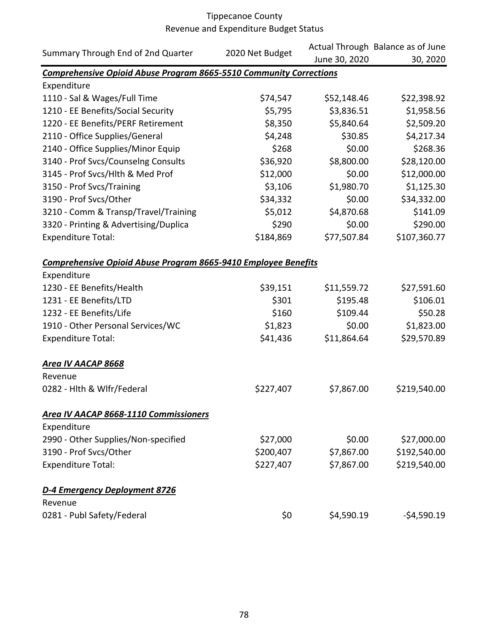| Summary Through End of 2nd Quarter                                        | 2020 Net Budget |               | Actual Through Balance as of June |
|---------------------------------------------------------------------------|-----------------|---------------|-----------------------------------|
|                                                                           |                 | June 30, 2020 | 30, 2020                          |
| <b>Comprehensive Opioid Abuse Program 8665-5510 Community Corrections</b> |                 |               |                                   |
| Expenditure                                                               |                 |               |                                   |
| 1110 - Sal & Wages/Full Time                                              | \$74,547        | \$52,148.46   | \$22,398.92                       |
| 1210 - EE Benefits/Social Security                                        | \$5,795         | \$3,836.51    | \$1,958.56                        |
| 1220 - EE Benefits/PERF Retirement                                        | \$8,350         | \$5,840.64    | \$2,509.20                        |
| 2110 - Office Supplies/General                                            | \$4,248         | \$30.85       | \$4,217.34                        |
| 2140 - Office Supplies/Minor Equip                                        | \$268           | \$0.00        | \$268.36                          |
| 3140 - Prof Svcs/Counselng Consults                                       | \$36,920        | \$8,800.00    | \$28,120.00                       |
| 3145 - Prof Svcs/Hlth & Med Prof                                          | \$12,000        | \$0.00        | \$12,000.00                       |
| 3150 - Prof Svcs/Training                                                 | \$3,106         | \$1,980.70    | \$1,125.30                        |
| 3190 - Prof Svcs/Other                                                    | \$34,332        | \$0.00        | \$34,332.00                       |
| 3210 - Comm & Transp/Travel/Training                                      | \$5,012         | \$4,870.68    | \$141.09                          |
| 3320 - Printing & Advertising/Duplica                                     | \$290           | \$0.00        | \$290.00                          |
| <b>Expenditure Total:</b>                                                 | \$184,869       | \$77,507.84   | \$107,360.77                      |
| Comprehensive Opioid Abuse Program 8665-9410 Employee Benefits            |                 |               |                                   |
| Expenditure                                                               |                 |               |                                   |
| 1230 - EE Benefits/Health                                                 | \$39,151        | \$11,559.72   | \$27,591.60                       |
| 1231 - EE Benefits/LTD                                                    | \$301           | \$195.48      | \$106.01                          |
| 1232 - EE Benefits/Life                                                   | \$160           | \$109.44      | \$50.28                           |
| 1910 - Other Personal Services/WC                                         | \$1,823         | \$0.00        | \$1,823.00                        |
| <b>Expenditure Total:</b>                                                 | \$41,436        | \$11,864.64   | \$29,570.89                       |
| <b>Area IV AACAP 8668</b>                                                 |                 |               |                                   |
| Revenue                                                                   |                 |               |                                   |
| 0282 - Hlth & Wlfr/Federal                                                | \$227,407       | \$7,867.00    | \$219,540.00                      |
| Area IV AACAP 8668-1110 Commissioners                                     |                 |               |                                   |
| Expenditure                                                               |                 |               |                                   |
| 2990 - Other Supplies/Non-specified                                       | \$27,000        | \$0.00        | \$27,000.00                       |
| 3190 - Prof Svcs/Other                                                    | \$200,407       | \$7,867.00    | \$192,540.00                      |
| <b>Expenditure Total:</b>                                                 | \$227,407       | \$7,867.00    | \$219,540.00                      |
| D-4 Emergency Deployment 8726                                             |                 |               |                                   |
| Revenue                                                                   |                 |               |                                   |
| 0281 - Publ Safety/Federal                                                | \$0             | \$4,590.19    | $-54,590.19$                      |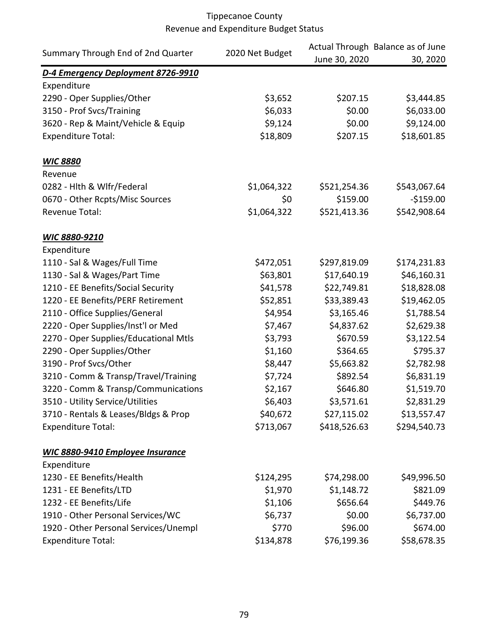| Summary Through End of 2nd Quarter      | 2020 Net Budget |               | Actual Through Balance as of June |
|-----------------------------------------|-----------------|---------------|-----------------------------------|
|                                         |                 | June 30, 2020 | 30, 2020                          |
| D-4 Emergency Deployment 8726-9910      |                 |               |                                   |
| Expenditure                             |                 |               |                                   |
| 2290 - Oper Supplies/Other              | \$3,652         | \$207.15      | \$3,444.85                        |
| 3150 - Prof Svcs/Training               | \$6,033         | \$0.00        | \$6,033.00                        |
| 3620 - Rep & Maint/Vehicle & Equip      | \$9,124         | \$0.00        | \$9,124.00                        |
| <b>Expenditure Total:</b>               | \$18,809        | \$207.15      | \$18,601.85                       |
| <b>WIC 8880</b>                         |                 |               |                                   |
| Revenue                                 |                 |               |                                   |
| 0282 - Hlth & Wlfr/Federal              | \$1,064,322     | \$521,254.36  | \$543,067.64                      |
| 0670 - Other Rcpts/Misc Sources         | \$0             | \$159.00      | $-$159.00$                        |
| <b>Revenue Total:</b>                   | \$1,064,322     | \$521,413.36  | \$542,908.64                      |
| WIC 8880-9210                           |                 |               |                                   |
| Expenditure                             |                 |               |                                   |
| 1110 - Sal & Wages/Full Time            | \$472,051       | \$297,819.09  | \$174,231.83                      |
| 1130 - Sal & Wages/Part Time            | \$63,801        | \$17,640.19   | \$46,160.31                       |
| 1210 - EE Benefits/Social Security      | \$41,578        | \$22,749.81   | \$18,828.08                       |
| 1220 - EE Benefits/PERF Retirement      | \$52,851        | \$33,389.43   | \$19,462.05                       |
| 2110 - Office Supplies/General          | \$4,954         | \$3,165.46    | \$1,788.54                        |
| 2220 - Oper Supplies/Inst'l or Med      | \$7,467         | \$4,837.62    | \$2,629.38                        |
| 2270 - Oper Supplies/Educational Mtls   | \$3,793         | \$670.59      | \$3,122.54                        |
| 2290 - Oper Supplies/Other              | \$1,160         | \$364.65      | \$795.37                          |
| 3190 - Prof Svcs/Other                  | \$8,447         | \$5,663.82    | \$2,782.98                        |
| 3210 - Comm & Transp/Travel/Training    | \$7,724         | \$892.54      | \$6,831.19                        |
| 3220 - Comm & Transp/Communications     | \$2,167         | \$646.80      | \$1,519.70                        |
| 3510 - Utility Service/Utilities        | \$6,403         | \$3,571.61    | \$2,831.29                        |
| 3710 - Rentals & Leases/Bldgs & Prop    | \$40,672        | \$27,115.02   | \$13,557.47                       |
| <b>Expenditure Total:</b>               | \$713,067       | \$418,526.63  | \$294,540.73                      |
| <b>WIC 8880-9410 Employee Insurance</b> |                 |               |                                   |
| Expenditure                             |                 |               |                                   |
| 1230 - EE Benefits/Health               | \$124,295       | \$74,298.00   | \$49,996.50                       |
| 1231 - EE Benefits/LTD                  | \$1,970         | \$1,148.72    | \$821.09                          |
| 1232 - EE Benefits/Life                 | \$1,106         | \$656.64      | \$449.76                          |
| 1910 - Other Personal Services/WC       | \$6,737         | \$0.00        | \$6,737.00                        |
| 1920 - Other Personal Services/Unempl   | \$770           | \$96.00       | \$674.00                          |
| <b>Expenditure Total:</b>               | \$134,878       | \$76,199.36   | \$58,678.35                       |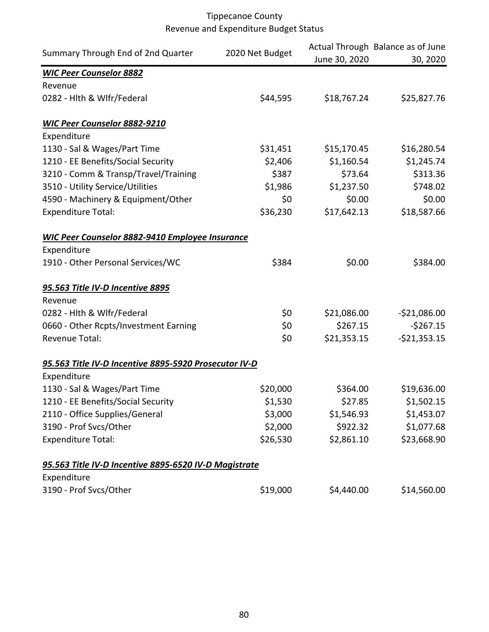| Summary Through End of 2nd Quarter                     | 2020 Net Budget |               | Actual Through Balance as of June |
|--------------------------------------------------------|-----------------|---------------|-----------------------------------|
|                                                        |                 | June 30, 2020 | 30, 2020                          |
| <b>WIC Peer Counselor 8882</b>                         |                 |               |                                   |
| Revenue                                                |                 |               |                                   |
| 0282 - Hlth & Wlfr/Federal                             | \$44,595        | \$18,767.24   | \$25,827.76                       |
| <b>WIC Peer Counselor 8882-9210</b>                    |                 |               |                                   |
| Expenditure                                            |                 |               |                                   |
| 1130 - Sal & Wages/Part Time                           | \$31,451        | \$15,170.45   | \$16,280.54                       |
| 1210 - EE Benefits/Social Security                     | \$2,406         | \$1,160.54    | \$1,245.74                        |
| 3210 - Comm & Transp/Travel/Training                   | \$387           | \$73.64       | \$313.36                          |
| 3510 - Utility Service/Utilities                       | \$1,986         | \$1,237.50    | \$748.02                          |
| 4590 - Machinery & Equipment/Other                     | \$0             | \$0.00        | \$0.00                            |
| <b>Expenditure Total:</b>                              | \$36,230        | \$17,642.13   | \$18,587.66                       |
| <b>WIC Peer Counselor 8882-9410 Employee Insurance</b> |                 |               |                                   |
| Expenditure                                            |                 |               |                                   |
| 1910 - Other Personal Services/WC                      | \$384           | \$0.00        | \$384.00                          |
| 95.563 Title IV-D Incentive 8895                       |                 |               |                                   |
| Revenue                                                |                 |               |                                   |
| 0282 - Hlth & Wlfr/Federal                             | \$0             | \$21,086.00   | $-521,086.00$                     |
| 0660 - Other Rcpts/Investment Earning                  | \$0             | \$267.15      | $-5267.15$                        |
| <b>Revenue Total:</b>                                  | \$0             | \$21,353.15   | $-521,353.15$                     |
| 95.563 Title IV-D Incentive 8895-5920 Prosecutor IV-D  |                 |               |                                   |
| Expenditure                                            |                 |               |                                   |
| 1130 - Sal & Wages/Part Time                           | \$20,000        | \$364.00      | \$19,636.00                       |
| 1210 - EE Benefits/Social Security                     | \$1,530         | \$27.85       | \$1,502.15                        |
| 2110 - Office Supplies/General                         | \$3,000         | \$1,546.93    | \$1,453.07                        |
| 3190 - Prof Svcs/Other                                 | \$2,000         | \$922.32      | \$1,077.68                        |
| <b>Expenditure Total:</b>                              | \$26,530        | \$2,861.10    | \$23,668.90                       |
| 95.563 Title IV-D Incentive 8895-6520 IV-D Magistrate  |                 |               |                                   |
| Expenditure                                            |                 |               |                                   |
| 3190 - Prof Svcs/Other                                 | \$19,000        | \$4,440.00    | \$14,560.00                       |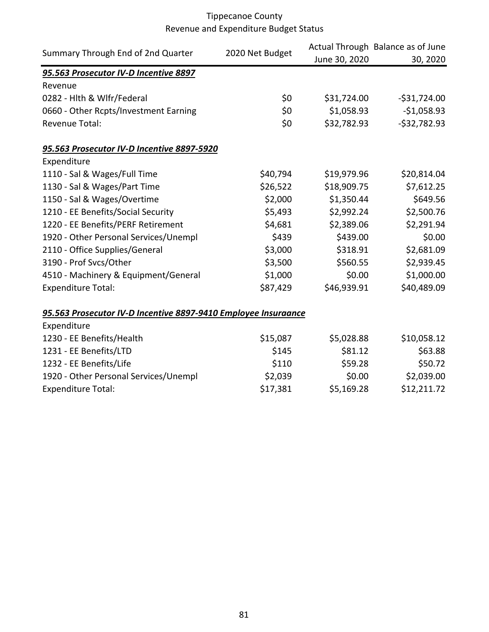| Summary Through End of 2nd Quarter                             | 2020 Net Budget |               | Actual Through Balance as of June |
|----------------------------------------------------------------|-----------------|---------------|-----------------------------------|
|                                                                |                 | June 30, 2020 | 30, 2020                          |
| 95.563 Prosecutor IV-D Incentive 8897                          |                 |               |                                   |
| Revenue                                                        |                 |               |                                   |
| 0282 - Hlth & Wlfr/Federal                                     | \$0             | \$31,724.00   | $-531,724.00$                     |
| 0660 - Other Rcpts/Investment Earning                          | \$0             | \$1,058.93    | $-$1,058.93$                      |
| <b>Revenue Total:</b>                                          | \$0             | \$32,782.93   | $-532,782.93$                     |
| 95.563 Prosecutor IV-D Incentive 8897-5920                     |                 |               |                                   |
| Expenditure                                                    |                 |               |                                   |
| 1110 - Sal & Wages/Full Time                                   | \$40,794        | \$19,979.96   | \$20,814.04                       |
| 1130 - Sal & Wages/Part Time                                   | \$26,522        | \$18,909.75   | \$7,612.25                        |
| 1150 - Sal & Wages/Overtime                                    | \$2,000         | \$1,350.44    | \$649.56                          |
| 1210 - EE Benefits/Social Security                             | \$5,493         | \$2,992.24    | \$2,500.76                        |
| 1220 - EE Benefits/PERF Retirement                             | \$4,681         | \$2,389.06    | \$2,291.94                        |
| 1920 - Other Personal Services/Unempl                          | \$439           | \$439.00      | \$0.00                            |
| 2110 - Office Supplies/General                                 | \$3,000         | \$318.91      | \$2,681.09                        |
| 3190 - Prof Svcs/Other                                         | \$3,500         | \$560.55      | \$2,939.45                        |
| 4510 - Machinery & Equipment/General                           | \$1,000         | \$0.00        | \$1,000.00                        |
| <b>Expenditure Total:</b>                                      | \$87,429        | \$46,939.91   | \$40,489.09                       |
| 95.563 Prosecutor IV-D Incentive 8897-9410 Employee Insuraance |                 |               |                                   |
| Expenditure                                                    |                 |               |                                   |
| 1230 - EE Benefits/Health                                      | \$15,087        | \$5,028.88    | \$10,058.12                       |
| 1231 - EE Benefits/LTD                                         | \$145           | \$81.12       | \$63.88                           |
| 1232 - EE Benefits/Life                                        | \$110           | \$59.28       | \$50.72                           |
| 1920 - Other Personal Services/Unempl                          | \$2,039         | \$0.00        | \$2,039.00                        |
| <b>Expenditure Total:</b>                                      | \$17,381        | \$5,169.28    | \$12,211.72                       |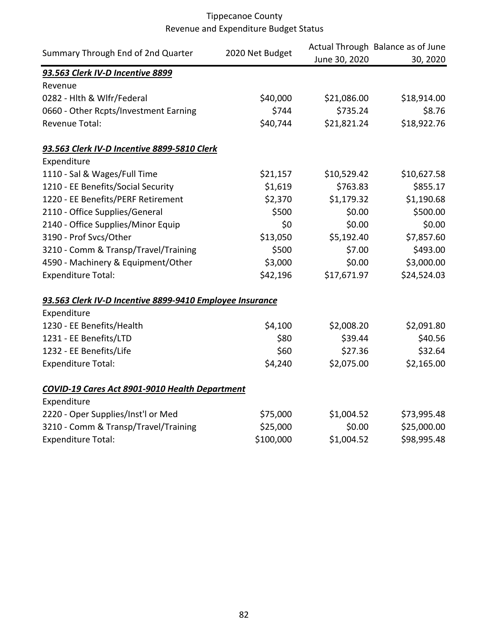| Summary Through End of 2nd Quarter                       | 2020 Net Budget |               | Actual Through Balance as of June |
|----------------------------------------------------------|-----------------|---------------|-----------------------------------|
|                                                          |                 | June 30, 2020 | 30, 2020                          |
| 93.563 Clerk IV-D Incentive 8899                         |                 |               |                                   |
| Revenue                                                  |                 |               |                                   |
| 0282 - Hlth & Wlfr/Federal                               | \$40,000        | \$21,086.00   | \$18,914.00                       |
| 0660 - Other Rcpts/Investment Earning                    | \$744           | \$735.24      | \$8.76                            |
| <b>Revenue Total:</b>                                    | \$40,744        | \$21,821.24   | \$18,922.76                       |
| 93.563 Clerk IV-D Incentive 8899-5810 Clerk              |                 |               |                                   |
| Expenditure                                              |                 |               |                                   |
| 1110 - Sal & Wages/Full Time                             | \$21,157        | \$10,529.42   | \$10,627.58                       |
| 1210 - EE Benefits/Social Security                       | \$1,619         | \$763.83      | \$855.17                          |
| 1220 - EE Benefits/PERF Retirement                       | \$2,370         | \$1,179.32    | \$1,190.68                        |
| 2110 - Office Supplies/General                           | \$500           | \$0.00        | \$500.00                          |
| 2140 - Office Supplies/Minor Equip                       | \$0             | \$0.00        | \$0.00                            |
| 3190 - Prof Svcs/Other                                   | \$13,050        | \$5,192.40    | \$7,857.60                        |
| 3210 - Comm & Transp/Travel/Training                     | \$500           | \$7.00        | \$493.00                          |
| 4590 - Machinery & Equipment/Other                       | \$3,000         | \$0.00        | \$3,000.00                        |
| <b>Expenditure Total:</b>                                | \$42,196        | \$17,671.97   | \$24,524.03                       |
| 93.563 Clerk IV-D Incentive 8899-9410 Employee Insurance |                 |               |                                   |
| Expenditure                                              |                 |               |                                   |
| 1230 - EE Benefits/Health                                | \$4,100         | \$2,008.20    | \$2,091.80                        |
| 1231 - EE Benefits/LTD                                   | \$80            | \$39.44       | \$40.56                           |
| 1232 - EE Benefits/Life                                  | \$60            | \$27.36       | \$32.64                           |
| <b>Expenditure Total:</b>                                | \$4,240         | \$2,075.00    | \$2,165.00                        |
| COVID-19 Cares Act 8901-9010 Health Department           |                 |               |                                   |
| Expenditure                                              |                 |               |                                   |
| 2220 - Oper Supplies/Inst'l or Med                       | \$75,000        | \$1,004.52    | \$73,995.48                       |
| 3210 - Comm & Transp/Travel/Training                     | \$25,000        | \$0.00        | \$25,000.00                       |
| <b>Expenditure Total:</b>                                | \$100,000       | \$1,004.52    | \$98,995.48                       |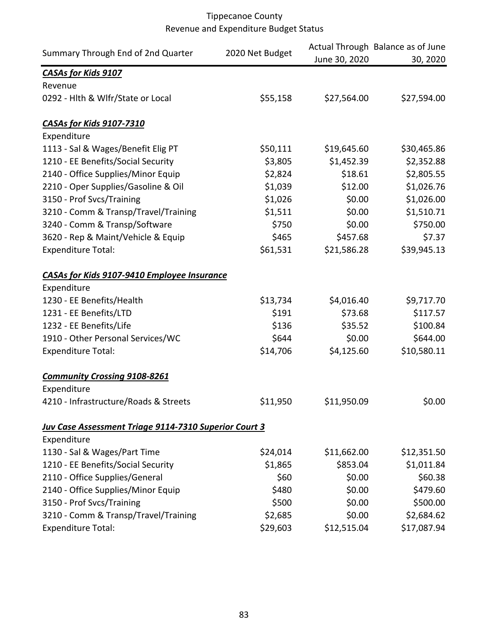| Summary Through End of 2nd Quarter                           | 2020 Net Budget | June 30, 2020 | Actual Through Balance as of June<br>30, 2020 |
|--------------------------------------------------------------|-----------------|---------------|-----------------------------------------------|
| <b>CASAs for Kids 9107</b>                                   |                 |               |                                               |
| Revenue                                                      |                 |               |                                               |
| 0292 - Hlth & Wlfr/State or Local                            | \$55,158        | \$27,564.00   | \$27,594.00                                   |
| <b>CASAs for Kids 9107-7310</b>                              |                 |               |                                               |
| Expenditure                                                  |                 |               |                                               |
| 1113 - Sal & Wages/Benefit Elig PT                           | \$50,111        | \$19,645.60   | \$30,465.86                                   |
| 1210 - EE Benefits/Social Security                           | \$3,805         | \$1,452.39    | \$2,352.88                                    |
| 2140 - Office Supplies/Minor Equip                           | \$2,824         | \$18.61       | \$2,805.55                                    |
| 2210 - Oper Supplies/Gasoline & Oil                          | \$1,039         | \$12.00       | \$1,026.76                                    |
| 3150 - Prof Svcs/Training                                    | \$1,026         | \$0.00        | \$1,026.00                                    |
| 3210 - Comm & Transp/Travel/Training                         | \$1,511         | \$0.00        | \$1,510.71                                    |
| 3240 - Comm & Transp/Software                                | \$750           | \$0.00        | \$750.00                                      |
| 3620 - Rep & Maint/Vehicle & Equip                           | \$465           | \$457.68      | \$7.37                                        |
| <b>Expenditure Total:</b>                                    | \$61,531        | \$21,586.28   | \$39,945.13                                   |
| <b>CASAs for Kids 9107-9410 Employee Insurance</b>           |                 |               |                                               |
| Expenditure                                                  |                 |               |                                               |
| 1230 - EE Benefits/Health                                    | \$13,734        | \$4,016.40    | \$9,717.70                                    |
| 1231 - EE Benefits/LTD                                       | \$191           | \$73.68       | \$117.57                                      |
| 1232 - EE Benefits/Life                                      | \$136           | \$35.52       | \$100.84                                      |
| 1910 - Other Personal Services/WC                            | \$644           | \$0.00        | \$644.00                                      |
| <b>Expenditure Total:</b>                                    | \$14,706        | \$4,125.60    | \$10,580.11                                   |
| <b>Community Crossing 9108-8261</b><br>Expenditure           |                 |               |                                               |
| 4210 - Infrastructure/Roads & Streets                        | \$11,950        | \$11,950.09   | \$0.00                                        |
| <b>Juv Case Assessment Triage 9114-7310 Superior Court 3</b> |                 |               |                                               |
| Expenditure                                                  |                 |               |                                               |
| 1130 - Sal & Wages/Part Time                                 | \$24,014        | \$11,662.00   | \$12,351.50                                   |
| 1210 - EE Benefits/Social Security                           | \$1,865         | \$853.04      | \$1,011.84                                    |
| 2110 - Office Supplies/General                               | \$60            | \$0.00        | \$60.38                                       |
| 2140 - Office Supplies/Minor Equip                           | \$480           | \$0.00        | \$479.60                                      |
| 3150 - Prof Svcs/Training                                    | \$500           | \$0.00        | \$500.00                                      |
| 3210 - Comm & Transp/Travel/Training                         | \$2,685         | \$0.00        | \$2,684.62                                    |
| <b>Expenditure Total:</b>                                    | \$29,603        | \$12,515.04   | \$17,087.94                                   |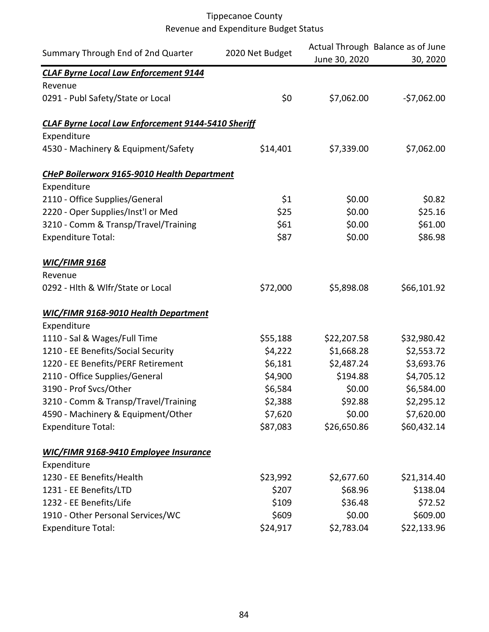| Summary Through End of 2nd Quarter                        | 2020 Net Budget | June 30, 2020 | Actual Through Balance as of June<br>30, 2020 |
|-----------------------------------------------------------|-----------------|---------------|-----------------------------------------------|
| <b>CLAF Byrne Local Law Enforcement 9144</b>              |                 |               |                                               |
| Revenue                                                   |                 |               |                                               |
| 0291 - Publ Safety/State or Local                         | \$0             | \$7,062.00    | $-57,062.00$                                  |
| <b>CLAF Byrne Local Law Enforcement 9144-5410 Sheriff</b> |                 |               |                                               |
| Expenditure                                               |                 |               |                                               |
| 4530 - Machinery & Equipment/Safety                       | \$14,401        | \$7,339.00    | \$7,062.00                                    |
| <b>CHeP Boilerworx 9165-9010 Health Department</b>        |                 |               |                                               |
| Expenditure                                               |                 |               |                                               |
| 2110 - Office Supplies/General                            | \$1             | \$0.00        | \$0.82                                        |
| 2220 - Oper Supplies/Inst'l or Med                        | \$25            | \$0.00        | \$25.16                                       |
| 3210 - Comm & Transp/Travel/Training                      | \$61            | \$0.00        | \$61.00                                       |
| <b>Expenditure Total:</b>                                 | \$87            | \$0.00        | \$86.98                                       |
| <b>WIC/FIMR 9168</b>                                      |                 |               |                                               |
| Revenue                                                   |                 |               |                                               |
| 0292 - Hlth & Wlfr/State or Local                         | \$72,000        | \$5,898.08    | \$66,101.92                                   |
| <b>WIC/FIMR 9168-9010 Health Department</b>               |                 |               |                                               |
| Expenditure                                               |                 |               |                                               |
| 1110 - Sal & Wages/Full Time                              | \$55,188        | \$22,207.58   | \$32,980.42                                   |
| 1210 - EE Benefits/Social Security                        | \$4,222         | \$1,668.28    | \$2,553.72                                    |
| 1220 - EE Benefits/PERF Retirement                        | \$6,181         | \$2,487.24    | \$3,693.76                                    |
| 2110 - Office Supplies/General                            | \$4,900         | \$194.88      | \$4,705.12                                    |
| 3190 - Prof Svcs/Other                                    | \$6,584         | \$0.00        | \$6,584.00                                    |
| 3210 - Comm & Transp/Travel/Training                      | \$2,388         | \$92.88       | \$2,295.12                                    |
| 4590 - Machinery & Equipment/Other                        | \$7,620         | \$0.00        | \$7,620.00                                    |
| <b>Expenditure Total:</b>                                 | \$87,083        | \$26,650.86   | \$60,432.14                                   |
| <b>WIC/FIMR 9168-9410 Employee Insurance</b>              |                 |               |                                               |
| Expenditure                                               |                 |               |                                               |
| 1230 - EE Benefits/Health                                 | \$23,992        | \$2,677.60    | \$21,314.40                                   |
| 1231 - EE Benefits/LTD                                    | \$207           | \$68.96       | \$138.04                                      |
| 1232 - EE Benefits/Life                                   | \$109           | \$36.48       | \$72.52                                       |
| 1910 - Other Personal Services/WC                         | \$609           | \$0.00        | \$609.00                                      |
| <b>Expenditure Total:</b>                                 | \$24,917        | \$2,783.04    | \$22,133.96                                   |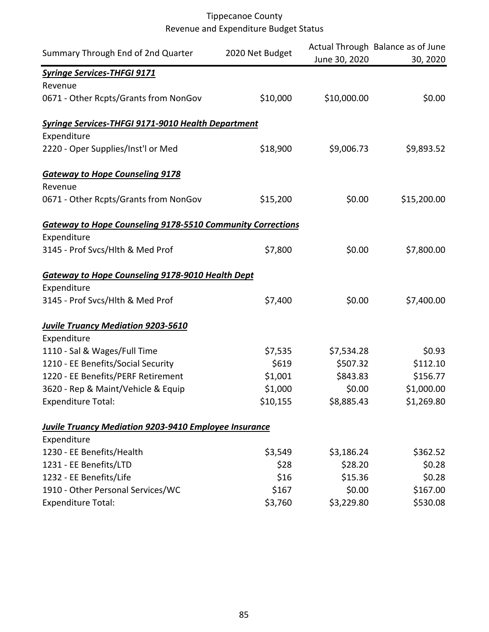| Summary Through End of 2nd Quarter                                | 2020 Net Budget | June 30, 2020 | Actual Through Balance as of June<br>30, 2020 |
|-------------------------------------------------------------------|-----------------|---------------|-----------------------------------------------|
| <b>Syringe Services-THFGI 9171</b>                                |                 |               |                                               |
| Revenue                                                           |                 |               |                                               |
| 0671 - Other Rcpts/Grants from NonGov                             | \$10,000        | \$10,000.00   | \$0.00                                        |
| <b>Syringe Services-THFGI 9171-9010 Health Department</b>         |                 |               |                                               |
| Expenditure                                                       |                 |               |                                               |
| 2220 - Oper Supplies/Inst'l or Med                                | \$18,900        | \$9,006.73    | \$9,893.52                                    |
| <b>Gateway to Hope Counseling 9178</b>                            |                 |               |                                               |
| Revenue                                                           |                 |               |                                               |
| 0671 - Other Rcpts/Grants from NonGov                             | \$15,200        | \$0.00        | \$15,200.00                                   |
| <b>Gateway to Hope Counseling 9178-5510 Community Corrections</b> |                 |               |                                               |
| Expenditure                                                       |                 |               |                                               |
| 3145 - Prof Svcs/Hlth & Med Prof                                  | \$7,800         | \$0.00        | \$7,800.00                                    |
| <b>Gateway to Hope Counseling 9178-9010 Health Dept</b>           |                 |               |                                               |
| Expenditure                                                       |                 |               |                                               |
| 3145 - Prof Svcs/Hlth & Med Prof                                  | \$7,400         | \$0.00        | \$7,400.00                                    |
| <b>Juvile Truancy Mediation 9203-5610</b>                         |                 |               |                                               |
| Expenditure                                                       |                 |               |                                               |
| 1110 - Sal & Wages/Full Time                                      | \$7,535         | \$7,534.28    | \$0.93                                        |
| 1210 - EE Benefits/Social Security                                | \$619           | \$507.32      | \$112.10                                      |
| 1220 - EE Benefits/PERF Retirement                                | \$1,001         | \$843.83      | \$156.77                                      |
| 3620 - Rep & Maint/Vehicle & Equip                                | \$1,000         | \$0.00        | \$1,000.00                                    |
| <b>Expenditure Total:</b>                                         | \$10,155        | \$8,885.43    | \$1,269.80                                    |
| <b>Juvile Truancy Mediation 9203-9410 Employee Insurance</b>      |                 |               |                                               |
| Expenditure                                                       |                 |               |                                               |
| 1230 - EE Benefits/Health                                         | \$3,549         | \$3,186.24    | \$362.52                                      |
| 1231 - EE Benefits/LTD                                            | \$28            | \$28.20       | \$0.28                                        |
| 1232 - EE Benefits/Life                                           | \$16            | \$15.36       | \$0.28                                        |
| 1910 - Other Personal Services/WC                                 | \$167           | \$0.00        | \$167.00                                      |
| <b>Expenditure Total:</b>                                         | \$3,760         | \$3,229.80    | \$530.08                                      |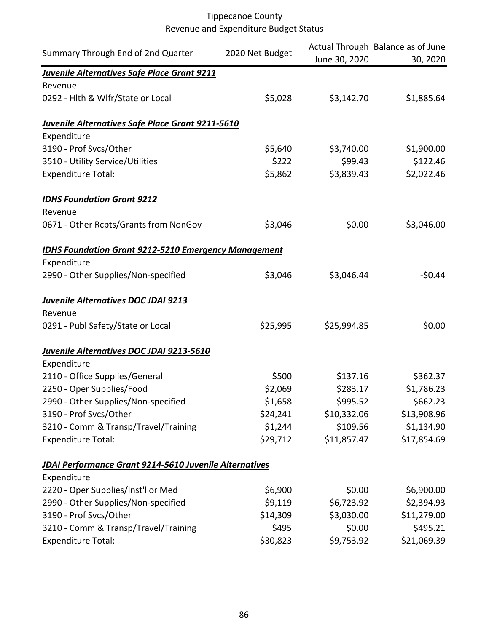| Summary Through End of 2nd Quarter                            | 2020 Net Budget |               | Actual Through Balance as of June |
|---------------------------------------------------------------|-----------------|---------------|-----------------------------------|
|                                                               |                 | June 30, 2020 | 30, 2020                          |
| <b>Juvenile Alternatives Safe Place Grant 9211</b>            |                 |               |                                   |
| Revenue                                                       |                 |               |                                   |
| 0292 - Hlth & Wlfr/State or Local                             | \$5,028         | \$3,142.70    | \$1,885.64                        |
| <b>Juvenile Alternatives Safe Place Grant 9211-5610</b>       |                 |               |                                   |
| Expenditure                                                   |                 |               |                                   |
| 3190 - Prof Svcs/Other                                        | \$5,640         | \$3,740.00    | \$1,900.00                        |
| 3510 - Utility Service/Utilities                              | \$222           | \$99.43       | \$122.46                          |
| <b>Expenditure Total:</b>                                     | \$5,862         | \$3,839.43    | \$2,022.46                        |
| <b>IDHS Foundation Grant 9212</b>                             |                 |               |                                   |
| Revenue                                                       |                 |               |                                   |
| 0671 - Other Rcpts/Grants from NonGov                         | \$3,046         | \$0.00        | \$3,046.00                        |
| <b>IDHS Foundation Grant 9212-5210 Emergency Management</b>   |                 |               |                                   |
| Expenditure                                                   |                 |               |                                   |
| 2990 - Other Supplies/Non-specified                           | \$3,046         | \$3,046.44    | $-50.44$                          |
| <b>Juvenile Alternatives DOC JDAI 9213</b>                    |                 |               |                                   |
| Revenue                                                       |                 |               |                                   |
| 0291 - Publ Safety/State or Local                             | \$25,995        | \$25,994.85   | \$0.00                            |
| Juvenile Alternatives DOC JDAI 9213-5610                      |                 |               |                                   |
| Expenditure                                                   |                 |               |                                   |
| 2110 - Office Supplies/General                                | \$500           | \$137.16      | \$362.37                          |
| 2250 - Oper Supplies/Food                                     | \$2,069         | \$283.17      | \$1,786.23                        |
| 2990 - Other Supplies/Non-specified                           | \$1,658         | \$995.52      | \$662.23                          |
| 3190 - Prof Svcs/Other                                        | \$24,241        | \$10,332.06   | \$13,908.96                       |
| 3210 - Comm & Transp/Travel/Training                          | \$1,244         | \$109.56      | \$1,134.90                        |
| <b>Expenditure Total:</b>                                     | \$29,712        | \$11,857.47   | \$17,854.69                       |
| <b>JDAI Performance Grant 9214-5610 Juvenile Alternatives</b> |                 |               |                                   |
| Expenditure                                                   |                 |               |                                   |
| 2220 - Oper Supplies/Inst'l or Med                            | \$6,900         | \$0.00        | \$6,900.00                        |
| 2990 - Other Supplies/Non-specified                           | \$9,119         | \$6,723.92    | \$2,394.93                        |
| 3190 - Prof Svcs/Other                                        | \$14,309        | \$3,030.00    | \$11,279.00                       |
| 3210 - Comm & Transp/Travel/Training                          | \$495           | \$0.00        | \$495.21                          |
| <b>Expenditure Total:</b>                                     | \$30,823        | \$9,753.92    | \$21,069.39                       |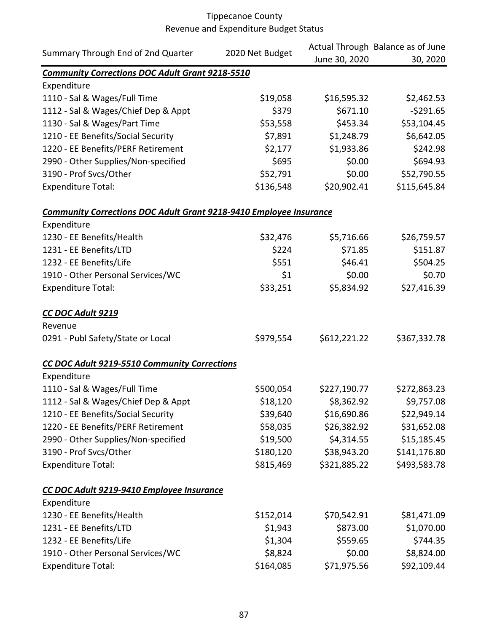| Summary Through End of 2nd Quarter                                        | 2020 Net Budget |               | Actual Through Balance as of June |
|---------------------------------------------------------------------------|-----------------|---------------|-----------------------------------|
|                                                                           |                 | June 30, 2020 | 30, 2020                          |
| <b>Community Corrections DOC Adult Grant 9218-5510</b>                    |                 |               |                                   |
| Expenditure                                                               |                 |               |                                   |
| 1110 - Sal & Wages/Full Time                                              | \$19,058        | \$16,595.32   | \$2,462.53                        |
| 1112 - Sal & Wages/Chief Dep & Appt                                       | \$379           | \$671.10      | $-5291.65$                        |
| 1130 - Sal & Wages/Part Time                                              | \$53,558        | \$453.34      | \$53,104.45                       |
| 1210 - EE Benefits/Social Security                                        | \$7,891         | \$1,248.79    | \$6,642.05                        |
| 1220 - EE Benefits/PERF Retirement                                        | \$2,177         | \$1,933.86    | \$242.98                          |
| 2990 - Other Supplies/Non-specified                                       | \$695           | \$0.00        | \$694.93                          |
| 3190 - Prof Svcs/Other                                                    | \$52,791        | \$0.00        | \$52,790.55                       |
| <b>Expenditure Total:</b>                                                 | \$136,548       | \$20,902.41   | \$115,645.84                      |
| <b>Community Corrections DOC Adult Grant 9218-9410 Employee Insurance</b> |                 |               |                                   |
| Expenditure                                                               |                 |               |                                   |
| 1230 - EE Benefits/Health                                                 | \$32,476        | \$5,716.66    | \$26,759.57                       |
| 1231 - EE Benefits/LTD                                                    | \$224           | \$71.85       | \$151.87                          |
| 1232 - EE Benefits/Life                                                   | \$551           | \$46.41       | \$504.25                          |
| 1910 - Other Personal Services/WC                                         | \$1             | \$0.00        | \$0.70                            |
| <b>Expenditure Total:</b>                                                 | \$33,251        | \$5,834.92    | \$27,416.39                       |
| CC DOC Adult 9219                                                         |                 |               |                                   |
| Revenue                                                                   |                 |               |                                   |
| 0291 - Publ Safety/State or Local                                         | \$979,554       | \$612,221.22  | \$367,332.78                      |
| CC DOC Adult 9219-5510 Community Corrections                              |                 |               |                                   |
| Expenditure                                                               |                 |               |                                   |
| 1110 - Sal & Wages/Full Time                                              | \$500,054       | \$227,190.77  | \$272,863.23                      |
| 1112 - Sal & Wages/Chief Dep & Appt                                       | \$18,120        | \$8,362.92    | \$9,757.08                        |
| 1210 - EE Benefits/Social Security                                        | \$39,640        | \$16,690.86   | \$22,949.14                       |
| 1220 - EE Benefits/PERF Retirement                                        | \$58,035        | \$26,382.92   | \$31,652.08                       |
| 2990 - Other Supplies/Non-specified                                       | \$19,500        | \$4,314.55    | \$15,185.45                       |
| 3190 - Prof Svcs/Other                                                    | \$180,120       | \$38,943.20   | \$141,176.80                      |
| <b>Expenditure Total:</b>                                                 | \$815,469       | \$321,885.22  | \$493,583.78                      |
| CC DOC Adult 9219-9410 Employee Insurance                                 |                 |               |                                   |
| Expenditure                                                               |                 |               |                                   |
| 1230 - EE Benefits/Health                                                 | \$152,014       | \$70,542.91   | \$81,471.09                       |
| 1231 - EE Benefits/LTD                                                    | \$1,943         | \$873.00      | \$1,070.00                        |
| 1232 - EE Benefits/Life                                                   | \$1,304         | \$559.65      | \$744.35                          |
| 1910 - Other Personal Services/WC                                         | \$8,824         | \$0.00        | \$8,824.00                        |
| <b>Expenditure Total:</b>                                                 | \$164,085       | \$71,975.56   | \$92,109.44                       |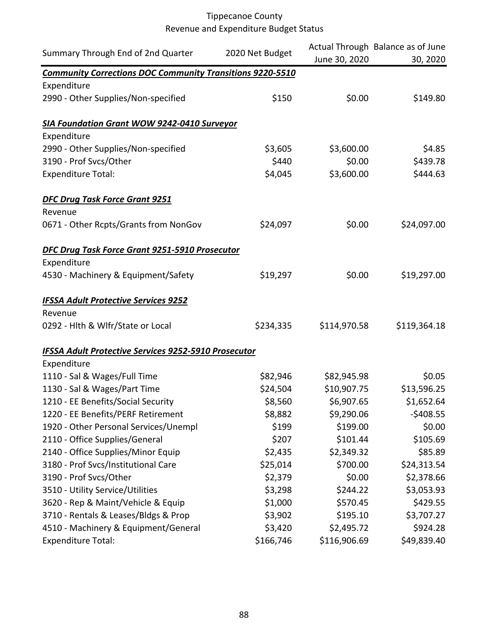| Summary Through End of 2nd Quarter                               | 2020 Net Budget |               | Actual Through Balance as of June |
|------------------------------------------------------------------|-----------------|---------------|-----------------------------------|
|                                                                  |                 | June 30, 2020 | 30, 2020                          |
| <b>Community Corrections DOC Community Transitions 9220-5510</b> |                 |               |                                   |
| Expenditure                                                      |                 |               |                                   |
| 2990 - Other Supplies/Non-specified                              | \$150           | \$0.00        | \$149.80                          |
| <b>SIA Foundation Grant WOW 9242-0410 Surveyor</b>               |                 |               |                                   |
| Expenditure                                                      |                 |               |                                   |
| 2990 - Other Supplies/Non-specified                              | \$3,605         | \$3,600.00    | \$4.85                            |
| 3190 - Prof Svcs/Other                                           | \$440           | \$0.00        | \$439.78                          |
| <b>Expenditure Total:</b>                                        | \$4,045         | \$3,600.00    | \$444.63                          |
| <b>DFC Drug Task Force Grant 9251</b>                            |                 |               |                                   |
| Revenue                                                          |                 |               |                                   |
| 0671 - Other Rcpts/Grants from NonGov                            | \$24,097        | \$0.00        | \$24,097.00                       |
| DFC Drug Task Force Grant 9251-5910 Prosecutor                   |                 |               |                                   |
| Expenditure                                                      |                 |               |                                   |
| 4530 - Machinery & Equipment/Safety                              | \$19,297        | \$0.00        | \$19,297.00                       |
| <b>IFSSA Adult Protective Services 9252</b>                      |                 |               |                                   |
| Revenue                                                          |                 |               |                                   |
| 0292 - Hlth & Wlfr/State or Local                                | \$234,335       | \$114,970.58  | \$119,364.18                      |
| <b>IFSSA Adult Protective Services 9252-5910 Prosecutor</b>      |                 |               |                                   |
| Expenditure                                                      |                 |               |                                   |
| 1110 - Sal & Wages/Full Time                                     | \$82,946        | \$82,945.98   | \$0.05                            |
| 1130 - Sal & Wages/Part Time                                     | \$24,504        | \$10,907.75   | \$13,596.25                       |
| 1210 - EE Benefits/Social Security                               | \$8,560         | \$6,907.65    | \$1,652.64                        |
| 1220 - EE Benefits/PERF Retirement                               | \$8,882         | \$9,290.06    | $-$408.55$                        |
| 1920 - Other Personal Services/Unempl                            | \$199           | \$199.00      | \$0.00                            |
| 2110 - Office Supplies/General                                   | \$207           | \$101.44      | \$105.69                          |
| 2140 - Office Supplies/Minor Equip                               | \$2,435         | \$2,349.32    | \$85.89                           |
| 3180 - Prof Svcs/Institutional Care                              | \$25,014        | \$700.00      | \$24,313.54                       |
| 3190 - Prof Svcs/Other                                           | \$2,379         | \$0.00        | \$2,378.66                        |
| 3510 - Utility Service/Utilities                                 | \$3,298         | \$244.22      | \$3,053.93                        |
| 3620 - Rep & Maint/Vehicle & Equip                               | \$1,000         | \$570.45      | \$429.55                          |
| 3710 - Rentals & Leases/Bldgs & Prop                             | \$3,902         | \$195.10      | \$3,707.27                        |
| 4510 - Machinery & Equipment/General                             | \$3,420         | \$2,495.72    | \$924.28                          |
| <b>Expenditure Total:</b>                                        | \$166,746       | \$116,906.69  | \$49,839.40                       |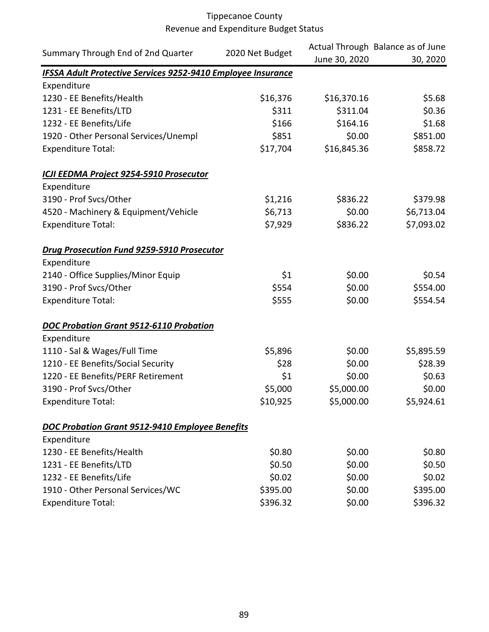|                                                                     | 2020 Net Budget |               | Actual Through Balance as of June |
|---------------------------------------------------------------------|-----------------|---------------|-----------------------------------|
| Summary Through End of 2nd Quarter                                  |                 | June 30, 2020 | 30, 2020                          |
| <b>IFSSA Adult Protective Services 9252-9410 Employee Insurance</b> |                 |               |                                   |
| Expenditure                                                         |                 |               |                                   |
| 1230 - EE Benefits/Health                                           | \$16,376        | \$16,370.16   | \$5.68                            |
| 1231 - EE Benefits/LTD                                              | \$311           | \$311.04      | \$0.36                            |
| 1232 - EE Benefits/Life                                             | \$166           | \$164.16      | \$1.68                            |
| 1920 - Other Personal Services/Unempl                               | \$851           | \$0.00        | \$851.00                          |
| <b>Expenditure Total:</b>                                           | \$17,704        | \$16,845.36   | \$858.72                          |
| <b>ICJI EEDMA Project 9254-5910 Prosecutor</b>                      |                 |               |                                   |
| Expenditure                                                         |                 |               |                                   |
| 3190 - Prof Svcs/Other                                              | \$1,216         | \$836.22      | \$379.98                          |
| 4520 - Machinery & Equipment/Vehicle                                | \$6,713         | \$0.00        | \$6,713.04                        |
| <b>Expenditure Total:</b>                                           | \$7,929         | \$836.22      | \$7,093.02                        |
| <b>Drug Prosecution Fund 9259-5910 Prosecutor</b>                   |                 |               |                                   |
| Expenditure                                                         |                 |               |                                   |
| 2140 - Office Supplies/Minor Equip                                  | \$1             | \$0.00        | \$0.54                            |
| 3190 - Prof Svcs/Other                                              | \$554           | \$0.00        | \$554.00                          |
| <b>Expenditure Total:</b>                                           | \$555           | \$0.00        | \$554.54                          |
| <b>DOC Probation Grant 9512-6110 Probation</b>                      |                 |               |                                   |
| Expenditure                                                         |                 |               |                                   |
| 1110 - Sal & Wages/Full Time                                        | \$5,896         | \$0.00        | \$5,895.59                        |
| 1210 - EE Benefits/Social Security                                  | \$28            | \$0.00        | \$28.39                           |
| 1220 - EE Benefits/PERF Retirement                                  | \$1             | \$0.00        | \$0.63                            |
| 3190 - Prof Svcs/Other                                              | \$5,000         | \$5,000.00    | \$0.00                            |
| <b>Expenditure Total:</b>                                           | \$10,925        | \$5,000.00    | \$5,924.61                        |
| <b>DOC Probation Grant 9512-9410 Employee Benefits</b>              |                 |               |                                   |
| Expenditure                                                         |                 |               |                                   |
| 1230 - EE Benefits/Health                                           | \$0.80          | \$0.00        | \$0.80                            |
| 1231 - EE Benefits/LTD                                              | \$0.50          | \$0.00        | \$0.50                            |
| 1232 - EE Benefits/Life                                             | \$0.02          | \$0.00        | \$0.02\$                          |
| 1910 - Other Personal Services/WC                                   | \$395.00        | \$0.00        | \$395.00                          |
| <b>Expenditure Total:</b>                                           | \$396.32        | \$0.00        | \$396.32                          |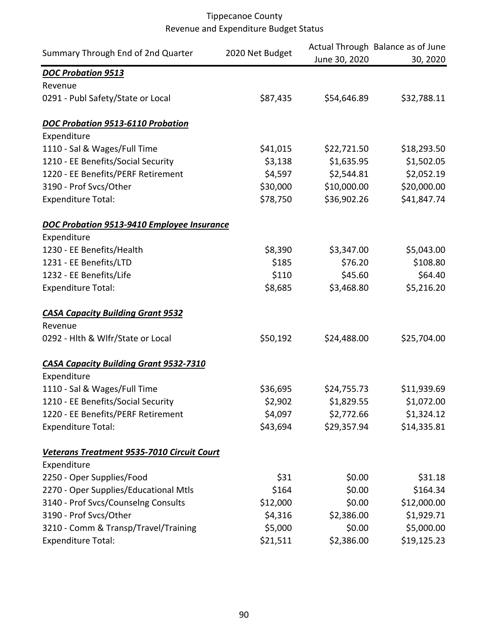| Summary Through End of 2nd Quarter            | 2020 Net Budget |               | Actual Through Balance as of June |
|-----------------------------------------------|-----------------|---------------|-----------------------------------|
|                                               |                 | June 30, 2020 | 30, 2020                          |
| <b>DOC Probation 9513</b>                     |                 |               |                                   |
| Revenue                                       |                 |               |                                   |
| 0291 - Publ Safety/State or Local             | \$87,435        | \$54,646.89   | \$32,788.11                       |
| <b>DOC Probation 9513-6110 Probation</b>      |                 |               |                                   |
| Expenditure                                   |                 |               |                                   |
| 1110 - Sal & Wages/Full Time                  | \$41,015        | \$22,721.50   | \$18,293.50                       |
| 1210 - EE Benefits/Social Security            | \$3,138         | \$1,635.95    | \$1,502.05                        |
| 1220 - EE Benefits/PERF Retirement            | \$4,597         | \$2,544.81    | \$2,052.19                        |
| 3190 - Prof Svcs/Other                        | \$30,000        | \$10,000.00   | \$20,000.00                       |
| <b>Expenditure Total:</b>                     | \$78,750        | \$36,902.26   | \$41,847.74                       |
| DOC Probation 9513-9410 Employee Insurance    |                 |               |                                   |
| Expenditure                                   |                 |               |                                   |
| 1230 - EE Benefits/Health                     | \$8,390         | \$3,347.00    | \$5,043.00                        |
| 1231 - EE Benefits/LTD                        | \$185           | \$76.20       | \$108.80                          |
| 1232 - EE Benefits/Life                       | \$110           | \$45.60       | \$64.40                           |
| <b>Expenditure Total:</b>                     | \$8,685         | \$3,468.80    | \$5,216.20                        |
| <b>CASA Capacity Building Grant 9532</b>      |                 |               |                                   |
| Revenue                                       |                 |               |                                   |
| 0292 - Hlth & Wlfr/State or Local             | \$50,192        | \$24,488.00   | \$25,704.00                       |
| <b>CASA Capacity Building Grant 9532-7310</b> |                 |               |                                   |
| Expenditure                                   |                 |               |                                   |
| 1110 - Sal & Wages/Full Time                  | \$36,695        | \$24,755.73   | \$11,939.69                       |
| 1210 - EE Benefits/Social Security            | \$2,902         | \$1,829.55    | \$1,072.00                        |
| 1220 - EE Benefits/PERF Retirement            | \$4,097         | \$2,772.66    | \$1,324.12                        |
| <b>Expenditure Total:</b>                     | \$43,694        | \$29,357.94   | \$14,335.81                       |
| Veterans Treatment 9535-7010 Circuit Court    |                 |               |                                   |
| Expenditure                                   |                 |               |                                   |
| 2250 - Oper Supplies/Food                     | \$31            | \$0.00        | \$31.18                           |
| 2270 - Oper Supplies/Educational Mtls         | \$164           | \$0.00        | \$164.34                          |
| 3140 - Prof Svcs/Counselng Consults           | \$12,000        | \$0.00        | \$12,000.00                       |
| 3190 - Prof Svcs/Other                        | \$4,316         | \$2,386.00    | \$1,929.71                        |
| 3210 - Comm & Transp/Travel/Training          | \$5,000         | \$0.00        | \$5,000.00                        |
| <b>Expenditure Total:</b>                     | \$21,511        | \$2,386.00    | \$19,125.23                       |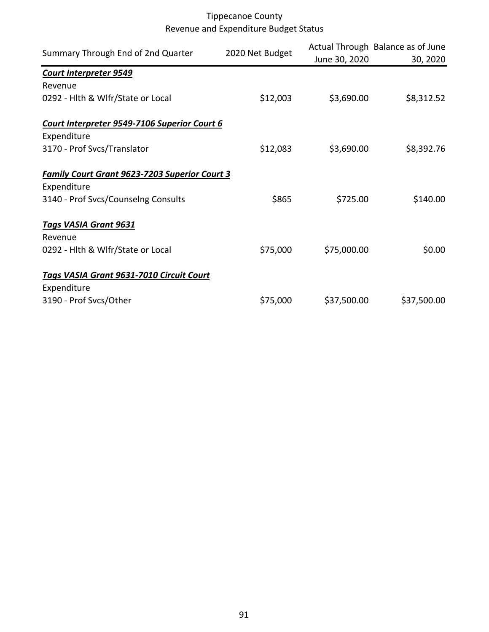| Summary Through End of 2nd Quarter                   | 2020 Net Budget | June 30, 2020 | Actual Through Balance as of June<br>30, 2020 |
|------------------------------------------------------|-----------------|---------------|-----------------------------------------------|
| <b>Court Interpreter 9549</b>                        |                 |               |                                               |
| Revenue                                              |                 |               |                                               |
| 0292 - Hlth & Wlfr/State or Local                    | \$12,003        | \$3,690.00    | \$8,312.52                                    |
| Court Interpreter 9549-7106 Superior Court 6         |                 |               |                                               |
| Expenditure                                          |                 |               |                                               |
| 3170 - Prof Svcs/Translator                          | \$12,083        | \$3,690.00    | \$8,392.76                                    |
| <b>Family Court Grant 9623-7203 Superior Court 3</b> |                 |               |                                               |
| Expenditure                                          |                 |               |                                               |
| 3140 - Prof Svcs/Counselng Consults                  | \$865           | \$725.00      | \$140.00                                      |
| <b>Tags VASIA Grant 9631</b>                         |                 |               |                                               |
| Revenue                                              |                 |               |                                               |
| 0292 - Hlth & Wlfr/State or Local                    | \$75,000        | \$75,000.00   | \$0.00                                        |
| Tags VASIA Grant 9631-7010 Circuit Court             |                 |               |                                               |
| Expenditure                                          |                 |               |                                               |
| 3190 - Prof Svcs/Other                               | \$75,000        | \$37,500.00   | \$37,500.00                                   |